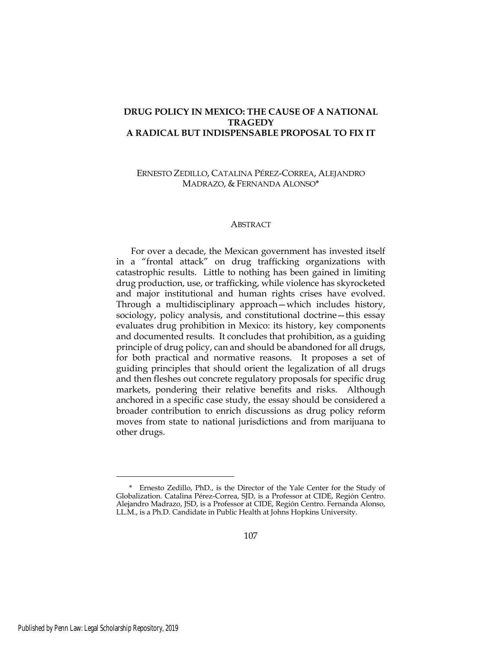# **DRUG POLICY IN MEXICO: THE CAUSE OF A NATIONAL TRAGEDY A RADICAL BUT INDISPENSABLE PROPOSAL TO FIX IT**

ERNESTO ZEDILLO, CATALINA PÉREZ-CORREA, ALEJANDRO MADRAZO, & FERNANDA ALONSO\*

#### **ABSTRACT**

For over a decade, the Mexican government has invested itself in a "frontal attack" on drug trafficking organizations with catastrophic results. Little to nothing has been gained in limiting drug production, use, or trafficking, while violence has skyrocketed and major institutional and human rights crises have evolved. Through a multidisciplinary approach—which includes history, sociology, policy analysis, and constitutional doctrine—this essay evaluates drug prohibition in Mexico: its history, key components and documented results. It concludes that prohibition, as a guiding principle of drug policy, can and should be abandoned for all drugs, for both practical and normative reasons. It proposes a set of guiding principles that should orient the legalization of all drugs and then fleshes out concrete regulatory proposals for specific drug markets, pondering their relative benefits and risks. Although anchored in a specific case study, the essay should be considered a broader contribution to enrich discussions as drug policy reform moves from state to national jurisdictions and from marijuana to other drugs.

<sup>\*</sup> Ernesto Zedillo, PhD., is the Director of the Yale Center for the Study of Globalization. Catalina Pérez-Correa, SJD, is a Professor at CIDE, Región Centro. Alejandro Madrazo, JSD, is a Professor at CIDE, Región Centro. Fernanda Alonso, LL.M., is a Ph.D. Candidate in Public Health at Johns Hopkins University.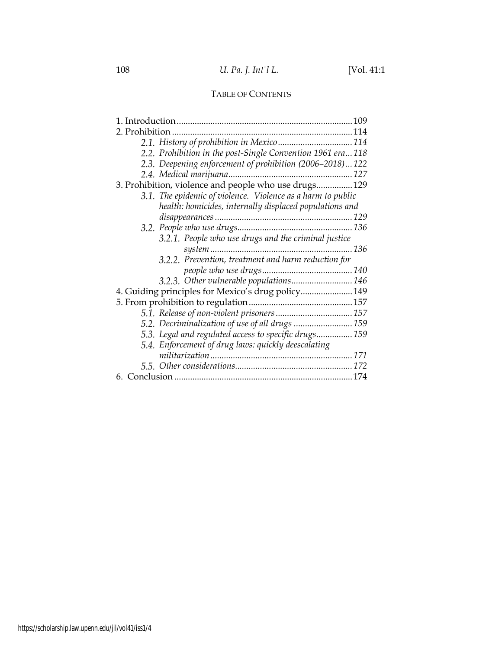# TABLE OF CONTENTS

|                                                             | 2.1. History of prohibition in Mexico  114                 |  |  |  |  |
|-------------------------------------------------------------|------------------------------------------------------------|--|--|--|--|
|                                                             | 2.2. Prohibition in the post-Single Convention 1961 era118 |  |  |  |  |
|                                                             | 2.3. Deepening enforcement of prohibition (2006–2018)122   |  |  |  |  |
|                                                             |                                                            |  |  |  |  |
| 3. Prohibition, violence and people who use drugs 129       |                                                            |  |  |  |  |
| 3.1. The epidemic of violence. Violence as a harm to public |                                                            |  |  |  |  |
|                                                             | health: homicides, internally displaced populations and    |  |  |  |  |
|                                                             |                                                            |  |  |  |  |
|                                                             |                                                            |  |  |  |  |
|                                                             | 3.2.1. People who use drugs and the criminal justice       |  |  |  |  |
|                                                             |                                                            |  |  |  |  |
|                                                             | 3.2.2. Prevention, treatment and harm reduction for        |  |  |  |  |
|                                                             |                                                            |  |  |  |  |
|                                                             | 3.2.3. Other vulnerable populations 146                    |  |  |  |  |
| 4. Guiding principles for Mexico's drug policy 149          |                                                            |  |  |  |  |
|                                                             |                                                            |  |  |  |  |
|                                                             |                                                            |  |  |  |  |
|                                                             | 5.2. Decriminalization of use of all drugs  159            |  |  |  |  |
|                                                             | 5.3. Legal and regulated access to specific drugs 159      |  |  |  |  |
|                                                             | 5.4. Enforcement of drug laws: quickly deescalating        |  |  |  |  |
|                                                             |                                                            |  |  |  |  |
|                                                             |                                                            |  |  |  |  |
|                                                             |                                                            |  |  |  |  |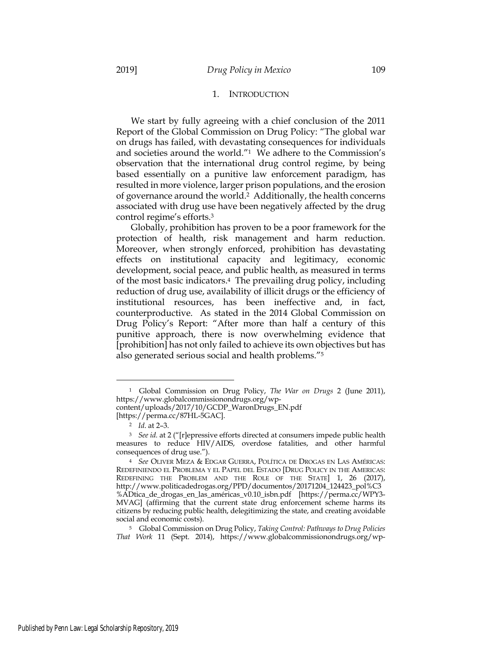### 1. INTRODUCTION

We start by fully agreeing with a chief conclusion of the 2011 Report of the Global Commission on Drug Policy: "The global war on drugs has failed, with devastating consequences for individuals and societies around the world."1 We adhere to the Commission's observation that the international drug control regime, by being based essentially on a punitive law enforcement paradigm, has resulted in more violence, larger prison populations, and the erosion of governance around the world.2 Additionally, the health concerns associated with drug use have been negatively affected by the drug control regime's efforts.3

Globally, prohibition has proven to be a poor framework for the protection of health, risk management and harm reduction. Moreover, when strongly enforced, prohibition has devastating effects on institutional capacity and legitimacy, economic development, social peace, and public health, as measured in terms of the most basic indicators.4 The prevailing drug policy, including reduction of drug use, availability of illicit drugs or the efficiency of institutional resources, has been ineffective and, in fact, counterproductive. As stated in the 2014 Global Commission on Drug Policy's Report: "After more than half a century of this punitive approach, there is now overwhelming evidence that [prohibition] has not only failed to achieve its own objectives but has also generated serious social and health problems."5

<sup>1</sup> Global Commission on Drug Policy, *The War on Drugs* 2 (June 2011), https://www.globalcommissionondrugs.org/wp-

content/uploads/2017/10/GCDP\_WaronDrugs\_EN.pdf [https://perma.cc/87HL-5GAC].

<sup>2</sup> *Id*. at 2–3.

<sup>3</sup> *See id.* at 2 ("[r]epressive efforts directed at consumers impede public health measures to reduce HIV/AIDS, overdose fatalities, and other harmful consequences of drug use.").

<sup>4</sup> *See* OLIVER MEZA & EDGAR GUERRA, POLÍTICA DE DROGAS EN LAS AMÉRICAS: REDEFINIENDO EL PROBLEMA Y EL PAPEL DEL ESTADO [DRUG POLICY IN THE AMERICAS: REDEFINING THE PROBLEM AND THE ROLE OF THE STATE] 1, 26 (2017), http://www.politicadedrogas.org/PPD/documentos/20171204\_124423\_pol%C3 %ADtica\_de\_drogas\_en\_las\_américas\_v0.10\_isbn.pdf [https://perma.cc/WPY3- MVAG] (affirming that the current state drug enforcement scheme harms its citizens by reducing public health, delegitimizing the state, and creating avoidable social and economic costs).

<sup>5</sup> Global Commission on Drug Policy, *Taking Control: Pathways to Drug Policies That Work* 11 (Sept. 2014), https://www.globalcommissionondrugs.org/wp-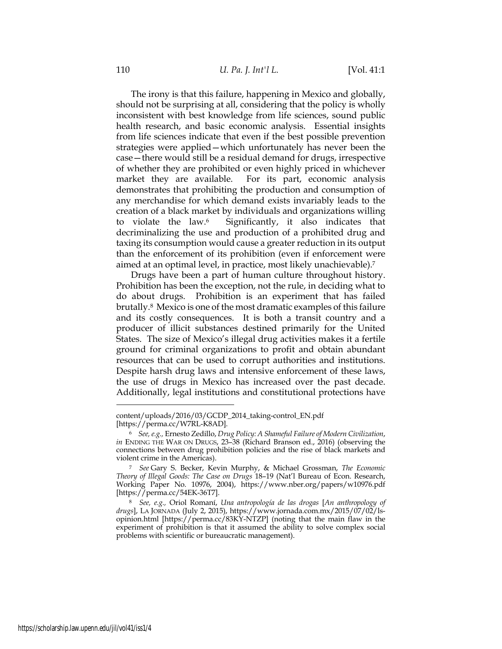The irony is that this failure, happening in Mexico and globally, should not be surprising at all, considering that the policy is wholly inconsistent with best knowledge from life sciences, sound public health research, and basic economic analysis. Essential insights from life sciences indicate that even if the best possible prevention strategies were applied—which unfortunately has never been the case—there would still be a residual demand for drugs, irrespective of whether they are prohibited or even highly priced in whichever market they are available. For its part, economic analysis demonstrates that prohibiting the production and consumption of any merchandise for which demand exists invariably leads to the creation of a black market by individuals and organizations willing to violate the law.6 Significantly, it also indicates that decriminalizing the use and production of a prohibited drug and taxing its consumption would cause a greater reduction in its output than the enforcement of its prohibition (even if enforcement were aimed at an optimal level, in practice, most likely unachievable).7

Drugs have been a part of human culture throughout history. Prohibition has been the exception, not the rule, in deciding what to do about drugs. Prohibition is an experiment that has failed brutally.8 Mexico is one of the most dramatic examples of this failure and its costly consequences. It is both a transit country and a producer of illicit substances destined primarily for the United States. The size of Mexico's illegal drug activities makes it a fertile ground for criminal organizations to profit and obtain abundant resources that can be used to corrupt authorities and institutions. Despite harsh drug laws and intensive enforcement of these laws, the use of drugs in Mexico has increased over the past decade. Additionally, legal institutions and constitutional protections have

content/uploads/2016/03/GCDP\_2014\_taking-control\_EN.pdf [https://perma.cc/W7RL-K8AD].

<sup>6</sup> *See, e.g.,* Ernesto Zedillo, *Drug Policy: A Shameful Failure of Modern Civilization*, *in* ENDING THE WAR ON DRUGS, 23–38 (Richard Branson ed., 2016) (observing the connections between drug prohibition policies and the rise of black markets and violent crime in the Americas).

<sup>7</sup> *See* Gary S. Becker, Kevin Murphy, & Michael Grossman, *The Economic Theory of Illegal Goods: The Case on Drugs* 18–19 (Nat'l Bureau of Econ. Research, Working Paper No. 10976, 2004), https://www.nber.org/papers/w10976.pdf [https://perma.cc/54EK-36T7].

<sup>8</sup> *See, e.g.,* Oriol Romaní, *Una antropología de las drogas* [*An anthropology of drugs*], LA JORNADA (July 2, 2015), https://www.jornada.com.mx/2015/07/02/lsopinion.html [https://perma.cc/83KY-NTZP] (noting that the main flaw in the experiment of prohibition is that it assumed the ability to solve complex social problems with scientific or bureaucratic management).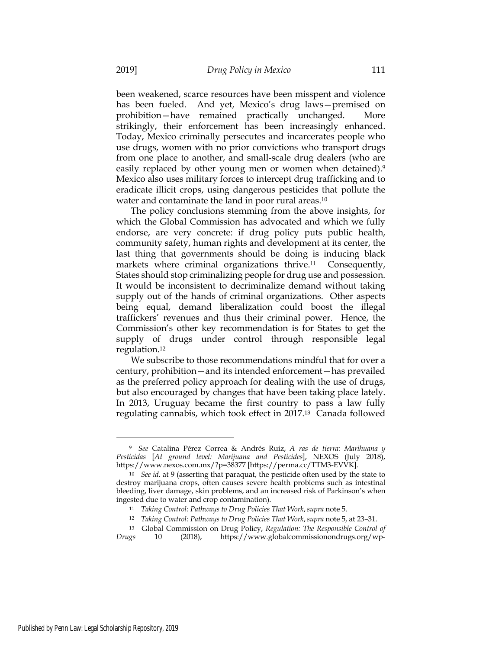been weakened, scarce resources have been misspent and violence has been fueled. And yet, Mexico's drug laws—premised on prohibition—have remained practically unchanged. More strikingly, their enforcement has been increasingly enhanced. Today, Mexico criminally persecutes and incarcerates people who use drugs, women with no prior convictions who transport drugs from one place to another, and small-scale drug dealers (who are easily replaced by other young men or women when detained).<sup>9</sup> Mexico also uses military forces to intercept drug trafficking and to eradicate illicit crops, using dangerous pesticides that pollute the water and contaminate the land in poor rural areas.<sup>10</sup>

The policy conclusions stemming from the above insights, for which the Global Commission has advocated and which we fully endorse, are very concrete: if drug policy puts public health, community safety, human rights and development at its center, the last thing that governments should be doing is inducing black markets where criminal organizations thrive.<sup>11</sup> Consequently, States should stop criminalizing people for drug use and possession. It would be inconsistent to decriminalize demand without taking supply out of the hands of criminal organizations. Other aspects being equal, demand liberalization could boost the illegal traffickers' revenues and thus their criminal power. Hence, the Commission's other key recommendation is for States to get the supply of drugs under control through responsible legal regulation.12

We subscribe to those recommendations mindful that for over a century, prohibition—and its intended enforcement—has prevailed as the preferred policy approach for dealing with the use of drugs, but also encouraged by changes that have been taking place lately. In 2013, Uruguay became the first country to pass a law fully regulating cannabis, which took effect in 2017.13 Canada followed

<sup>9</sup> *See* Catalina Pérez Correa & Andrés Ruiz, *A ras de tierra: Marihuana y Pesticidas* [*At ground level: Marijuana and Pesticides*], NEXOS (July 2018), https://www.nexos.com.mx/?p=38377 [https://perma.cc/TTM3-EVVK].

<sup>10</sup> *See id*. at 9 (asserting that paraquat, the pesticide often used by the state to destroy marijuana crops, often causes severe health problems such as intestinal bleeding, liver damage, skin problems, and an increased risk of Parkinson's when ingested due to water and crop contamination).

<sup>11</sup> *Taking Control: Pathways to Drug Policies That Work*,*supra* note 5.

<sup>12</sup> *Taking Control: Pathways to Drug Policies That Work*,*supra* note 5, at 23–31.

<sup>13</sup> Global Commission on Drug Policy, *Regulation: The Responsible Control of Drugs* 10 (2018), https://www.globalcommissionondrugs.org/wp-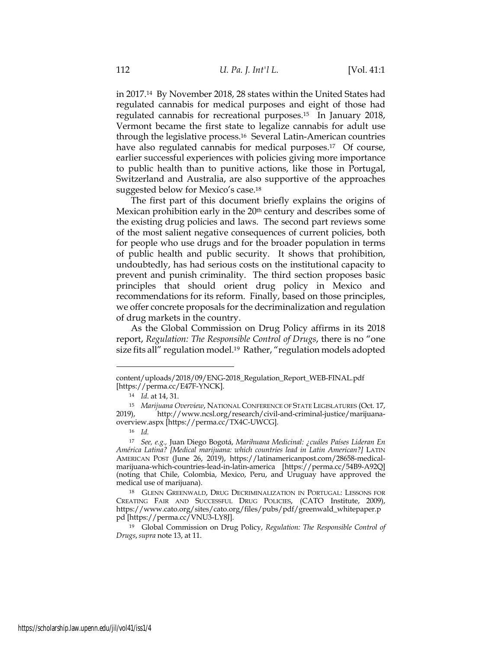in 2017.14 By November 2018, 28 states within the United States had regulated cannabis for medical purposes and eight of those had regulated cannabis for recreational purposes.15 In January 2018, Vermont became the first state to legalize cannabis for adult use through the legislative process.16 Several Latin-American countries have also regulated cannabis for medical purposes.<sup>17</sup> Of course, earlier successful experiences with policies giving more importance to public health than to punitive actions, like those in Portugal, Switzerland and Australia, are also supportive of the approaches suggested below for Mexico's case.18

The first part of this document briefly explains the origins of Mexican prohibition early in the 20<sup>th</sup> century and describes some of the existing drug policies and laws. The second part reviews some of the most salient negative consequences of current policies, both for people who use drugs and for the broader population in terms of public health and public security. It shows that prohibition, undoubtedly, has had serious costs on the institutional capacity to prevent and punish criminality. The third section proposes basic principles that should orient drug policy in Mexico and recommendations for its reform. Finally, based on those principles, we offer concrete proposals for the decriminalization and regulation of drug markets in the country.

As the Global Commission on Drug Policy affirms in its 2018 report, *Regulation: The Responsible Control of Drugs*, there is no "one size fits all" regulation model.19 Rather, "regulation models adopted

content/uploads/2018/09/ENG-2018\_Regulation\_Report\_WEB-FINAL.pdf [https://perma.cc/E47F-YNCK].

<sup>14</sup> *Id*. at 14, 31.

<sup>15</sup> *Marijuana Overview*, NATIONAL CONFERENCE OF STATE LEGISLATURES (Oct. 17, 2019), http://www.ncsl.org/research/civil-and-criminal-justice/marijuanaoverview.aspx [https://perma.cc/TX4C-UWCG].

<sup>16</sup> *Id.*

<sup>17</sup> *See, e.g.,* Juan Diego Bogotá, *Marihuana Medicinal: ¿cuáles Países Lideran En América Latina? [Medical marijuana: which countries lead in Latin American?]* LATIN AMERICAN POST (June 26, 2019), https://latinamericanpost.com/28658-medicalmarijuana-which-countries-lead-in-latin-america [https://perma.cc/54B9-A92Q] (noting that Chile, Colombia, Mexico, Peru, and Uruguay have approved the medical use of marijuana).

<sup>18</sup> GLENN GREENWALD, DRUG DECRIMINALIZATION IN PORTUGAL: LESSONS FOR CREATING FAIR AND SUCCESSFUL DRUG POLICIES, (CATO Institute, 2009), https://www.cato.org/sites/cato.org/files/pubs/pdf/greenwald\_whitepaper.p pd [https://perma.cc/VNU3-LY8J].

<sup>19</sup> Global Commission on Drug Policy, *Regulation: The Responsible Control of Drugs*,*supra* note 13, at 11.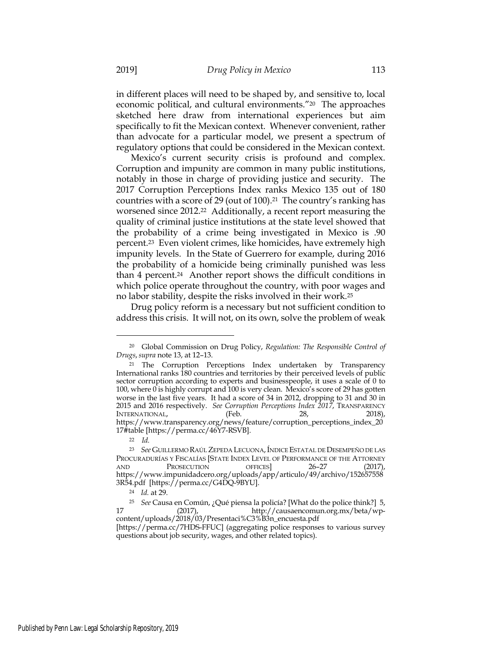in different places will need to be shaped by, and sensitive to, local economic political, and cultural environments."20 The approaches sketched here draw from international experiences but aim specifically to fit the Mexican context. Whenever convenient, rather than advocate for a particular model, we present a spectrum of regulatory options that could be considered in the Mexican context.

Mexico's current security crisis is profound and complex. Corruption and impunity are common in many public institutions, notably in those in charge of providing justice and security. The 2017 Corruption Perceptions Index ranks Mexico 135 out of 180 countries with a score of 29 (out of 100).21 The country's ranking has worsened since 2012.22 Additionally, a recent report measuring the quality of criminal justice institutions at the state level showed that the probability of a crime being investigated in Mexico is .90 percent.23 Even violent crimes, like homicides, have extremely high impunity levels. In the State of Guerrero for example, during 2016 the probability of a homicide being criminally punished was less than 4 percent.24 Another report shows the difficult conditions in which police operate throughout the country, with poor wages and no labor stability, despite the risks involved in their work.25

Drug policy reform is a necessary but not sufficient condition to address this crisis. It will not, on its own, solve the problem of weak

<sup>20</sup> Global Commission on Drug Policy, *Regulation: The Responsible Control of Drugs*,*supra* note 13, at 12–13.

<sup>&</sup>lt;sup>21</sup> The Corruption Perceptions Index undertaken by Transparency International ranks 180 countries and territories by their perceived levels of public sector corruption according to experts and businesspeople, it uses a scale of 0 to 100, where 0 is highly corrupt and 100 is very clean. Mexico's score of 29 has gotten worse in the last five years. It had a score of 34 in 2012, dropping to 31 and 30 in 2015 and 2016 respectively. *See Corruption Perceptions Index 2017*, TRANSPARENCY INTERNATIONAL, (Feb. 28, 2018), https://www.transparency.org/news/feature/corruption\_perceptions\_index\_20 17#table [https://perma.cc/46Y7-RSVB].

<sup>22</sup> *Id.*

<sup>23</sup> *See* GUILLERMO RAÚLZEPEDA LECUONA,ÍNDICE ESTATAL DE DESEMPEÑO DE LAS PROCURADURÍAS Y FISCALÍAS [STATE INDEX LEVEL OF PERFORMANCE OF THE ATTORNEY AND PROSECUTION OFFICES] 26–27 (2017), https://www.impunidadcero.org/uploads/app/articulo/49/archivo/152657558 3R54.pdf [https://perma.cc/G4DQ-9BYU].

<sup>24</sup> *Id.* at 29.

<sup>25</sup> *See* Causa en Común, ¿Qué piensa la policía? [What do the police think?] 5, 17 (2017), http://causaencomun.org.mx/beta/wpcontent/uploads/2018/03/Presentaci%C3%B3n\_encuesta.pdf

<sup>[</sup>https://perma.cc/7HDS-FFUC] (aggregating police responses to various survey questions about job security, wages, and other related topics).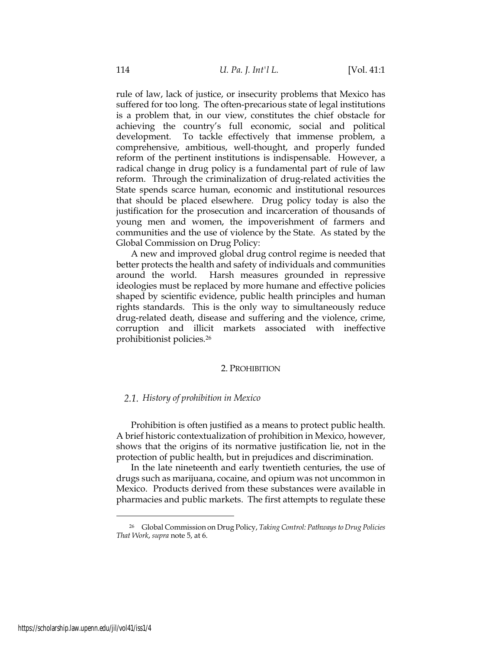rule of law, lack of justice, or insecurity problems that Mexico has suffered for too long. The often-precarious state of legal institutions is a problem that, in our view, constitutes the chief obstacle for achieving the country's full economic, social and political development. To tackle effectively that immense problem, a comprehensive, ambitious, well-thought, and properly funded reform of the pertinent institutions is indispensable. However, a radical change in drug policy is a fundamental part of rule of law reform. Through the criminalization of drug-related activities the State spends scarce human, economic and institutional resources that should be placed elsewhere. Drug policy today is also the justification for the prosecution and incarceration of thousands of young men and women, the impoverishment of farmers and communities and the use of violence by the State. As stated by the Global Commission on Drug Policy:

A new and improved global drug control regime is needed that better protects the health and safety of individuals and communities around the world. Harsh measures grounded in repressive ideologies must be replaced by more humane and effective policies shaped by scientific evidence, public health principles and human rights standards. This is the only way to simultaneously reduce drug-related death, disease and suffering and the violence, crime, corruption and illicit markets associated with ineffective prohibitionist policies*.*<sup>26</sup>

## 2. PROHIBITION

### *History of prohibition in Mexico*

Prohibition is often justified as a means to protect public health. A brief historic contextualization of prohibition in Mexico, however, shows that the origins of its normative justification lie, not in the protection of public health, but in prejudices and discrimination.

In the late nineteenth and early twentieth centuries, the use of drugs such as marijuana, cocaine, and opium was not uncommon in Mexico. Products derived from these substances were available in pharmacies and public markets. The first attempts to regulate these

<sup>26</sup> Global Commission on Drug Policy, *Taking Control: Pathways to Drug Policies That Work*, *supra* note 5, at 6.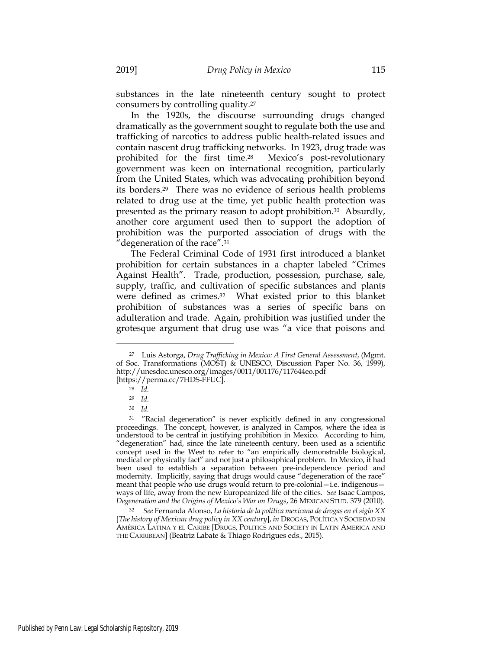substances in the late nineteenth century sought to protect consumers by controlling quality.27

In the 1920s, the discourse surrounding drugs changed dramatically as the government sought to regulate both the use and trafficking of narcotics to address public health-related issues and contain nascent drug trafficking networks. In 1923, drug trade was prohibited for the first time.28 Mexico's post-revolutionary government was keen on international recognition, particularly from the United States, which was advocating prohibition beyond its borders.29 There was no evidence of serious health problems related to drug use at the time, yet public health protection was presented as the primary reason to adopt prohibition.30 Absurdly, another core argument used then to support the adoption of prohibition was the purported association of drugs with the "degeneration of the race".31

The Federal Criminal Code of 1931 first introduced a blanket prohibition for certain substances in a chapter labeled "Crimes Against Health". Trade, production, possession, purchase, sale, supply, traffic, and cultivation of specific substances and plants were defined as crimes.32 What existed prior to this blanket prohibition of substances was a series of specific bans on adulteration and trade. Again, prohibition was justified under the grotesque argument that drug use was "a vice that poisons and

<sup>31</sup> "Racial degeneration" is never explicitly defined in any congressional proceedings. The concept, however, is analyzed in Campos, where the idea is understood to be central in justifying prohibition in Mexico. According to him, "degeneration" had, since the late nineteenth century, been used as a scientific concept used in the West to refer to "an empirically demonstrable biological, medical or physically fact" and not just a philosophical problem. In Mexico, it had been used to establish a separation between pre-independence period and modernity. Implicitly, saying that drugs would cause "degeneration of the race" meant that people who use drugs would return to pre-colonial—i.e. indigenous ways of life, away from the new Europeanized life of the cities. *See* Isaac Campos, *Degeneration and the Origins of Mexico's War on Drugs*, 26 MEXICAN STUD. 379 (2010).

<sup>32</sup> *See* Fernanda Alonso, *La historia de la política mexicana de drogas en el siglo XX*  [*The history of Mexican drug policy in XX century*], *in* DROGAS, POLÍTICA Y SOCIEDAD EN AMÉRICA LATINA Y EL CARIBE [DRUGS, POLITICS AND SOCIETY IN LATIN AMERICA AND THE CARRIBEAN] (Beatriz Labate & Thiago Rodrigues eds., 2015).

<sup>27</sup> Luis Astorga, *Drug Trafficking in Mexico: A First General Assessment*, (Mgmt. of Soc. Transformations (MOST)  $\&$  UNESCO, Discussion Paper No. 36, 1999), http://unesdoc.unesco.org/images/0011/001176/117644eo.pdf [https://perma.cc/7HDS-FFUC].

<sup>28</sup> *Id.*

<sup>29</sup> *Id.*

<sup>30</sup> *Id.*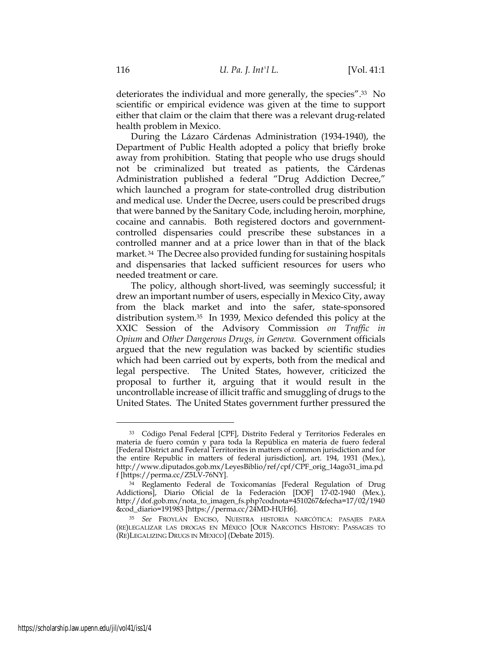deteriorates the individual and more generally, the species".33 No scientific or empirical evidence was given at the time to support either that claim or the claim that there was a relevant drug-related health problem in Mexico.

During the Lázaro Cárdenas Administration (1934-1940), the Department of Public Health adopted a policy that briefly broke away from prohibition. Stating that people who use drugs should not be criminalized but treated as patients, the Cárdenas Administration published a federal "Drug Addiction Decree," which launched a program for state-controlled drug distribution and medical use. Under the Decree, users could be prescribed drugs that were banned by the Sanitary Code, including heroin, morphine, cocaine and cannabis. Both registered doctors and governmentcontrolled dispensaries could prescribe these substances in a controlled manner and at a price lower than in that of the black market. 34 The Decree also provided funding for sustaining hospitals and dispensaries that lacked sufficient resources for users who needed treatment or care.

The policy, although short-lived, was seemingly successful; it drew an important number of users, especially in Mexico City, away from the black market and into the safer, state-sponsored distribution system.35 In 1939, Mexico defended this policy at the XXIC Session of the Advisory Commission *on Traffic in Opium* and *Other Dangerous Drugs, in Geneva.* Government officials argued that the new regulation was backed by scientific studies which had been carried out by experts, both from the medical and legal perspective. The United States, however, criticized the proposal to further it, arguing that it would result in the uncontrollable increase of illicit traffic and smuggling of drugs to the United States. The United States government further pressured the

<sup>33</sup> Código Penal Federal [CPF], Distrito Federal y Territorios Federales en materia de fuero común y para toda la República en materia de fuero federal [Federal District and Federal Territorites in matters of common jurisdiction and for the entire Republic in matters of federal jurisdiction], art. 194, 1931 (Mex.), http://www.diputados.gob.mx/LeyesBiblio/ref/cpf/CPF\_orig\_14ago31\_ima.pd f [https://perma.cc/Z5LV-76NY].

<sup>34</sup> Reglamento Federal de Toxicomanías [Federal Regulation of Drug Addictions], Diario Oficial de la Federación [DOF] 17-02-1940 (Mex.), http://dof.gob.mx/nota\_to\_imagen\_fs.php?codnota=4510267&fecha=17/02/1940 &cod\_diario=191983 [https://perma.cc/24MD-HUH6].

<sup>35</sup> *See* FROYLÁN ENCISO, NUESTRA HISTORIA NARCÓTICA: PASAJES PARA (RE)LEGALIZAR LAS DROGAS EN MÉXICO [OUR NARCOTICS HISTORY: PASSAGES TO (RE)LEGALIZING DRUGS IN MEXICO] (Debate 2015).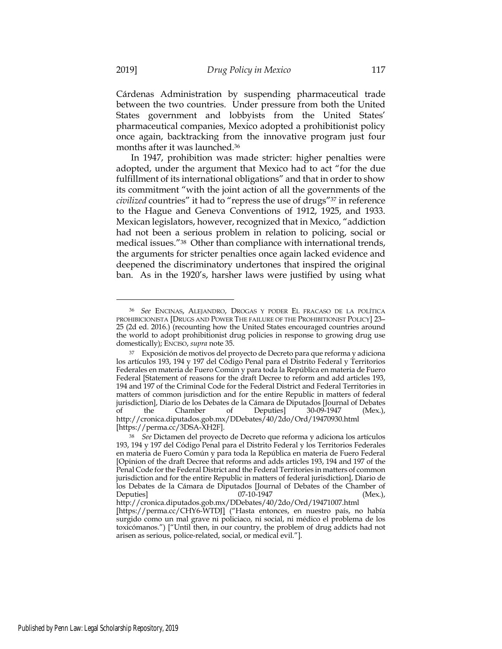Cárdenas Administration by suspending pharmaceutical trade between the two countries. Under pressure from both the United States government and lobbyists from the United States' pharmaceutical companies, Mexico adopted a prohibitionist policy once again, backtracking from the innovative program just four months after it was launched.36

In 1947, prohibition was made stricter: higher penalties were adopted, under the argument that Mexico had to act "for the due fulfillment of its international obligations" and that in order to show its commitment "with the joint action of all the governments of the *civilized* countries" it had to "repress the use of drugs"37 in reference to the Hague and Geneva Conventions of 1912, 1925, and 1933. Mexican legislators, however, recognized that in Mexico, "addiction had not been a serious problem in relation to policing, social or medical issues."38 Other than compliance with international trends, the arguments for stricter penalties once again lacked evidence and deepened the discriminatory undertones that inspired the original ban. As in the 1920's, harsher laws were justified by using what

<sup>36</sup> *See* ENCINAS, ALEJANDRO, DROGAS Y PODER EL FRACASO DE LA POLÍTICA PROHIBICIONISTA [DRUGS AND POWER THE FAILURE OF THE PROHIBITIONIST POLICY] 23– 25 (2d ed. 2016.) (recounting how the United States encouraged countries around the world to adopt prohibitionist drug policies in response to growing drug use domestically); ENCISO, *supra* note 35.

<sup>37</sup> Exposición de motivos del proyecto de Decreto para que reforma y adiciona los artículos 193, 194 y 197 del Código Penal para el Distrito Federal y Territorios Federales en materia de Fuero Común y para toda la República en materia de Fuero Federal [Statement of reasons for the draft Decree to reform and add articles 193, 194 and 197 of the Criminal Code for the Federal District and Federal Territories in matters of common jurisdiction and for the entire Republic in matters of federal jurisdiction], Diario de los Debates de la Cámara de Diputados [Journal of Debates of the Chamber of Deputies] 30-09-1947 (Mex.), http://cronica.diputados.gob.mx/DDebates/40/2do/Ord/19470930.html [https://perma.cc/3DSA-XH2F].

<sup>38</sup> *See* Dictamen del proyecto de Decreto que reforma y adiciona los artículos 193, 194 y 197 del Código Penal para el Distrito Federal y los Territorios Federales en materia de Fuero Común y para toda la República en materia de Fuero Federal [Opinion of the draft Decree that reforms and adds articles 193, 194 and 197 of the Penal Code for the Federal District and the Federal Territories in matters of common jurisdiction and for the entire Republic in matters of federal jurisdiction], Diario de los Debates de la Cámara de Diputados [Journal of Debates of the Chamber of Deputies] 07-10-1947 (Mex.),

http://cronica.diputados.gob.mx/DDebates/40/2do/Ord/19471007.html [https://perma.cc/CHY6-WTDJ] ("Hasta entonces, en nuestro país, no había surgido como un mal grave ni policiaco, ni social, ni médico el problema de los toxicómanos.") ["Until then, in our country, the problem of drug addicts had not arisen as serious, police-related, social, or medical evil."].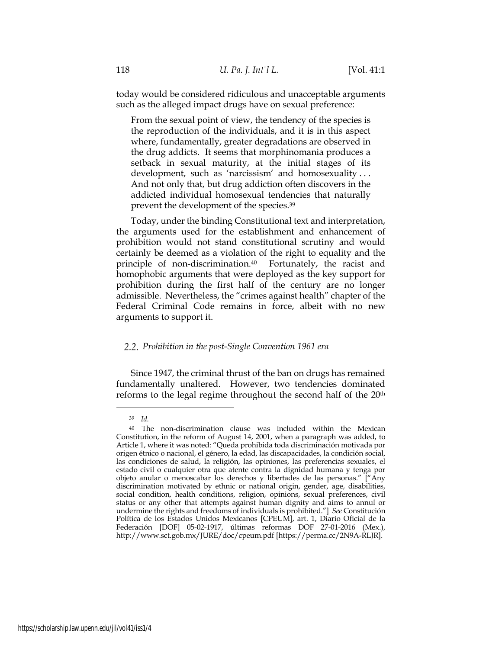today would be considered ridiculous and unacceptable arguments such as the alleged impact drugs have on sexual preference:

From the sexual point of view, the tendency of the species is the reproduction of the individuals, and it is in this aspect where, fundamentally, greater degradations are observed in the drug addicts. It seems that morphinomania produces a setback in sexual maturity, at the initial stages of its development, such as 'narcissism' and homosexuality . . . And not only that, but drug addiction often discovers in the addicted individual homosexual tendencies that naturally prevent the development of the species.39

Today, under the binding Constitutional text and interpretation, the arguments used for the establishment and enhancement of prohibition would not stand constitutional scrutiny and would certainly be deemed as a violation of the right to equality and the principle of non-discrimination.40 Fortunately, the racist and homophobic arguments that were deployed as the key support for prohibition during the first half of the century are no longer admissible. Nevertheless, the "crimes against health" chapter of the Federal Criminal Code remains in force, albeit with no new arguments to support it.

## *Prohibition in the post-Single Convention 1961 era*

Since 1947, the criminal thrust of the ban on drugs has remained fundamentally unaltered. However, two tendencies dominated reforms to the legal regime throughout the second half of the 20th

<sup>39</sup> *Id.*

<sup>40</sup> The non-discrimination clause was included within the Mexican Constitution, in the reform of August 14, 2001, when a paragraph was added, to Article 1, where it was noted: "Queda prohibida toda discriminación motivada por origen étnico o nacional, el género, la edad, las discapacidades, la condición social, las condiciones de salud, la religión, las opiniones, las preferencias sexuales, el estado civil o cualquier otra que atente contra la dignidad humana y tenga por objeto anular o menoscabar los derechos y libertades de las personas." ["Any discrimination motivated by ethnic or national origin, gender, age, disabilities, social condition, health conditions, religion, opinions, sexual preferences, civil status or any other that attempts against human dignity and aims to annul or undermine the rights and freedoms of individuals is prohibited."] *See* Constitución Política de los Estados Unidos Mexicanos [CPEUM], art. 1, Diario Oficial de la Federación [DOF] 05-02-1917, últimas reformas DOF 27-01-2016 (Mex.), http://www.sct.gob.mx/JURE/doc/cpeum.pdf [https://perma.cc/2N9A-RLJR].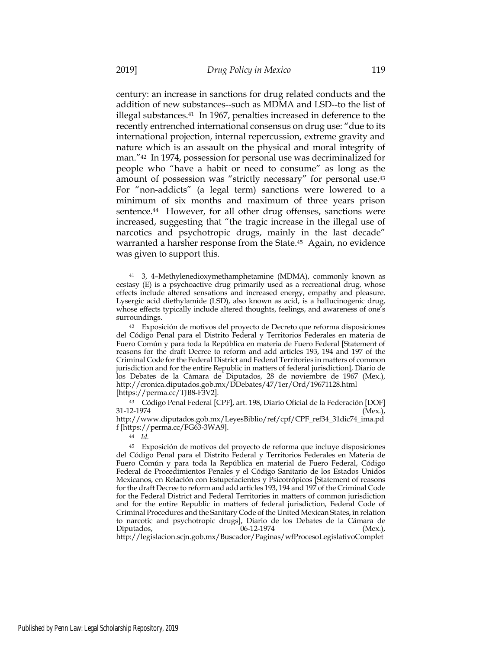century: an increase in sanctions for drug related conducts and the addition of new substances--such as MDMA and LSD--to the list of illegal substances.<sup>41</sup> In 1967, penalties increased in deference to the recently entrenched international consensus on drug use: "due to its international projection, internal repercussion, extreme gravity and nature which is an assault on the physical and moral integrity of man."42 In 1974, possession for personal use was decriminalized for people who "have a habit or need to consume" as long as the amount of possession was "strictly necessary" for personal use.43 For "non-addicts" (a legal term) sanctions were lowered to a minimum of six months and maximum of three years prison sentence.<sup>44</sup> However, for all other drug offenses, sanctions were increased, suggesting that "the tragic increase in the illegal use of narcotics and psychotropic drugs, mainly in the last decade" warranted a harsher response from the State.45 Again, no evidence was given to support this.

<sup>41</sup> 3, 4–Methylenedioxymethamphetamine (MDMA), commonly known as ecstasy (E) is a psychoactive drug primarily used as a recreational drug, whose effects include altered sensations and increased energy, empathy and pleasure. Lysergic acid diethylamide (LSD), also known as acid, is a hallucinogenic drug, whose effects typically include altered thoughts, feelings, and awareness of one's surroundings.

<sup>42</sup> Exposición de motivos del proyecto de Decreto que reforma disposiciones del Código Penal para el Distrito Federal y Territorios Federales en materia de Fuero Común y para toda la República en materia de Fuero Federal [Statement of reasons for the draft Decree to reform and add articles 193, 194 and 197 of the Criminal Code for the Federal District and Federal Territories in matters of common jurisdiction and for the entire Republic in matters of federal jurisdiction], Diario de los Debates de la Cámara de Diputados, 28 de noviembre de 1967 (Mex.), http://cronica.diputados.gob.mx/DDebates/47/1er/Ord/19671128.html [https://perma.cc/TJB8-F3V2].

<sup>43</sup> Código Penal Federal [CPF], art. 198, Diario Oficial de la Federación [DOF]  $31-12-1974$  (Mex.),

http://www.diputados.gob.mx/LeyesBiblio/ref/cpf/CPF\_ref34\_31dic74\_ima.pd f [https://perma.cc/FG63-3WA9].

<sup>44</sup> *Id.*

<sup>45</sup> Exposición de motivos del proyecto de reforma que incluye disposiciones del Código Penal para el Distrito Federal y Territorios Federales en Materia de Fuero Común y para toda la República en material de Fuero Federal, Código Federal de Procedimientos Penales y el Código Sanitario de los Estados Unidos Mexicanos, en Relación con Estupefacientes y Psicotrópicos [Statement of reasons for the draft Decree to reform and add articles 193, 194 and 197 of the Criminal Code for the Federal District and Federal Territories in matters of common jurisdiction and for the entire Republic in matters of federal jurisdiction, Federal Code of Criminal Procedures and the Sanitary Code of the United Mexican States, in relation to narcotic and psychotropic drugs], Diario de los Debates de la Cámara de Diputados, 06-12-1974 (Mex.), http://legislacion.scjn.gob.mx/Buscador/Paginas/wfProcesoLegislativoComplet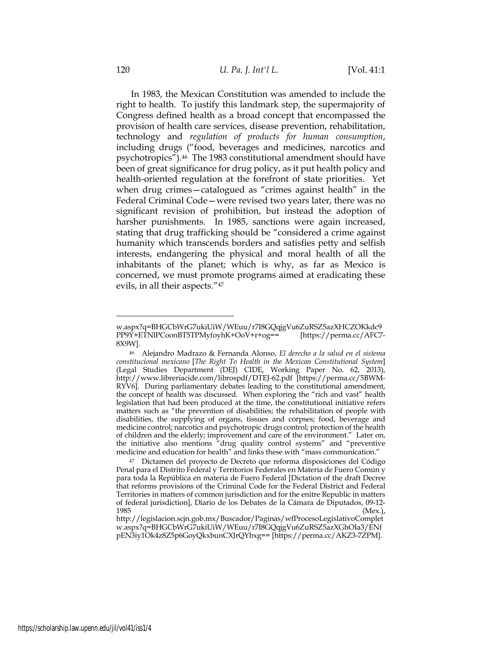In 1983, the Mexican Constitution was amended to include the right to health. To justify this landmark step, the supermajority of Congress defined health as a broad concept that encompassed the provision of health care services, disease prevention, rehabilitation, technology and *regulation of products for human consumption*, including drugs ("food, beverages and medicines, narcotics and psychotropics").46 The 1983 constitutional amendment should have been of great significance for drug policy, as it put health policy and health-oriented regulation at the forefront of state priorities. Yet when drug crimes—catalogued as "crimes against health" in the Federal Criminal Code—were revised two years later, there was no significant revision of prohibition, but instead the adoption of harsher punishments. In 1985, sanctions were again increased, stating that drug trafficking should be "considered a crime against humanity which transcends borders and satisfies petty and selfish interests, endangering the physical and moral health of all the inhabitants of the planet; which is why, as far as Mexico is concerned, we must promote programs aimed at eradicating these evils, in all their aspects."47

w.aspx?q=BHGCbWrG7ukiUiW/WEuu/r7I8GQqjgVu6ZuRSZ5azXHCZOKkdc9 PP9Y+ETNlPCoonBT5TPMyfoyhK+OoV+r+og== [https://perma.cc/AFC7-8X9W].

<sup>46</sup> Alejandro Madrazo & Fernanda Alonso, *El derecho a la salud en el sistema constitucional mexicano* [*The Right To Health in the Mexican Constitutional System*] (Legal Studies Department (DEJ) CIDE, Working Paper No. 62, 2013), http://www.libreriacide.com/librospdf/DTEJ-62.pdf [https://perma.cc/5BWM-RYV6]. During parliamentary debates leading to the constitutional amendment, the concept of health was discussed. When exploring the "rich and vast" health legislation that had been produced at the time, the constitutional initiative refers matters such as "the prevention of disabilities; the rehabilitation of people with disabilities, the supplying of organs, tissues and corpses; food, beverage and medicine control; narcotics and psychotropic drugs control; protection of the health of children and the elderly; improvement and care of the environment." Later on, the initiative also mentions "drug quality control systems" and "preventive medicine and education for health" and links these with "mass communication."

<sup>47</sup> Dictamen del proyecto de Decreto que reforma disposiciones del Código Penal para el Distrito Federal y Territorios Federales en Materia de Fuero Común y para toda la República en materia de Fuero Federal [Dictation of the draft Decree that reforms provisions of the Criminal Code for the Federal District and Federal Territories in matters of common jurisdiction and for the enitre Republic in matters of federal jurisdiction], Diario de los Debates de la Cámara de Diputados, 09-12- 1985 (Mex.),

http://legislacion.scjn.gob.mx/Buscador/Paginas/wfProcesoLegislativoComplet w.aspx?q=BHGCbWrG7ukiUiW/WEuu/r7I8GQqjgVu6ZuRSZ5azXGhOIa3/ENf pEN3iy1Ok4z8Z5p6GoyQkxbunCXJrQYbxg== [https://perma.cc/AKZ3-7ZPM].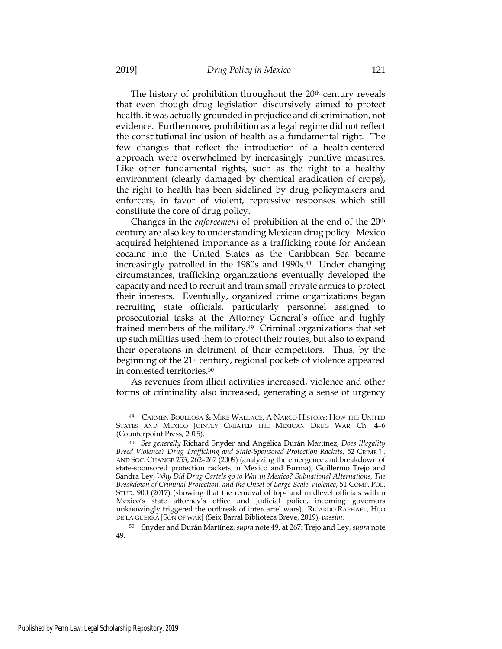The history of prohibition throughout the  $20<sup>th</sup>$  century reveals that even though drug legislation discursively aimed to protect health, it was actually grounded in prejudice and discrimination, not evidence. Furthermore, prohibition as a legal regime did not reflect the constitutional inclusion of health as a fundamental right. The few changes that reflect the introduction of a health-centered approach were overwhelmed by increasingly punitive measures. Like other fundamental rights, such as the right to a healthy environment (clearly damaged by chemical eradication of crops), the right to health has been sidelined by drug policymakers and enforcers, in favor of violent, repressive responses which still constitute the core of drug policy.

Changes in the *enforcement* of prohibition at the end of the 20th century are also key to understanding Mexican drug policy. Mexico acquired heightened importance as a trafficking route for Andean cocaine into the United States as the Caribbean Sea became increasingly patrolled in the 1980s and 1990s.<sup>48</sup> Under changing circumstances, trafficking organizations eventually developed the capacity and need to recruit and train small private armies to protect their interests. Eventually, organized crime organizations began recruiting state officials, particularly personnel assigned to prosecutorial tasks at the Attorney General's office and highly trained members of the military.49 Criminal organizations that set up such militias used them to protect their routes, but also to expand their operations in detriment of their competitors. Thus, by the beginning of the 21st century, regional pockets of violence appeared in contested territories.50

As revenues from illicit activities increased, violence and other forms of criminality also increased, generating a sense of urgency

<sup>48</sup> CARMEN BOULLOSA & MIKE WALLACE, A NARCO HISTORY: HOW THE UNITED STATES AND MEXICO JOINTLY CREATED THE MEXICAN DRUG WAR Ch. 4–6 (Counterpoint Press, 2015).

<sup>49</sup> *See generally* Richard Snyder and Angélica Durán Martínez, *Does Illegality Breed Violence? Drug Trafficking and State-Sponsored Protection Rackets*, 52 CRIME L. AND SOC. CHANGE 253, 262–267 (2009) (analyzing the emergence and breakdown of state-sponsored protection rackets in Mexico and Burma); Guillermo Trejo and Sandra Ley, *Why Did Drug Cartels go to War in Mexico? Subnational Alternations, The Breakdown of Criminal Protection, and the Onset of Large-Scale Violence*, 51 COMP. POL. STUD. 900 (2017) (showing that the removal of top- and midlevel officials within Mexico's state attorney's office and judicial police, incoming governors unknowingly triggered the outbreak of intercartel wars). RICARDO RAPHAEL, HIJO DE LA GUERRA [SON OF WAR] (Seix Barral Biblioteca Breve, 2019), *passim.*

<sup>50</sup> Snyder and Durán Martínez, *supra* note 49, at 267; Trejo and Ley, *supra* note 49.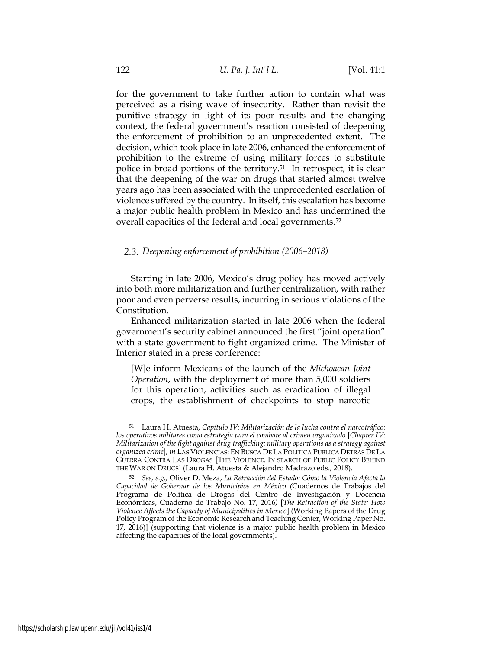for the government to take further action to contain what was perceived as a rising wave of insecurity. Rather than revisit the punitive strategy in light of its poor results and the changing context, the federal government's reaction consisted of deepening the enforcement of prohibition to an unprecedented extent. The decision, which took place in late 2006, enhanced the enforcement of prohibition to the extreme of using military forces to substitute police in broad portions of the territory.51 In retrospect, it is clear that the deepening of the war on drugs that started almost twelve years ago has been associated with the unprecedented escalation of violence suffered by the country. In itself, this escalation has become a major public health problem in Mexico and has undermined the overall capacities of the federal and local governments.52

## *Deepening enforcement of prohibition (2006–2018)*

Starting in late 2006, Mexico's drug policy has moved actively into both more militarization and further centralization, with rather poor and even perverse results, incurring in serious violations of the Constitution.

Enhanced militarization started in late 2006 when the federal government's security cabinet announced the first "joint operation" with a state government to fight organized crime. The Minister of Interior stated in a press conference:

[W]e inform Mexicans of the launch of the *Michoacan Joint Operation*, with the deployment of more than 5,000 soldiers for this operation, activities such as eradication of illegal crops, the establishment of checkpoints to stop narcotic

<sup>51</sup> Laura H. Atuesta, *Capítulo IV: Militarización de la lucha contra el narcotráfico: los operativos militares como estrategia para el combate al crimen organizado* [*Chapter IV: Militarization of the fight against drug trafficking: military operations as a strategy against organized crime*], *in* LAS VIOLENCIAS: EN BUSCA DE LA POLITICA PUBLICA DETRAS DE LA GUERRA CONTRA LAS DROGAS [THE VIOLENCE: IN SEARCH OF PUBLIC POLICY BEHIND THE WAR ON DRUGS] (Laura H. Atuesta & Alejandro Madrazo eds., 2018).

<sup>52</sup> *See, e.g.,* Oliver D. Meza, *La Retracción del Estado: Cómo la Violencia Afecta la Capacidad de Gobernar de los Municipios en México (*Cuadernos de Trabajos del Programa de Política de Drogas del Centro de Investigación y Docencia Económicas, Cuaderno de Trabajo No. 17, 2016*)* [*The Retraction of the State: How Violence Affects the Capacity of Municipalities in Mexico*] (Working Papers of the Drug Policy Program of the Economic Research and Teaching Center, Working Paper No. 17, 2016)] (supporting that violence is a major public health problem in Mexico affecting the capacities of the local governments).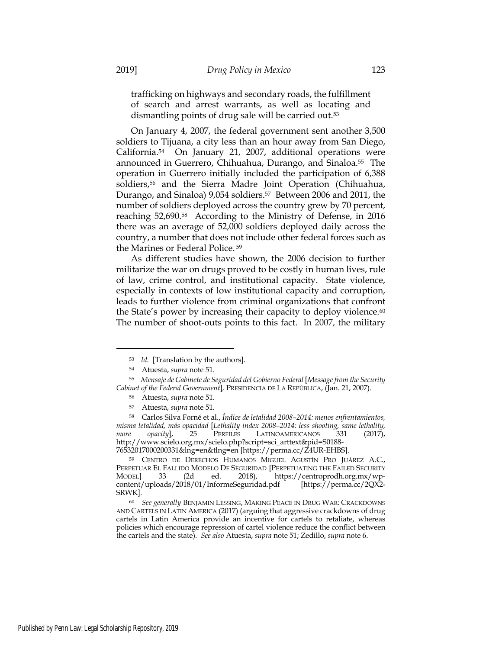trafficking on highways and secondary roads, the fulfillment of search and arrest warrants, as well as locating and dismantling points of drug sale will be carried out.53

On January 4, 2007, the federal government sent another 3,500 soldiers to Tijuana, a city less than an hour away from San Diego, California.54 On January 21, 2007, additional operations were announced in Guerrero, Chihuahua, Durango, and Sinaloa.55 The operation in Guerrero initially included the participation of 6,388 soldiers,<sup>56</sup> and the Sierra Madre Joint Operation (Chihuahua, Durango, and Sinaloa) 9,054 soldiers.<sup>57</sup> Between 2006 and 2011, the number of soldiers deployed across the country grew by 70 percent, reaching 52,690.58 According to the Ministry of Defense, in 2016 there was an average of 52,000 soldiers deployed daily across the country, a number that does not include other federal forces such as the Marines or Federal Police. <sup>59</sup>

As different studies have shown, the 2006 decision to further militarize the war on drugs proved to be costly in human lives, rule of law, crime control, and institutional capacity. State violence, especially in contexts of low institutional capacity and corruption, leads to further violence from criminal organizations that confront the State's power by increasing their capacity to deploy violence.<sup>60</sup> The number of shoot-outs points to this fact. In 2007, the military

<sup>53</sup> *Id.* [Translation by the authors].

<sup>54</sup> Atuesta, *supra* note 51.

<sup>55</sup> *Mensaje de Gabinete de Seguridad del Gobierno Federal* [*Message from the Security Cabinet of the Federal Government*]*,* PRESIDENCIA DE LA REPÚBLICA, (Jan. 21, 2007).

<sup>56</sup> Atuesta, *supra* note 51.

<sup>57</sup> Atuesta, *supra* note 51.

<sup>58</sup> Carlos Silva Forné et al., *Índice de letalidad 2008–2014: menos enfrentamientos, misma letalidad, más opacidad* [*Lethality index 2008–2014: less shooting, same lethality, more opacity*], 25 PERFILES LATINOAMERICANOS 331 (2017), http://www.scielo.org.mx/scielo.php?script=sci\_arttext&pid=S0188- 76532017000200331&lng=en&tlng=en [https://perma.cc/Z4UR-EHBS].

<sup>59</sup> CENTRO DE DERECHOS HUMANOS MIGUEL AGUSTÍN PRO JUÁREZ A.C., PERPETUAR EL FALLIDO MODELO DE SEGURIDAD [PERPETUATING THE FAILED SECURITY<br>MODELl 33 (2d ed. 2018), https://centroprodh.org.mx/wp-33 (2d ed. 2018), https://centroprodh.org.mx/wp-<br>
oads/2018/01/InformeSeguridad.pdf [https://perma.cc/2QX2content/uploads/2018/01/InformeSeguridad.pdf SRWK].

<sup>60</sup> *See generally* BENJAMIN LESSING, MAKING PEACE IN DRUG WAR: CRACKDOWNS AND CARTELS IN LATIN AMERICA (2017) (arguing that aggressive crackdowns of drug cartels in Latin America provide an incentive for cartels to retaliate, whereas policies which encourage repression of cartel violence reduce the conflict between the cartels and the state). *See also* Atuesta, *supra* note 51; Zedillo, *supra* note 6.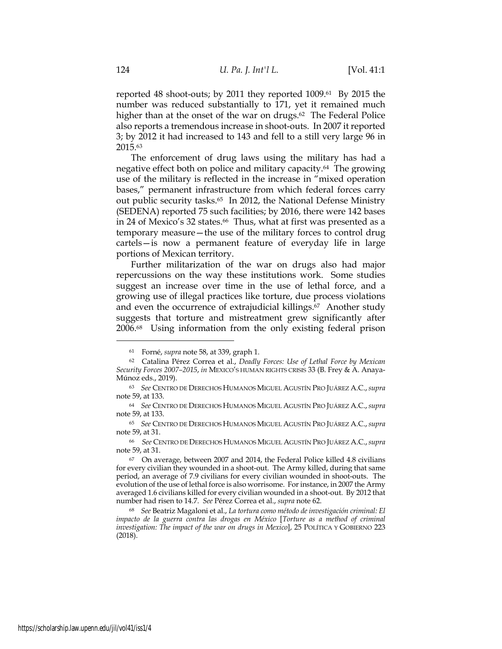reported 48 shoot-outs; by 2011 they reported 1009.61 By 2015 the number was reduced substantially to 171, yet it remained much higher than at the onset of the war on drugs.<sup>62</sup> The Federal Police also reports a tremendous increase in shoot-outs. In 2007 it reported 3; by 2012 it had increased to 143 and fell to a still very large 96 in 2015.63

The enforcement of drug laws using the military has had a negative effect both on police and military capacity.64 The growing use of the military is reflected in the increase in "mixed operation bases," permanent infrastructure from which federal forces carry out public security tasks.65 In 2012, the National Defense Ministry (SEDENA) reported 75 such facilities; by 2016, there were 142 bases in 24 of Mexico's 32 states.<sup>66</sup> Thus, what at first was presented as a temporary measure—the use of the military forces to control drug cartels—is now a permanent feature of everyday life in large portions of Mexican territory.

Further militarization of the war on drugs also had major repercussions on the way these institutions work. Some studies suggest an increase over time in the use of lethal force, and a growing use of illegal practices like torture, due process violations and even the occurrence of extrajudicial killings.<sup>67</sup> Another study suggests that torture and mistreatment grew significantly after 2006.68 Using information from the only existing federal prison

<sup>61</sup> Forné, *supra* note 58, at 339, graph 1.

<sup>62</sup> Catalina Pérez Correa et al., *Deadly Forces: Use of Lethal Force by Mexican Security Forces 2007–2015*, *in* MEXICO'S HUMAN RIGHTS CRISIS 33 (B. Frey & A. Anaya-Múnoz eds., 2019).

<sup>63</sup> *See* CENTRO DE DERECHOS HUMANOS MIGUEL AGUSTÍN PRO JUÁREZ A.C.,*supra*  note 59, at 133.

<sup>64</sup> *See* CENTRO DE DERECHOS HUMANOS MIGUEL AGUSTÍN PRO JUÁREZ A.C.,*supra*  note 59, at 133.

<sup>65</sup> *See* CENTRO DE DERECHOS HUMANOS MIGUEL AGUSTÍN PRO JUÁREZ A.C.,*supra*  note 59, at 31.

<sup>66</sup> *See* CENTRO DE DERECHOS HUMANOS MIGUEL AGUSTÍN PRO JUÁREZ A.C.,*supra*  note 59, at 31.

<sup>67</sup> On average, between 2007 and 2014, the Federal Police killed 4.8 civilians for every civilian they wounded in a shoot-out. The Army killed, during that same period, an average of 7.9 civilians for every civilian wounded in shoot-outs. The evolution of the use of lethal force is also worrisome. For instance, in 2007 the Army averaged 1.6 civilians killed for every civilian wounded in a shoot-out. By 2012 that number had risen to 14.7. *See* Pérez Correa et al., *supra* note 62.

<sup>68</sup> *See* Beatriz Magaloni et al., *La tortura como método de investigación criminal: El impacto de la guerra contra las drogas en México* [*Torture as a method of criminal investigation: The impact of the war on drugs in Mexico*], 25 POLÍTICA Y GOBIERNO 223 (2018).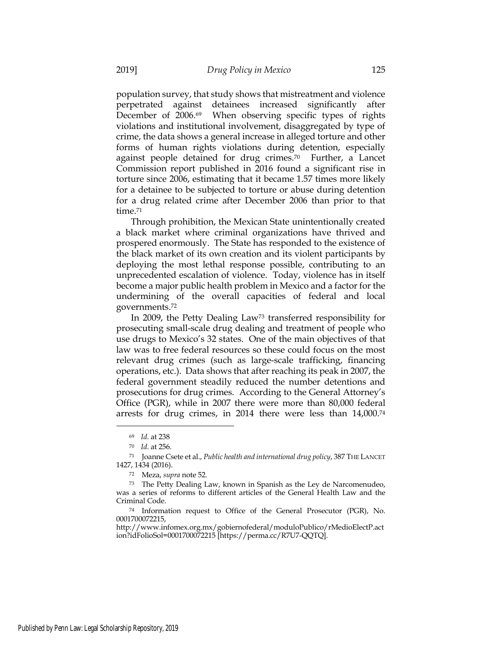population survey, that study shows that mistreatment and violence perpetrated against detainees increased significantly after December of 2006.69 When observing specific types of rights violations and institutional involvement, disaggregated by type of crime, the data shows a general increase in alleged torture and other forms of human rights violations during detention, especially against people detained for drug crimes.70 Further, a Lancet Commission report published in 2016 found a significant rise in torture since 2006, estimating that it became 1.57 times more likely for a detainee to be subjected to torture or abuse during detention for a drug related crime after December 2006 than prior to that time.71

Through prohibition, the Mexican State unintentionally created a black market where criminal organizations have thrived and prospered enormously. The State has responded to the existence of the black market of its own creation and its violent participants by deploying the most lethal response possible, contributing to an unprecedented escalation of violence. Today, violence has in itself become a major public health problem in Mexico and a factor for the undermining of the overall capacities of federal and local governments.72

In 2009, the Petty Dealing Law73 transferred responsibility for prosecuting small-scale drug dealing and treatment of people who use drugs to Mexico's 32 states. One of the main objectives of that law was to free federal resources so these could focus on the most relevant drug crimes (such as large-scale trafficking, financing operations, etc.). Data shows that after reaching its peak in 2007, the federal government steadily reduced the number detentions and prosecutions for drug crimes. According to the General Attorney's Office (PGR), while in 2007 there were more than 80,000 federal arrests for drug crimes, in 2014 there were less than 14,000.74

<sup>69</sup> *Id*. at 238

<sup>70</sup> *Id*. at 256.

<sup>71</sup> Joanne Csete et al., *Public health and international drug policy*, 387 THE LANCET 1427, 1434 (2016).

<sup>72</sup> Meza, *supra* note 52.

<sup>73</sup> The Petty Dealing Law, known in Spanish as the Ley de Narcomenudeo, was a series of reforms to different articles of the General Health Law and the Criminal Code.

<sup>74</sup> Information request to Office of the General Prosecutor (PGR), No. 0001700072215,

http://www.infomex.org.mx/gobiernofederal/moduloPublico/rMedioElectP.act ion?idFolioSol=0001700072215 [https://perma.cc/R7U7-QQTQ].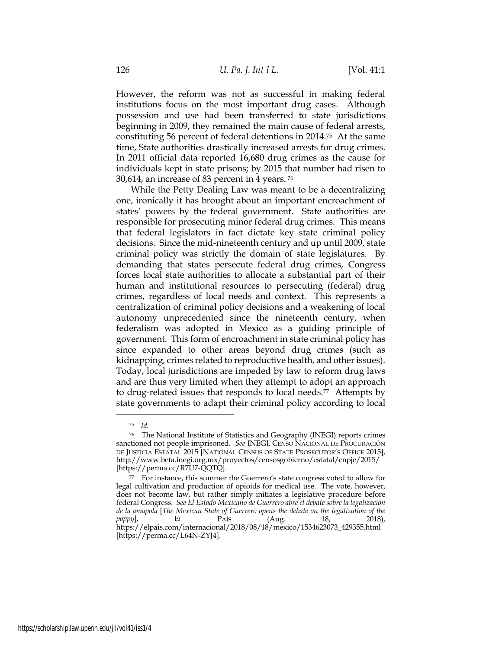However, the reform was not as successful in making federal institutions focus on the most important drug cases. Although possession and use had been transferred to state jurisdictions beginning in 2009, they remained the main cause of federal arrests, constituting 56 percent of federal detentions in 2014.75 At the same time, State authorities drastically increased arrests for drug crimes. In 2011 official data reported 16,680 drug crimes as the cause for individuals kept in state prisons; by 2015 that number had risen to 30,614, an increase of 83 percent in 4 years. <sup>76</sup>

While the Petty Dealing Law was meant to be a decentralizing one, ironically it has brought about an important encroachment of states' powers by the federal government. State authorities are responsible for prosecuting minor federal drug crimes. This means that federal legislators in fact dictate key state criminal policy decisions. Since the mid-nineteenth century and up until 2009, state criminal policy was strictly the domain of state legislatures. By demanding that states persecute federal drug crimes, Congress forces local state authorities to allocate a substantial part of their human and institutional resources to persecuting (federal) drug crimes, regardless of local needs and context. This represents a centralization of criminal policy decisions and a weakening of local autonomy unprecedented since the nineteenth century, when federalism was adopted in Mexico as a guiding principle of government. This form of encroachment in state criminal policy has since expanded to other areas beyond drug crimes (such as kidnapping, crimes related to reproductive health, and other issues). Today, local jurisdictions are impeded by law to reform drug laws and are thus very limited when they attempt to adopt an approach to drug-related issues that responds to local needs.77 Attempts by state governments to adapt their criminal policy according to local

<sup>75</sup> *Id.*

<sup>76</sup> The National Institute of Statistics and Geography (INEGI) reports crimes sanctioned not people imprisoned. *See* INEGI, CENSO NACIONAL DE PROCURACIÓN DE JUSTICIA ESTATAL 2015 [NATIONAL CENSUS OF STATE PROSECUTOR'S OFFICE 2015], http://www.beta.inegi.org.mx/proyectos/censosgobierno/estatal/cnpje/2015/ [https://perma.cc/R7U7-QQTQ].

<sup>77</sup> For instance, this summer the Guerrero's state congress voted to allow for legal cultivation and production of opioids for medical use. The vote, however, does not become law, but rather simply initiates a legislative procedure before federal Congress. *See El Estado Mexicano de Guerrero abre el debate sobre la legalización de la amapola* [*The Mexican State of Guerrero opens the debate on the legalization of the poppy*], **EL** PAÍS (Aug. 18, 2018), *poppy*], EL PAÍS (Aug. 18, 2018), https://elpais.com/internacional/2018/08/18/mexico/1534623073\_429355.html [https://perma.cc/L64N-ZYJ4].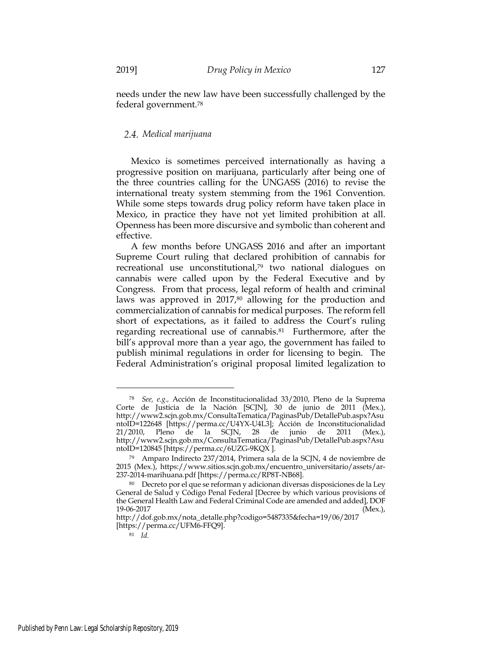needs under the new law have been successfully challenged by the federal government.78

## *Medical marijuana*

Mexico is sometimes perceived internationally as having a progressive position on marijuana, particularly after being one of the three countries calling for the UNGASS (2016) to revise the international treaty system stemming from the 1961 Convention. While some steps towards drug policy reform have taken place in Mexico, in practice they have not yet limited prohibition at all. Openness has been more discursive and symbolic than coherent and effective.

A few months before UNGASS 2016 and after an important Supreme Court ruling that declared prohibition of cannabis for recreational use unconstitutional,<sup>79</sup> two national dialogues on cannabis were called upon by the Federal Executive and by Congress. From that process, legal reform of health and criminal laws was approved in 2017,<sup>80</sup> allowing for the production and commercialization of cannabis for medical purposes. The reform fell short of expectations, as it failed to address the Court's ruling regarding recreational use of cannabis.81 Furthermore, after the bill's approval more than a year ago, the government has failed to publish minimal regulations in order for licensing to begin. The Federal Administration's original proposal limited legalization to

<sup>78</sup> *See, e.g.,* Acción de Inconstitucionalidad 33/2010, Pleno de la Suprema Corte de Justicia de la Nación [SCJN], 30 de junio de 2011 (Mex.), http://www2.scjn.gob.mx/ConsultaTematica/PaginasPub/DetallePub.aspx?Asu ntoID=122648 [https://perma.cc/U4YX-U4L3]; Acción de Inconstitucionalidad 21/2010, Pleno de la SCJN, 28 de junio de 2011 (Mex.), http://www2.scjn.gob.mx/ConsultaTematica/PaginasPub/DetallePub.aspx?Asu ntoID=120845 [https://perma.cc/6UZG-9KQX ].

<sup>79</sup> Amparo Indirecto 237/2014, Primera sala de la SCJN, 4 de noviembre de 2015 (Mex.), https://www.sitios.scjn.gob.mx/encuentro\_universitario/assets/ar-237-2014-marihuana.pdf [https://perma.cc/RP8T-NB68].

<sup>80</sup> Decreto por el que se reforman y adicionan diversas disposiciones de la Ley General de Salud y Código Penal Federal [Decree by which various provisions of the General Health Law and Federal Criminal Code are amended and added], DOF 19-06-2017 (Mex.),

http://dof.gob.mx/nota\_detalle.php?codigo=5487335&fecha=19/06/2017 [https://perma.cc/UFM6-FFQ9].

<sup>81</sup> *Id.*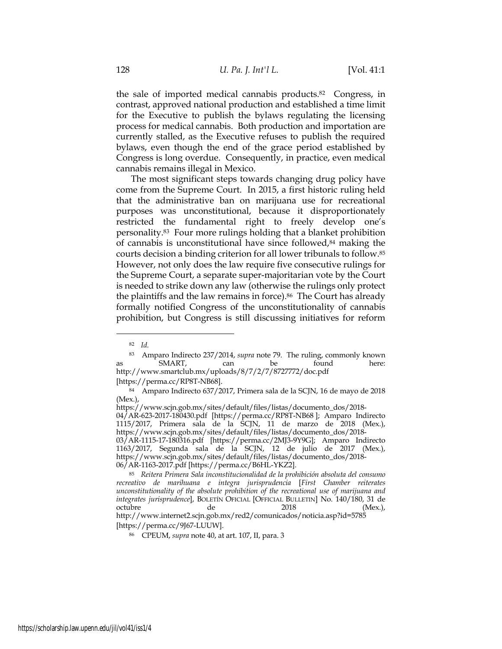the sale of imported medical cannabis products.82 Congress, in contrast, approved national production and established a time limit for the Executive to publish the bylaws regulating the licensing process for medical cannabis. Both production and importation are currently stalled, as the Executive refuses to publish the required bylaws, even though the end of the grace period established by Congress is long overdue. Consequently, in practice, even medical cannabis remains illegal in Mexico.

The most significant steps towards changing drug policy have come from the Supreme Court. In 2015, a first historic ruling held that the administrative ban on marijuana use for recreational purposes was unconstitutional, because it disproportionately restricted the fundamental right to freely develop one's personality.83 Four more rulings holding that a blanket prohibition of cannabis is unconstitutional have since followed,<sup>84</sup> making the courts decision a binding criterion for all lower tribunals to follow.85 However, not only does the law require five consecutive rulings for the Supreme Court, a separate super-majoritarian vote by the Court is needed to strike down any law (otherwise the rulings only protect the plaintiffs and the law remains in force).<sup>86</sup> The Court has already formally notified Congress of the unconstitutionality of cannabis prohibition, but Congress is still discussing initiatives for reform

[https://perma.cc/RP8T-NB68].

<sup>82</sup> *Id.*

<sup>83</sup> Amparo Indirecto 237/2014, *supra* note 79. The ruling, commonly known as SMART, can be found here: http://www.smartclub.mx/uploads/8/7/2/7/8727772/doc.pdf

<sup>84</sup> Amparo Indirecto 637/2017, Primera sala de la SCJN, 16 de mayo de 2018 (Mex.),

https://www.scjn.gob.mx/sites/default/files/listas/documento\_dos/2018-

<sup>04/</sup>AR-623-2017-180430.pdf [https://perma.cc/RP8T-NB68 ]; Amparo Indirecto 1115/2017, Primera sala de la SCJN, 11 de marzo de 2018 (Mex.), https://www.scjn.gob.mx/sites/default/files/listas/documento\_dos/2018- 03/AR-1115-17-180316.pdf [https://perma.cc/2MJ3-9Y9G]; Amparo Indirecto

<sup>1163/2017,</sup> Segunda sala de la SCJN, 12 de julio de 2017 (Mex.), https://www.scjn.gob.mx/sites/default/files/listas/documento\_dos/2018- 06/AR-1163-2017.pdf [https://perma.cc/B6HL-YKZ2].

<sup>85</sup> *Reitera Primera Sala inconstitucionalidad de la prohibición absoluta del consumo recreativo de marihuana e integra jurisprudencia* [*First Chamber reiterates unconstitutionality of the absolute prohibition of the recreational use of marijuana and integrates jurisprudence*], BOLETÍN OFICIAL [OFFICIAL BULLETIN] No. 140/180, 31 de octubre de 2018 (Mex.), http://www.internet2.scjn.gob.mx/red2/comunicados/noticia.asp?id=5785 [https://perma.cc/9J67-LUUW].

<sup>86</sup> CPEUM, *supra* note 40, at art. 107, II, para. 3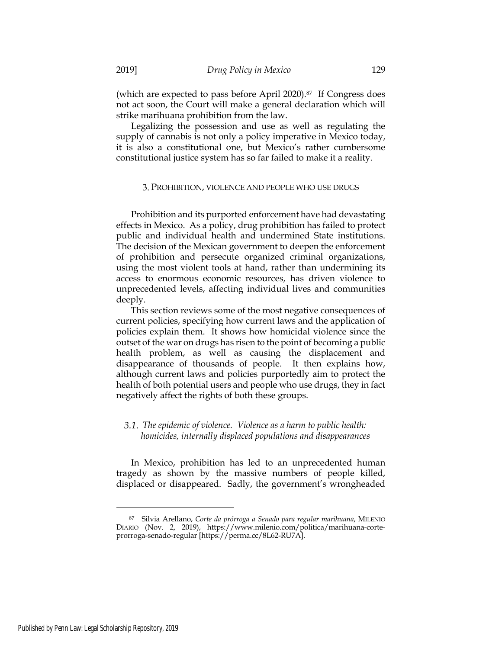(which are expected to pass before April 2020).87 If Congress does not act soon, the Court will make a general declaration which will strike marihuana prohibition from the law.

Legalizing the possession and use as well as regulating the supply of cannabis is not only a policy imperative in Mexico today, it is also a constitutional one, but Mexico's rather cumbersome constitutional justice system has so far failed to make it a reality.

### 3. PROHIBITION, VIOLENCE AND PEOPLE WHO USE DRUGS

Prohibition and its purported enforcement have had devastating effects in Mexico. As a policy, drug prohibition has failed to protect public and individual health and undermined State institutions. The decision of the Mexican government to deepen the enforcement of prohibition and persecute organized criminal organizations, using the most violent tools at hand, rather than undermining its access to enormous economic resources, has driven violence to unprecedented levels, affecting individual lives and communities deeply.

This section reviews some of the most negative consequences of current policies, specifying how current laws and the application of policies explain them. It shows how homicidal violence since the outset of the war on drugs has risen to the point of becoming a public health problem, as well as causing the displacement and disappearance of thousands of people. It then explains how, although current laws and policies purportedly aim to protect the health of both potential users and people who use drugs, they in fact negatively affect the rights of both these groups.

## *The epidemic of violence. Violence as a harm to public health: homicides, internally displaced populations and disappearances*

In Mexico, prohibition has led to an unprecedented human tragedy as shown by the massive numbers of people killed, displaced or disappeared. Sadly, the government's wrongheaded

<sup>87</sup> Silvia Arellano, *Corte da prórroga a Senado para regular marihuana*, MILENIO DIARIO (Nov. 2, 2019), https://www.milenio.com/politica/marihuana-corteprorroga-senado-regular [https://perma.cc/8L62-RU7A].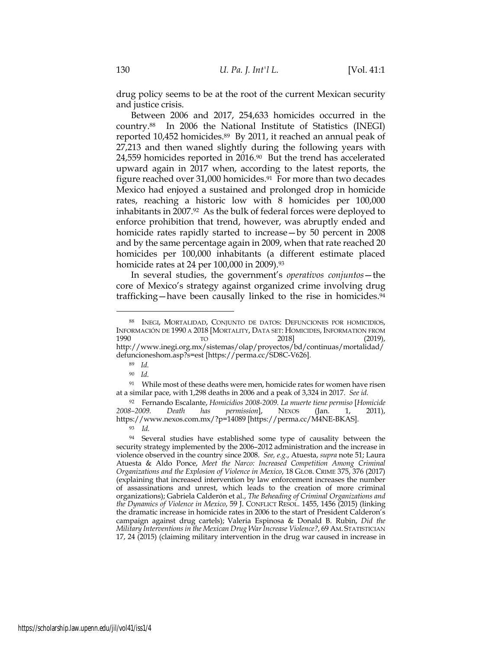drug policy seems to be at the root of the current Mexican security and justice crisis.

Between 2006 and 2017, 254,633 homicides occurred in the country.88 In 2006 the National Institute of Statistics (INEGI) reported 10,452 homicides.89 By 2011, it reached an annual peak of 27,213 and then waned slightly during the following years with 24,559 homicides reported in 2016.90 But the trend has accelerated upward again in 2017 when, according to the latest reports, the figure reached over 31,000 homicides.91 For more than two decades Mexico had enjoyed a sustained and prolonged drop in homicide rates, reaching a historic low with 8 homicides per 100,000 inhabitants in 2007.92 As the bulk of federal forces were deployed to enforce prohibition that trend, however, was abruptly ended and homicide rates rapidly started to increase—by 50 percent in 2008 and by the same percentage again in 2009, when that rate reached 20 homicides per 100,000 inhabitants (a different estimate placed homicide rates at 24 per 100,000 in 2009).93

In several studies, the government's *operativos conjuntos*—the core of Mexico's strategy against organized crime involving drug trafficking—have been causally linked to the rise in homicides.94

<sup>88</sup> INEGI, MORTALIDAD, CONJUNTO DE DATOS: DEFUNCIONES POR HOMICIDIOS, INFORMACIÓN DE 1990 A 2018 [MORTALITY, DATA SET: HOMICIDES, INFORMATION FROM 1990 TO 2018] (2019), http://www.inegi.org.mx/sistemas/olap/proyectos/bd/continuas/mortalidad/ defuncioneshom.asp?s=est [https://perma.cc/SD8C-V626].

<sup>89</sup> *Id.*

<sup>90</sup> *Id.*

<sup>&</sup>lt;sup>91</sup> While most of these deaths were men, homicide rates for women have risen at a similar pace, with 1,298 deaths in 2006 and a peak of 3,324 in 2017. *See id.*

<sup>92</sup> Fernando Escalante, *Homicidios 2008-2009. La muerte tiene permiso* [*Homicide permission*], NEXOS (Jan. 1, 2011), https://www.nexos.com.mx/?p=14089 [https://perma.cc/M4NE-BKAS]. <sup>93</sup> *Id.*

<sup>&</sup>lt;sup>94</sup> Several studies have established some type of causality between the security strategy implemented by the 2006–2012 administration and the increase in violence observed in the country since 2008. *See, e.g.*, Atuesta, *supra* note 51; Laura Atuesta & Aldo Ponce, *Meet the Narco: Increased Competition Among Criminal Organizations and the Explosion of Violence in Mexico*, 18 GLOB. CRIME 375, 376 (2017) (explaining that increased intervention by law enforcement increases the number of assassinations and unrest, which leads to the creation of more criminal organizations); Gabriela Calderón et al., *The Beheading of Criminal Organizations and the Dynamics of Violence in Mexico*, 59 J. CONFLICT RESOL. 1455, 1456 (2015) (linking the dramatic increase in homicide rates in 2006 to the start of President Calderon's campaign against drug cartels); Valeria Espinosa & Donald B. Rubin, *Did the Military Interventions in the Mexican Drug War Increase Violence?*, 69 AM. STATISTICIAN 17, 24 (2015) (claiming military intervention in the drug war caused in increase in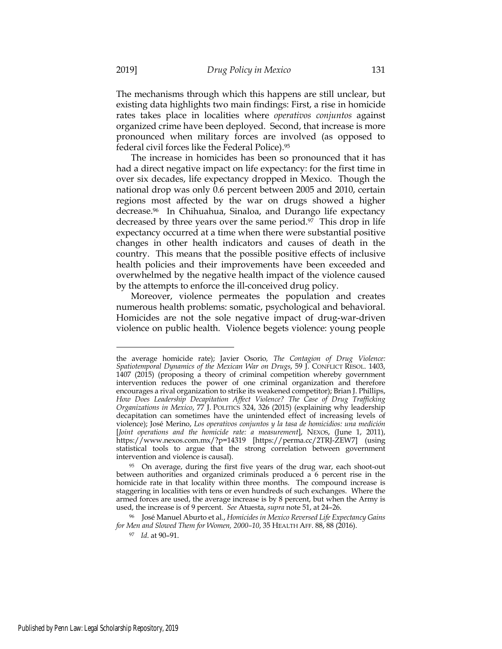The mechanisms through which this happens are still unclear, but existing data highlights two main findings: First, a rise in homicide rates takes place in localities where *operativos conjuntos* against organized crime have been deployed. Second, that increase is more pronounced when military forces are involved (as opposed to federal civil forces like the Federal Police).95

The increase in homicides has been so pronounced that it has had a direct negative impact on life expectancy: for the first time in over six decades, life expectancy dropped in Mexico. Though the national drop was only 0.6 percent between 2005 and 2010, certain regions most affected by the war on drugs showed a higher decrease.96 In Chihuahua, Sinaloa, and Durango life expectancy decreased by three years over the same period.97 This drop in life expectancy occurred at a time when there were substantial positive changes in other health indicators and causes of death in the country. This means that the possible positive effects of inclusive health policies and their improvements have been exceeded and overwhelmed by the negative health impact of the violence caused by the attempts to enforce the ill-conceived drug policy.

Moreover, violence permeates the population and creates numerous health problems: somatic, psychological and behavioral. Homicides are not the sole negative impact of drug-war-driven violence on public health. Violence begets violence: young people

the average homicide rate); Javier Osorio*, The Contagion of Drug Violence: Spatiotemporal Dynamics of the Mexican War on Drugs*, 59 J. CONFLICT RESOL. 1403, 1407 (2015) (proposing a theory of criminal competition whereby government intervention reduces the power of one criminal organization and therefore encourages a rival organization to strike its weakened competitor); Brian J. Phillips, *How Does Leadership Decapitation Affect Violence? The Case of Drug Trafficking Organizations in Mexico*, 77 J. POLITICS 324, 326 (2015) (explaining why leadership decapitation can sometimes have the unintended effect of increasing levels of violence); José Merino, *Los operativos conjuntos y la tasa de homicidios: una medición*  [*Joint operations and the homicide rate: a measurement*], NEXOS, (June 1, 2011), https://www.nexos.com.mx/?p=14319 [https://perma.cc/2TRJ-ZEW7] (using statistical tools to argue that the strong correlation between government intervention and violence is causal).

<sup>95</sup> On average, during the first five years of the drug war, each shoot-out between authorities and organized criminals produced a 6 percent rise in the homicide rate in that locality within three months. The compound increase is staggering in localities with tens or even hundreds of such exchanges. Where the armed forces are used, the average increase is by 8 percent, but when the Army is used, the increase is of 9 percent. *See* Atuesta, *supra* note 51, at 24–26.

<sup>96</sup> José Manuel Aburto et al., *Homicides in Mexico Reversed Life Expectancy Gains for Men and Slowed Them for Women, 2000–10*, 35 HEALTH AFF. 88, 88 (2016).

<sup>97</sup> *Id*. at 90–91.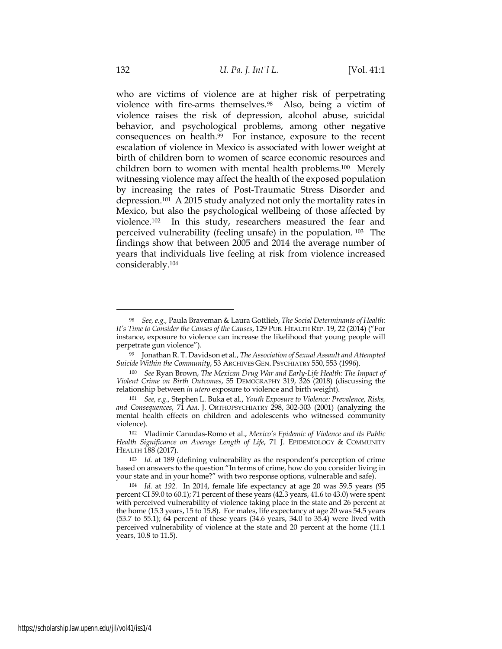who are victims of violence are at higher risk of perpetrating violence with fire-arms themselves.98 Also, being a victim of violence raises the risk of depression, alcohol abuse, suicidal behavior, and psychological problems, among other negative consequences on health.99 For instance, exposure to the recent escalation of violence in Mexico is associated with lower weight at birth of children born to women of scarce economic resources and children born to women with mental health problems.100 Merely witnessing violence may affect the health of the exposed population by increasing the rates of Post-Traumatic Stress Disorder and depression.101 A 2015 study analyzed not only the mortality rates in Mexico, but also the psychological wellbeing of those affected by violence.102 In this study, researchers measured the fear and perceived vulnerability (feeling unsafe) in the population. 103 The findings show that between 2005 and 2014 the average number of years that individuals live feeling at risk from violence increased considerably.104

<sup>98</sup> *See, e.g.,* Paula Braveman & Laura Gottlieb, *The Social Determinants of Health: It's Time to Consider the Causes of the Causes*, 129 PUB. HEALTH REP*.* 19, 22 (2014) ("For instance, exposure to violence can increase the likelihood that young people will perpetrate gun violence").

<sup>99</sup> Jonathan R. T. Davidson et al., *The Association of Sexual Assault and Attempted Suicide Within the Community*, 53 ARCHIVES GEN. PSYCHIATRY 550, 553 (1996).

<sup>100</sup> *See* Ryan Brown, *The Mexican Drug War and Early-Life Health: The Impact of Violent Crime on Birth Outcomes*, 55 DEMOGRAPHY 319, 326 (2018) (discussing the relationship between *in utero* exposure to violence and birth weight).

<sup>101</sup> *See, e.g.,* Stephen L. Buka et al., *Youth Exposure to Violence: Prevalence, Risks, and Consequences*, 71 AM. J. ORTHOPSYCHIATRY 298, 302-303 (2001) (analyzing the mental health effects on children and adolescents who witnessed community violence).

<sup>102</sup> Vladimir Canudas-Romo et al., *Mexico's Epidemic of Violence and its Public Health Significance on Average Length of Life*, 71 J. EPIDEMIOLOGY & COMMUNITY HEALTH 188 (2017).

<sup>103</sup> *Id.* at 189 (defining vulnerability as the respondent's perception of crime based on answers to the question "In terms of crime, how do you consider living in your state and in your home?" with two response options, vulnerable and safe).

<sup>104</sup> *Id.* at *192.* In 2014, female life expectancy at age 20 was 59.5 years (95 percent CI 59.0 to 60.1); 71 percent of these years (42.3 years, 41.6 to 43.0) were spent with perceived vulnerability of violence taking place in the state and 26 percent at the home (15.3 years, 15 to 15.8). For males, life expectancy at age 20 was 54.5 years (53.7 to 55.1); 64 percent of these years (34.6 years, 34.0 to 35.4) were lived with perceived vulnerability of violence at the state and 20 percent at the home (11.1 years, 10.8 to 11.5).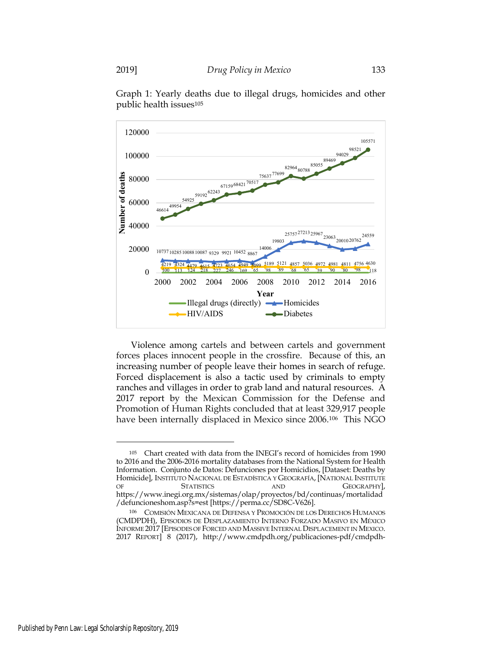

Graph 1: Yearly deaths due to illegal drugs, homicides and other public health issues105

Violence among cartels and between cartels and government forces places innocent people in the crossfire. Because of this, an increasing number of people leave their homes in search of refuge. Forced displacement is also a tactic used by criminals to empty ranches and villages in order to grab land and natural resources. A 2017 report by the Mexican Commission for the Defense and Promotion of Human Rights concluded that at least 329,917 people have been internally displaced in Mexico since 2006.<sup>106</sup> This NGO

<sup>105</sup> Chart created with data from the INEGI's record of homicides from 1990 to 2016 and the 2006-2016 mortality databases from the National System for Health Information. Conjunto de Datos: Defunciones por Homicidios, [Dataset: Deaths by Homicide], INSTITUTO NACIONAL DE ESTADÍSTICA Y GEOGRAFÍA, [NATIONAL INSTITUTE OF STATISTICS AND GEOGRAPHY], https://www.inegi.org.mx/sistemas/olap/proyectos/bd/continuas/mortalidad /defuncioneshom.asp?s=est [https://perma.cc/SD8C-V626].

<sup>106</sup> COMISIÓN MEXICANA DE DEFENSA Y PROMOCIÓN DE LOS DERECHOS HUMANOS (CMDPDH), EPISODIOS DE DESPLAZAMIENTO INTERNO FORZADO MASIVO EN MÉXICO INFORME 2017 [EPISODES OF FORCED AND MASSIVE INTERNAL DISPLACEMENT IN MEXICO. 2017 REPORT] 8 (2017), http://www.cmdpdh.org/publicaciones-pdf/cmdpdh-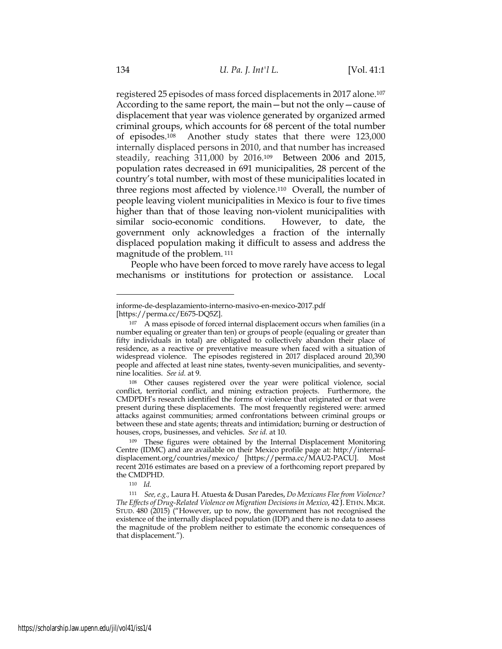registered 25 episodes of mass forced displacements in 2017 alone.107 According to the same report, the main—but not the only—cause of displacement that year was violence generated by organized armed criminal groups, which accounts for 68 percent of the total number of episodes.108 Another study states that there were 123,000 internally displaced persons in 2010, and that number has increased steadily, reaching 311,000 by 2016.109 Between 2006 and 2015, population rates decreased in 691 municipalities, 28 percent of the country's total number, with most of these municipalities located in three regions most affected by violence.110 Overall, the number of people leaving violent municipalities in Mexico is four to five times higher than that of those leaving non-violent municipalities with similar socio-economic conditions. However, to date, the government only acknowledges a fraction of the internally displaced population making it difficult to assess and address the magnitude of the problem. <sup>111</sup>

People who have been forced to move rarely have access to legal mechanisms or institutions for protection or assistance. Local

informe-de-desplazamiento-interno-masivo-en-mexico-2017.pdf [https://perma.cc/E675-DQ5Z].

<sup>107</sup> A mass episode of forced internal displacement occurs when families (in a number equaling or greater than ten) or groups of people (equaling or greater than fifty individuals in total) are obligated to collectively abandon their place of residence, as a reactive or preventative measure when faced with a situation of widespread violence. The episodes registered in 2017 displaced around 20,390 people and affected at least nine states, twenty-seven municipalities, and seventynine localities. *See id.* at 9.

<sup>108</sup> Other causes registered over the year were political violence, social conflict, territorial conflict, and mining extraction projects. Furthermore, the CMDPDH's research identified the forms of violence that originated or that were present during these displacements. The most frequently registered were: armed attacks against communities; armed confrontations between criminal groups or between these and state agents; threats and intimidation; burning or destruction of houses, crops, businesses, and vehicles. *See id.* at 10.

<sup>109</sup> These figures were obtained by the Internal Displacement Monitoring Centre (IDMC) and are available on their Mexico profile page at: http://internaldisplacement.org/countries/mexico/ [https://perma.cc/MAU2-PACU]. Most recent 2016 estimates are based on a preview of a forthcoming report prepared by the CMDPHD.

<sup>110</sup> *Id.*

<sup>111</sup> *See, e.g.,* Laura H. Atuesta & Dusan Paredes, *Do Mexicans Flee from Violence? The Effects of Drug-Related Violence on Migration Decisions in Mexico*, 42 J. ETHN. MIGR. STUD. 480 (2015) ("However, up to now, the government has not recognised the existence of the internally displaced population (IDP) and there is no data to assess the magnitude of the problem neither to estimate the economic consequences of that displacement.").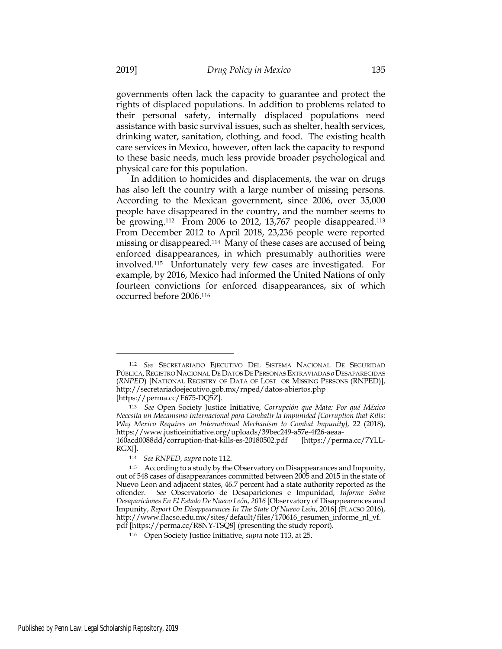governments often lack the capacity to guarantee and protect the rights of displaced populations. In addition to problems related to their personal safety, internally displaced populations need assistance with basic survival issues, such as shelter, health services, drinking water, sanitation, clothing, and food. The existing health care services in Mexico, however, often lack the capacity to respond to these basic needs, much less provide broader psychological and physical care for this population.

In addition to homicides and displacements, the war on drugs has also left the country with a large number of missing persons. According to the Mexican government, since 2006, over 35,000 people have disappeared in the country, and the number seems to be growing.<sup>112</sup> From 2006 to 2012, 13,767 people disappeared.<sup>113</sup> From December 2012 to April 2018, 23,236 people were reported missing or disappeared.114 Many of these cases are accused of being enforced disappearances, in which presumably authorities were involved.115 Unfortunately very few cases are investigated. For example, by 2016, Mexico had informed the United Nations of only fourteen convictions for enforced disappearances, six of which occurred before 2006.116

<sup>112</sup> *See* SECRETARIADO EJECUTIVO DEL SISTEMA NACIONAL DE SEGURIDAD PÚBLICA,REGISTRO NACIONAL DE DATOS DE PERSONAS EXTRAVIADAS *o*DESAPARECIDAS (*RNPED*) [NATIONAL REGISTRY OF DATA OF LOST OR MISSING PERSONS (RNPED)], http://secretariadoejecutivo.gob.mx/rnped/datos-abiertos.php [https://perma.cc/E675-DQ5Z].

<sup>113</sup> *See* Open Society Justice Initiative, *Corrupción que Mata: Por qué México Necesita un Mecanismo Internacional para Combatir la Impunided [Corruption that Kills: Why Mexico Requires an International Mechanism to Combat Impunity],* 22 (2018), https://www.justiceinitiative.org/uploads/39bec249-a57e-4f26-aeaa-160acd0088dd/corruption-that-kills-es-20180502.pdf [https://perma.cc/7YLL-

RGXJ].

<sup>114</sup> *See RNPED, supra* note 112.

<sup>115</sup> According to a study by the Observatory on Disappearances and Impunity, out of 548 cases of disappearances committed between 2005 and 2015 in the state of Nuevo Leon and adjacent states, 46.7 percent had a state authority reported as the offender. *See* Observatorio de Desapariciones e Impunidad*, Informe Sobre Desapariciones En El Estado De Nuevo León, 2016* [Observatory of Disappearences and Impunity, *Report On Disappearances In The State Of Nuevo León*, 2016] (FLACSO 2016), http://www.flacso.edu.mx/sites/default/files/170616\_resumen\_informe\_nl\_vf. pdf [https://perma.cc/R8NY-TSQ8] (presenting the study report).

<sup>116</sup> Open Society Justice Initiative, *supra* note 113, at 25.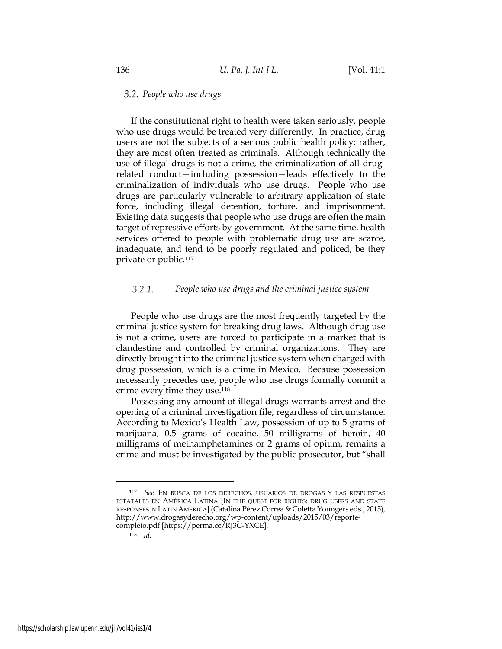## *People who use drugs*

If the constitutional right to health were taken seriously, people who use drugs would be treated very differently. In practice, drug users are not the subjects of a serious public health policy; rather, they are most often treated as criminals. Although technically the use of illegal drugs is not a crime, the criminalization of all drugrelated conduct—including possession—leads effectively to the criminalization of individuals who use drugs. People who use drugs are particularly vulnerable to arbitrary application of state force, including illegal detention, torture, and imprisonment. Existing data suggests that people who use drugs are often the main target of repressive efforts by government. At the same time, health services offered to people with problematic drug use are scarce, inadequate, and tend to be poorly regulated and policed, be they private or public.117

#### $3.2.1.$ *People who use drugs and the criminal justice system*

People who use drugs are the most frequently targeted by the criminal justice system for breaking drug laws. Although drug use is not a crime, users are forced to participate in a market that is clandestine and controlled by criminal organizations. They are directly brought into the criminal justice system when charged with drug possession, which is a crime in Mexico. Because possession necessarily precedes use, people who use drugs formally commit a crime every time they use.118

Possessing any amount of illegal drugs warrants arrest and the opening of a criminal investigation file, regardless of circumstance. According to Mexico's Health Law, possession of up to 5 grams of marijuana, 0.5 grams of cocaine, 50 milligrams of heroin, 40 milligrams of methamphetamines or 2 grams of opium, remains a crime and must be investigated by the public prosecutor, but "shall

<sup>117</sup> *See* EN BUSCA DE LOS DERECHOS: USUARIOS DE DROGAS Y LAS RESPUESTAS ESTATALES EN AMÉRICA LATINA [IN THE QUEST FOR RIGHTS: DRUG USERS AND STATE RESPONSES IN LATIN AMERICA] (Catalina Pérez Correa & Coletta Youngers eds., 2015), http://www.drogasyderecho.org/wp-content/uploads/2015/03/reportecompleto.pdf [https://perma.cc/RJ3C-YXCE].

<sup>118</sup> *Id.*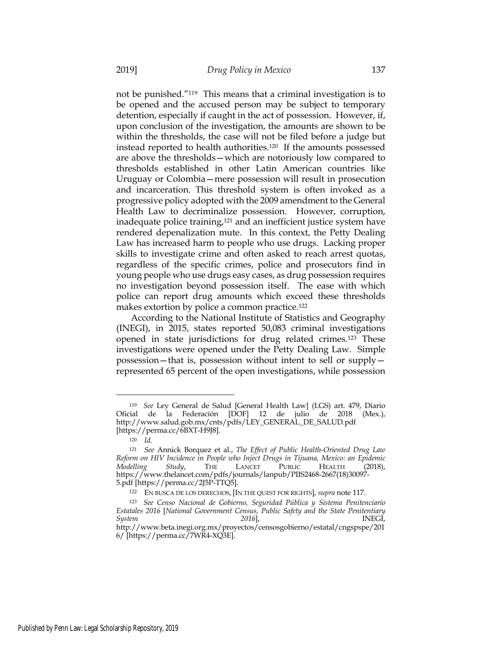not be punished."119 This means that a criminal investigation is to be opened and the accused person may be subject to temporary detention, especially if caught in the act of possession. However, if, upon conclusion of the investigation, the amounts are shown to be within the thresholds, the case will not be filed before a judge but instead reported to health authorities.120 If the amounts possessed are above the thresholds—which are notoriously low compared to thresholds established in other Latin American countries like Uruguay or Colombia—mere possession will result in prosecution and incarceration. This threshold system is often invoked as a progressive policy adopted with the 2009 amendment to the General Health Law to decriminalize possession. However, corruption, inadequate police training, $121$  and an inefficient justice system have rendered depenalization mute. In this context, the Petty Dealing Law has increased harm to people who use drugs. Lacking proper skills to investigate crime and often asked to reach arrest quotas, regardless of the specific crimes, police and prosecutors find in young people who use drugs easy cases, as drug possession requires no investigation beyond possession itself. The ease with which police can report drug amounts which exceed these thresholds makes extortion by police a common practice.122

According to the National Institute of Statistics and Geography (INEGI), in 2015, states reported 50,083 criminal investigations opened in state jurisdictions for drug related crimes.123 These investigations were opened under the Petty Dealing Law. Simple possession—that is, possession without intent to sell or supply represented 65 percent of the open investigations, while possession

<sup>119</sup> *See* Ley General de Salud [General Health Law] (LGS) art. 479, Diario Oficial de la Federación [DOF] 12 de julio de 2018 (Mex.), http://www.salud.gob.mx/cnts/pdfs/LEY\_GENERAL\_DE\_SALUD.pdf [https://perma.cc/6BXT-H9J8].

<sup>120</sup> *Id.*

<sup>121</sup> *See* Annick Borquez et al., *The Effect of Public Health-Oriented Drug Law Reform on HIV Incidence in People who Inject Drugs in Tijuana, Mexico: an Epidemic Modelling Study*, THE LANCET PUBLIC HEALTH (2018), https://www.thelancet.com/pdfs/journals/lanpub/PIIS2468-2667(18)30097- 5.pdf [https://perma.cc/2J5P-TTQ5].

<sup>122</sup> EN BUSCA DE LOS DERECHOS, [IN THE QUEST FOR RIGHTS], *supra* note 117.

<sup>123</sup> *See Censo Nacional de Gobierno, Seguridad Pública y Sistema Penitenciario Estatales 2016* [*National Government Census, Public Safety and the State Penitentiary System 2016*], INEGI, http://www.beta.inegi.org.mx/proyectos/censosgobierno/estatal/cngspspe/201 6/ [https://perma.cc/7WR4-XQ3E].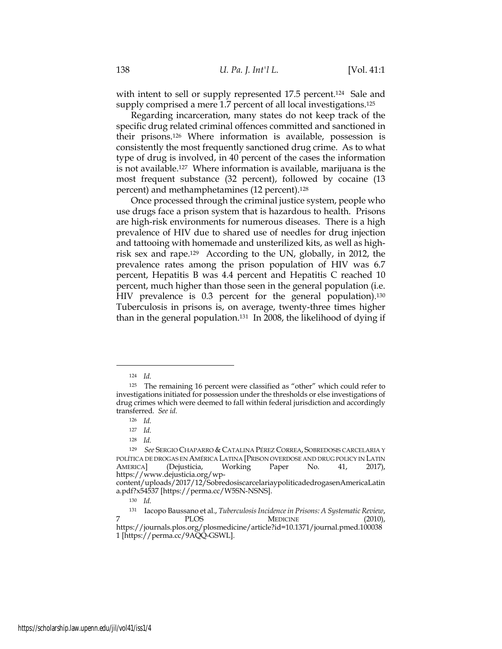with intent to sell or supply represented 17.5 percent.<sup>124</sup> Sale and supply comprised a mere 1.7 percent of all local investigations.<sup>125</sup>

Regarding incarceration, many states do not keep track of the specific drug related criminal offences committed and sanctioned in their prisons.126 Where information is available, possession is consistently the most frequently sanctioned drug crime. As to what type of drug is involved, in 40 percent of the cases the information is not available.127 Where information is available, marijuana is the most frequent substance (32 percent), followed by cocaine (13 percent) and methamphetamines (12 percent).128

Once processed through the criminal justice system, people who use drugs face a prison system that is hazardous to health. Prisons are high-risk environments for numerous diseases. There is a high prevalence of HIV due to shared use of needles for drug injection and tattooing with homemade and unsterilized kits, as well as highrisk sex and rape.129 According to the UN, globally, in 2012, the prevalence rates among the prison population of HIV was 6.7 percent, Hepatitis B was 4.4 percent and Hepatitis C reached 10 percent, much higher than those seen in the general population (i.e. HIV prevalence is 0.3 percent for the general population).<sup>130</sup> Tuberculosis in prisons is, on average, twenty-three times higher than in the general population.<sup>131</sup> In 2008, the likelihood of dying if

<sup>124</sup> *Id.*

<sup>125</sup> The remaining 16 percent were classified as "other" which could refer to investigations initiated for possession under the thresholds or else investigations of drug crimes which were deemed to fall within federal jurisdiction and accordingly transferred. *See id.*

<sup>126</sup> *Id.*

<sup>127</sup> *Id.*

<sup>128</sup> *Id.*

<sup>129</sup> *See* SERGIO CHAPARRO & CATALINA PÉREZ CORREA, SOBREDOSIS CARCELARIA Y POLÍTICA DE DROGAS EN AMÉRICA LATINA [PRISON OVERDOSE AND DRUG POLICY IN LATIN AMERICA] (Dejusticia, Working Paper No. 41, 2017), https://www.dejusticia.org/wp-

content/uploads/2017/12/SobredosiscarcelariaypoliticadedrogasenAmericaLatin a.pdf?x54537 [https://perma.cc/W5SN-NSNS].

<sup>130</sup> *Id.*

<sup>131</sup> Iacopo Baussano et al., *Tuberculosis Incidence in Prisons: A Systematic Review*, 7 PLOS MEDICINE (2010), https://journals.plos.org/plosmedicine/article?id=10.1371/journal.pmed.100038 1 [https://perma.cc/9AQQ-GSWL].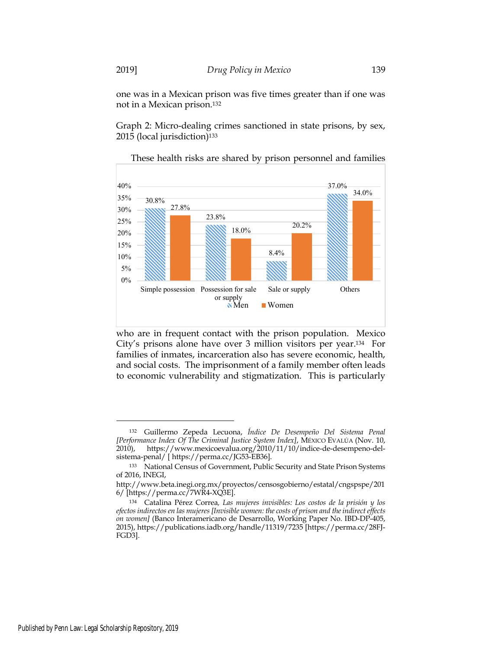one was in a Mexican prison was five times greater than if one was not in a Mexican prison.132

Graph 2: Micro-dealing crimes sanctioned in state prisons, by sex, 2015 (local jurisdiction)<sup>133</sup>



These health risks are shared by prison personnel and families

who are in frequent contact with the prison population. Mexico City's prisons alone have over 3 million visitors per year.134 For families of inmates, incarceration also has severe economic, health, and social costs. The imprisonment of a family member often leads to economic vulnerability and stigmatization. This is particularly

<sup>132</sup> Guillermo Zepeda Lecuona, *Índice De Desempeño Del Sistema Penal [Performance Index Of The Criminal Justice System Index]*, MÉXICO EVALÚA (Nov. 10, 2010), https://www.mexicoevalua.org/2010/11/10/indice-de-desempeno-delsistema-penal/ [ https://perma.cc/JG53-EB36].

<sup>133</sup> National Census of Government, Public Security and State Prison Systems of 2016, INEGI,

http://www.beta.inegi.org.mx/proyectos/censosgobierno/estatal/cngspspe/201 6/ [https://perma.cc/7WR4-XQ3E].

<sup>134</sup> Catalina Pérez Correa*, Las mujeres invisibles: Los costos de la prisión y los efectos indirectos en las mujeres [Invisible women: the costs of prison and the indirect effects on women]* (Banco Interamericano de Desarrollo, Working Paper No. IBD-DP-405, 2015), https://publications.iadb.org/handle/11319/7235 [https://perma.cc/28FJ-FGD3].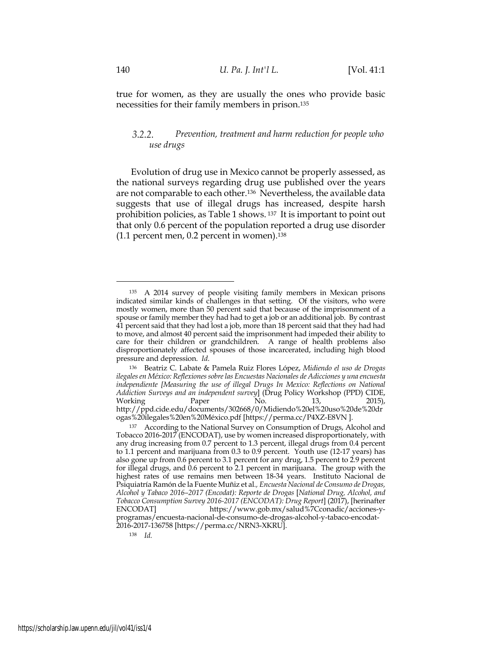true for women, as they are usually the ones who provide basic necessities for their family members in prison.135

#### $3.2.2.$ *Prevention, treatment and harm reduction for people who use drugs*

Evolution of drug use in Mexico cannot be properly assessed, as the national surveys regarding drug use published over the years are not comparable to each other.136 Nevertheless, the available data suggests that use of illegal drugs has increased, despite harsh prohibition policies, as Table 1 shows. 137 It is important to point out that only 0.6 percent of the population reported a drug use disorder (1.1 percent men, 0.2 percent in women).138

<sup>135</sup> A 2014 survey of people visiting family members in Mexican prisons indicated similar kinds of challenges in that setting. Of the visitors, who were mostly women, more than 50 percent said that because of the imprisonment of a spouse or family member they had had to get a job or an additional job. By contrast 41 percent said that they had lost a job, more than 18 percent said that they had had to move, and almost 40 percent said the imprisonment had impeded their ability to care for their children or grandchildren. A range of health problems also disproportionately affected spouses of those incarcerated, including high blood pressure and depression. *Id*.

<sup>136</sup> Beatriz C. Labate & Pamela Ruiz Flores López, *Midiendo el uso de Drogas ilegales en México: Reflexiones sobre las Encuestas Nacionales de Adicciones y una encuesta independiente [Measuring the use of illegal Drugs In Mexico: Reflections on National Addiction Surveys and an independent survey*] (Drug Policy Workshop (PPD) CIDE, Working Paper No. 13, 2015), http://ppd.cide.edu/documents/302668/0/Midiendo%20el%20uso%20de%20dr ogas%20ilegales%20en%20México.pdf [https://perma.cc/P4XZ-E8VN ].

<sup>137</sup> According to the National Survey on Consumption of Drugs, Alcohol and Tobacco 2016-2017 (ENCODAT), use by women increased disproportionately, with any drug increasing from 0.7 percent to 1.3 percent, illegal drugs from 0.4 percent to 1.1 percent and marijuana from 0.3 to 0.9 percent. Youth use (12-17 years) has also gone up from 0.6 percent to 3.1 percent for any drug, 1.5 percent to 2.9 percent for illegal drugs, and 0.6 percent to 2.1 percent in marijuana. The group with the highest rates of use remains men between 18-34 years. Instituto Nacional de Psiquiatría Ramón de la Fuente Muñiz et al*., Encuesta Nacional de Consumo de Drogas, Alcohol y Tabaco 2016–2017 (Encodat): Reporte de Drogas* [*National Drug, Alcohol, and Tobacco Consumption Survey 2016-2017 (ENCODAT): Drug Report*] (2017), [herinafter https://www.gob.mx/salud%7Cconadic/acciones-yprogramas/encuesta-nacional-de-consumo-de-drogas-alcohol-y-tabaco-encodat-2016-2017-136758 [https://perma.cc/NRN3-XKRU].

<sup>138</sup> *Id.*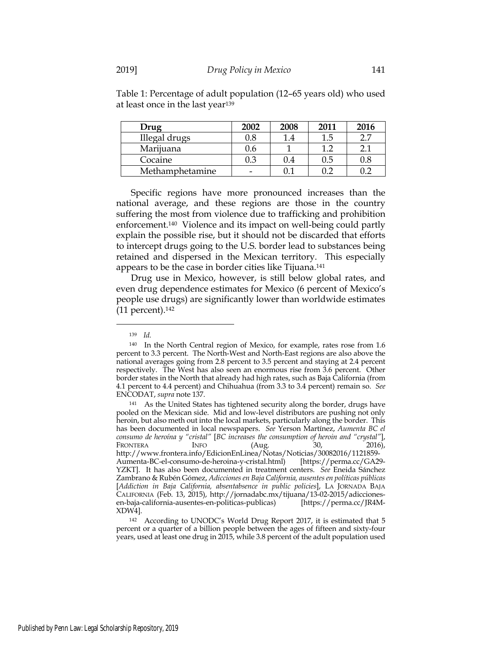| Drug            | 2002      | 2008       | 2011 | 2016 |
|-----------------|-----------|------------|------|------|
| Illegal drugs   | $\rm 0.8$ | $\cdot$ .4 |      |      |
| Marijuana       | J.O       |            |      |      |
| Cocaine         |           | 0.4        | 0.5  |      |
| Methamphetamine |           |            |      |      |

Table 1: Percentage of adult population (12–65 years old) who used at least once in the last year139

Specific regions have more pronounced increases than the national average, and these regions are those in the country suffering the most from violence due to trafficking and prohibition enforcement.140 Violence and its impact on well-being could partly explain the possible rise, but it should not be discarded that efforts to intercept drugs going to the U.S. border lead to substances being retained and dispersed in the Mexican territory. This especially appears to be the case in border cities like Tijuana.141

Drug use in Mexico, however, is still below global rates, and even drug dependence estimates for Mexico (6 percent of Mexico's people use drugs) are significantly lower than worldwide estimates (11 percent).142

<sup>139</sup> *Id.*

<sup>140</sup> In the North Central region of Mexico, for example, rates rose from 1.6 percent to 3.3 percent. The North-West and North-East regions are also above the national averages going from 2.8 percent to 3.5 percent and staying at 2.4 percent respectively. The West has also seen an enormous rise from 3.6 percent. Other border states in the North that already had high rates, such as Baja California (from 4.1 percent to 4.4 percent) and Chihuahua (from 3.3 to 3.4 percent) remain so. *See*  ENCODAT, *supra* note 137.

<sup>141</sup> As the United States has tightened security along the border, drugs have pooled on the Mexican side. Mid and low-level distributors are pushing not only heroin, but also meth out into the local markets, particularly along the border. This has been documented in local newspapers. *See* Yerson Martínez, *Aumenta BC el consumo de heroína y "cristal"* [*BC increases the consumption of heroin and "crystal"*], FRONTERA INFO (Aug. 30, 2016), http://www.frontera.info/EdicionEnLinea/Notas/Noticias/30082016/1121859- Aumenta-BC-el-consumo-de-heroina-y-cristal.html) [https://perma.cc/GA29- YZKT]. It has also been documented in treatment centers. *See* Eneida Sánchez Zambrano & Rubén Gómez, *Adicciones en Baja California, ausentes en políticas públicas*  [*Addiction in Baja California, absentabsence in public policies*], LA JORNADA BAJA CALIFORNIA (Feb. 13, 2015), http://jornadabc.mx/tijuana/13-02-2015/adiccionesen-baja-california-ausentes-en-politicas-publicas) [https://perma.cc/JR4M-XDW4].

<sup>142</sup> According to UNODC's World Drug Report 2017, it is estimated that 5 percent or a quarter of a billion people between the ages of fifteen and sixty-four years, used at least one drug in 2015, while 3.8 percent of the adult population used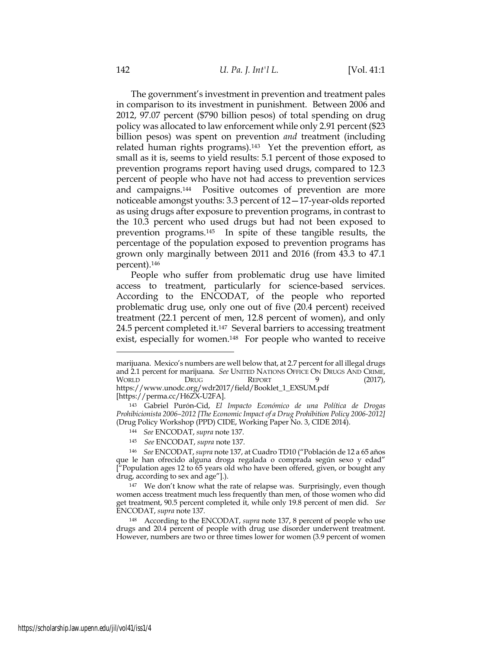The government's investment in prevention and treatment pales in comparison to its investment in punishment. Between 2006 and 2012, 97.07 percent (\$790 billion pesos) of total spending on drug policy was allocated to law enforcement while only 2.91 percent (\$23 billion pesos) was spent on prevention *and* treatment (including related human rights programs).143 Yet the prevention effort, as small as it is, seems to yield results: 5.1 percent of those exposed to prevention programs report having used drugs, compared to 12.3 percent of people who have not had access to prevention services and campaigns.144 Positive outcomes of prevention are more noticeable amongst youths: 3.3 percent of 12—17-year-olds reported as using drugs after exposure to prevention programs, in contrast to the 10.3 percent who used drugs but had not been exposed to prevention programs.145 In spite of these tangible results, the percentage of the population exposed to prevention programs has grown only marginally between 2011 and 2016 (from 43.3 to 47.1 percent).146

People who suffer from problematic drug use have limited access to treatment, particularly for science-based services. According to the ENCODAT, of the people who reported problematic drug use, only one out of five (20.4 percent) received treatment (22.1 percent of men, 12.8 percent of women), and only 24.5 percent completed it.147 Several barriers to accessing treatment exist, especially for women.148 For people who wanted to receive

<sup>145</sup> *See* ENCODAT, *supra* note 137.

marijuana. Mexico's numbers are well below that, at 2.7 percent for all illegal drugs and 2.1 percent for marijuana. *See* UNITED NATIONS OFFICE ON DRUGS AND CRIME, WORLD DRUG REPORT 9 (2017), https://www.unodc.org/wdr2017/field/Booklet\_1\_EXSUM.pdf [https://perma.cc/H6ZX-U2FA].

<sup>143</sup> Gabriel Purón-Cid, *El Impacto Económico de una Política de Drogas Prohibicionista 2006–2012 [The Economic Impact of a Drug Prohibition Policy 2006-2012]* (Drug Policy Workshop (PPD) CIDE, Working Paper No. 3, CIDE 2014).

<sup>144</sup> *See* ENCODAT, *supra* note 137.

<sup>146</sup> *See* ENCODAT, *supra* note 137, at Cuadro TD10 ("Población de 12 a 65 años que le han ofrecido alguna droga regalada o comprada según sexo y edad"  $\int$ <sup>"</sup>Population ages 12 to  $\overline{65}$  years old who have been offered, given, or bought any drug, according to sex and age"].).

<sup>147</sup> We don't know what the rate of relapse was. Surprisingly, even though women access treatment much less frequently than men, of those women who did get treatment, 90.5 percent completed it, while only 19.8 percent of men did. *See*  ENCODAT, *supra* note 137.

<sup>148</sup> According to the ENCODAT, *supra* note 137, 8 percent of people who use drugs and 20.4 percent of people with drug use disorder underwent treatment. However, numbers are two or three times lower for women (3.9 percent of women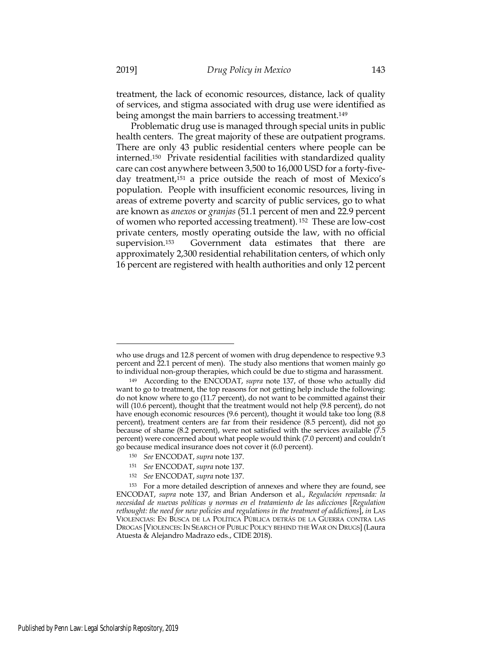treatment, the lack of economic resources, distance, lack of quality of services, and stigma associated with drug use were identified as being amongst the main barriers to accessing treatment.149

Problematic drug use is managed through special units in public health centers. The great majority of these are outpatient programs. There are only 43 public residential centers where people can be interned.150 Private residential facilities with standardized quality care can cost anywhere between 3,500 to 16,000 USD for a forty-fiveday treatment,151 a price outside the reach of most of Mexico's population. People with insufficient economic resources, living in areas of extreme poverty and scarcity of public services, go to what are known as *anexos* or *granjas* (51.1 percent of men and 22.9 percent of women who reported accessing treatment)*.* <sup>152</sup> These are low-cost private centers, mostly operating outside the law, with no official supervision.153 Government data estimates that there are approximately 2,300 residential rehabilitation centers, of which only 16 percent are registered with health authorities and only 12 percent

who use drugs and 12.8 percent of women with drug dependence to respective 9.3 percent and 22.1 percent of men). The study also mentions that women mainly go to individual non-group therapies, which could be due to stigma and harassment.

<sup>149</sup> According to the ENCODAT, *supra* note 137, of those who actually did want to go to treatment, the top reasons for not getting help include the following: do not know where to go (11.7 percent), do not want to be committed against their will (10.6 percent), thought that the treatment would not help (9.8 percent), do not have enough economic resources (9.6 percent), thought it would take too long (8.8 percent), treatment centers are far from their residence (8.5 percent), did not go because of shame (8.2 percent), were not satisfied with the services available (7.5 percent) were concerned about what people would think (7.0 percent) and couldn't go because medical insurance does not cover it (6.0 percent).

<sup>150</sup> *See* ENCODAT, *supra* note 137.

<sup>151</sup> *See* ENCODAT, *supra* note 137.

<sup>152</sup> *See* ENCODAT, *supra* note 137.

<sup>153</sup> For a more detailed description of annexes and where they are found, see ENCODAT, *supra* note 137, and Brian Anderson et al., *Regulación repensada: la necesidad de nuevas políticas y normas en el tratamiento de las adicciones* [*Regulation rethought: the need for new policies and regulations in the treatment of addictions*], *in* LAS VIOLENCIAS: EN BUSCA DE LA POLÍTICA PÚBLICA DETRÁS DE LA GUERRA CONTRA LAS DROGAS [VIOLENCES: IN SEARCH OF PUBLIC POLICY BEHIND THE WAR ON DRUGS] (Laura Atuesta & Alejandro Madrazo eds., CIDE 2018).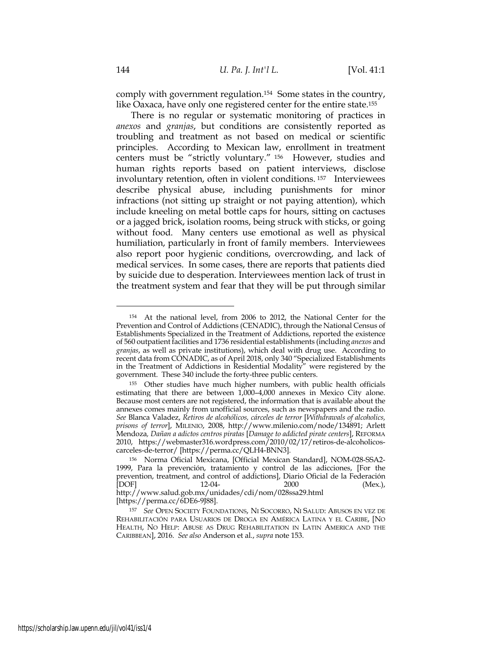comply with government regulation.154 Some states in the country, like Oaxaca, have only one registered center for the entire state.155

There is no regular or systematic monitoring of practices in *anexos* and *granjas*, but conditions are consistently reported as troubling and treatment as not based on medical or scientific principles. According to Mexican law, enrollment in treatment centers must be "strictly voluntary." 156 However, studies and human rights reports based on patient interviews, disclose involuntary retention, often in violent conditions. 157 Interviewees describe physical abuse, including punishments for minor infractions (not sitting up straight or not paying attention), which include kneeling on metal bottle caps for hours, sitting on cactuses or a jagged brick, isolation rooms, being struck with sticks, or going without food. Many centers use emotional as well as physical humiliation, particularly in front of family members. Interviewees also report poor hygienic conditions, overcrowding, and lack of medical services. In some cases, there are reports that patients died by suicide due to desperation. Interviewees mention lack of trust in the treatment system and fear that they will be put through similar

[https://perma.cc/6DE6-9J88].

<sup>154</sup> At the national level, from 2006 to 2012, the National Center for the Prevention and Control of Addictions (CENADIC), through the National Census of Establishments Specialized in the Treatment of Addictions, reported the existence of 560 outpatient facilities and 1736 residential establishments (including *anexos* and *granjas*, as well as private institutions), which deal with drug use. According to recent data from CONADIC, as of April 2018, only 340 "Specialized Establishments in the Treatment of Addictions in Residential Modality" were registered by the government. These 340 include the forty-three public centers.

Other studies have much higher numbers, with public health officials estimating that there are between 1,000–4,000 annexes in Mexico City alone. Because most centers are not registered, the information that is available about the annexes comes mainly from unofficial sources, such as newspapers and the radio. *See* Blanca Valadez, *Retiros de alcohólicos, cárceles de terror* [*Withdrawals of alcoholics, prisons of terror*], MILENIO, 2008, http://www.milenio.com/node/134891; Arlett Mendoza*, Dañan a adictos centros piratas* [*Damage to addicted pirate centers*], REFORMA 2010, https://webmaster316.wordpress.com/2010/02/17/retiros-de-alcoholicoscarceles-de-terror/ [https://perma.cc/QLH4-BNN3].

<sup>156</sup> Norma Oficial Mexicana, [Official Mexican Standard], NOM-028-SSA2- 1999, Para la prevención, tratamiento y control de las adicciones, [For the prevention, treatment, and control of addictions], Diario Oficial de la Federación<br>[DOF] 12-04-2000 (Mex.), [DOF] 12-04- 2000 (Mex.), http://www.salud.gob.mx/unidades/cdi/nom/028ssa29.html

<sup>157</sup> *See* OPEN SOCIETY FOUNDATIONS, NI SOCORRO, NI SALUD: ABUSOS EN VEZ DE REHABILITACIÓN PARA USUARIOS DE DROGA EN AMÉRICA LATINA Y EL CARIBE, [NO HEALTH, NO HELP: ABUSE AS DRUG REHABILITATION IN LATIN AMERICA AND THE CARIBBEAN], 2016. *See also* Anderson et al., *supra* note 153.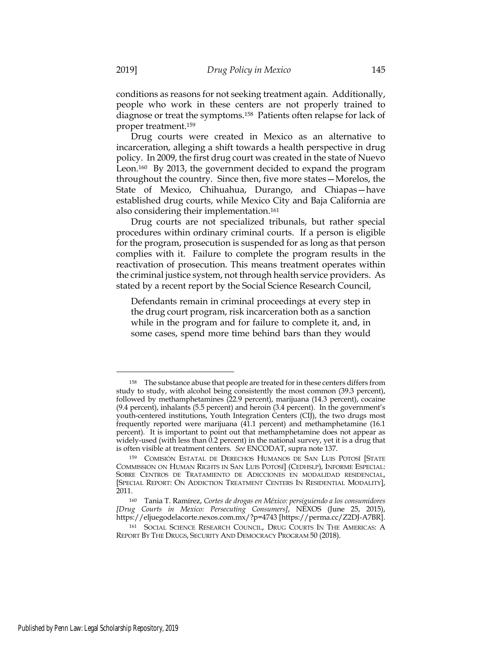conditions as reasons for not seeking treatment again. Additionally, people who work in these centers are not properly trained to diagnose or treat the symptoms.158 Patients often relapse for lack of proper treatment.159

Drug courts were created in Mexico as an alternative to incarceration, alleging a shift towards a health perspective in drug policy. In 2009, the first drug court was created in the state of Nuevo Leon.160 By 2013, the government decided to expand the program throughout the country. Since then, five more states—Morelos, the State of Mexico, Chihuahua, Durango, and Chiapas—have established drug courts, while Mexico City and Baja California are also considering their implementation.161

Drug courts are not specialized tribunals, but rather special procedures within ordinary criminal courts. If a person is eligible for the program, prosecution is suspended for as long as that person complies with it. Failure to complete the program results in the reactivation of prosecution. This means treatment operates within the criminal justice system, not through health service providers. As stated by a recent report by the Social Science Research Council,

Defendants remain in criminal proceedings at every step in the drug court program, risk incarceration both as a sanction while in the program and for failure to complete it, and, in some cases, spend more time behind bars than they would

<sup>158</sup> The substance abuse that people are treated for in these centers differs from study to study, with alcohol being consistently the most common (39.3 percent), followed by methamphetamines (22.9 percent), marijuana (14.3 percent), cocaine (9.4 percent), inhalants (5.5 percent) and heroin (3.4 percent). In the government's youth-centered institutions, Youth Integration Centers (CIJ), the two drugs most frequently reported were marijuana (41.1 percent) and methamphetamine (16.1 percent). It is important to point out that methamphetamine does not appear as widely-used (with less than 0.2 percent) in the national survey, yet it is a drug that is often visible at treatment centers. *See* ENCODAT, supra note 137.

<sup>159</sup> COMISIÓN ESTATAL DE DERECHOS HUMANOS DE SAN LUIS POTOSÍ [STATE COMMISSION ON HUMAN RIGHTS IN SAN LUIS POTOSÍ] (CEDHSLP), INFORME ESPECIAL: SOBRE CENTROS DE TRATAMIENTO DE ADICCIONES EN MODALIDAD RESIDENCIAL, [SPECIAL REPORT: ON ADDICTION TREATMENT CENTERS IN RESIDENTIAL MODALITY], 2011.

<sup>160</sup> Tania T. Ramírez, *Cortes de drogas en México: persiguiendo a los consumidores [Drug Courts in Mexico: Persecuting Consumers]*, NEXOS (June 25, 2015), https://eljuegodelacorte.nexos.com.mx/?p=4743 [https://perma.cc/Z2DJ-A7BR].

<sup>161</sup> SOCIAL SCIENCE RESEARCH COUNCIL, DRUG COURTS IN THE AMERICAS: A REPORT BY THE DRUGS, SECURITY AND DEMOCRACY PROGRAM 50 (2018).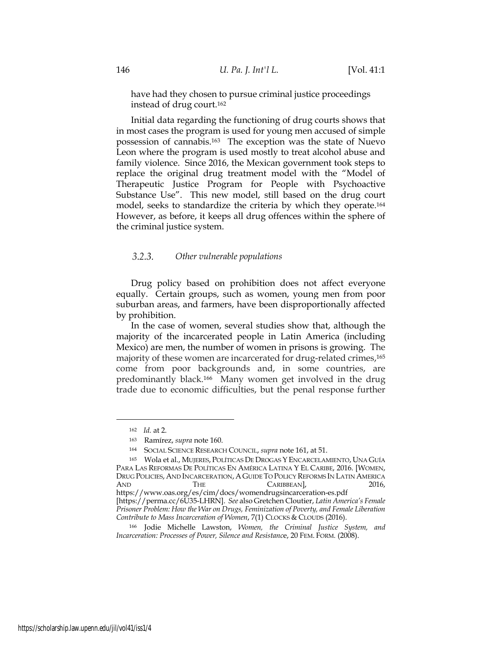have had they chosen to pursue criminal justice proceedings instead of drug court.162

Initial data regarding the functioning of drug courts shows that in most cases the program is used for young men accused of simple possession of cannabis.163 The exception was the state of Nuevo Leon where the program is used mostly to treat alcohol abuse and family violence. Since 2016, the Mexican government took steps to replace the original drug treatment model with the "Model of Therapeutic Justice Program for People with Psychoactive Substance Use". This new model, still based on the drug court model, seeks to standardize the criteria by which they operate.164 However, as before, it keeps all drug offences within the sphere of the criminal justice system.

#### $3.2.3.$ *Other vulnerable populations*

Drug policy based on prohibition does not affect everyone equally. Certain groups, such as women, young men from poor suburban areas, and farmers, have been disproportionally affected by prohibition.

In the case of women, several studies show that, although the majority of the incarcerated people in Latin America (including Mexico) are men, the number of women in prisons is growing. The majority of these women are incarcerated for drug-related crimes,165 come from poor backgrounds and, in some countries, are predominantly black.166 Many women get involved in the drug trade due to economic difficulties, but the penal response further

<sup>162</sup> *Id.* at 2.

<sup>163</sup> Ramírez, *supra* note 160.

<sup>164</sup> SOCIAL SCIENCE RESEARCH COUNCIL, *supra* note 161, at 51.

<sup>165</sup> Wola et al., MUJERES, POLÍTICAS DE DROGAS YENCARCELAMIENTO, UNA GUÍA PARA LAS REFORMAS DE POLÍTICAS EN AMÉRICA LATINA Y EL CARIBE, 2016. [WOMEN, DRUG POLICIES, AND INCARCERATION, A GUIDE TO POLICY REFORMS IN LATIN AMERICA<br>AND THE CARIBBEAN1. 2016. AND THE CARIBBEAN], 2016,

https://www.oas.org/es/cim/docs/womendrugsincarceration-es.pdf [https://perma.cc/6U35-LHRN]. *See* also Gretchen Cloutier, *Latin America's Female Prisoner Problem: How the War on Drugs, Feminization of Poverty, and Female Liberation Contribute to Mass Incarceration of Women*, 7(1) CLOCKS & CLOUDS (2016).

<sup>166</sup> Jodie Michelle Lawston, *Women, the Criminal Justice System, and Incarceration: Processes of Power, Silence and Resistanc*e, 20 FEM. FORM*.* (2008).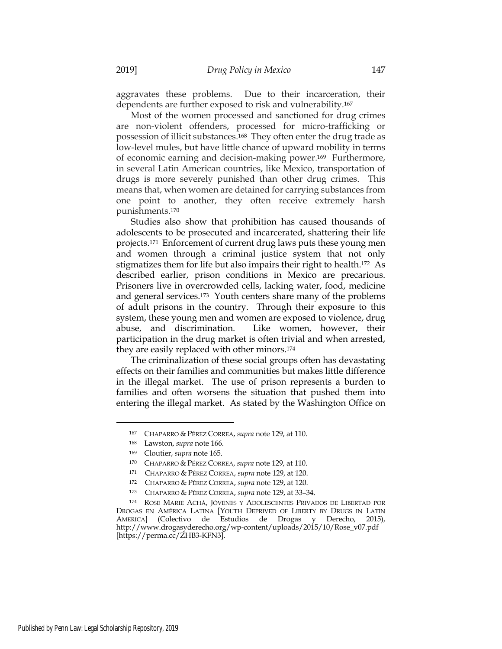aggravates these problems. Due to their incarceration, their dependents are further exposed to risk and vulnerability.167

Most of the women processed and sanctioned for drug crimes are non-violent offenders, processed for micro-trafficking or possession of illicit substances.168 They often enter the drug trade as low-level mules, but have little chance of upward mobility in terms of economic earning and decision-making power.169 Furthermore, in several Latin American countries, like Mexico, transportation of drugs is more severely punished than other drug crimes. This means that, when women are detained for carrying substances from one point to another, they often receive extremely harsh punishments.170

Studies also show that prohibition has caused thousands of adolescents to be prosecuted and incarcerated, shattering their life projects.171 Enforcement of current drug laws puts these young men and women through a criminal justice system that not only stigmatizes them for life but also impairs their right to health.172 As described earlier, prison conditions in Mexico are precarious. Prisoners live in overcrowded cells, lacking water, food, medicine and general services.173 Youth centers share many of the problems of adult prisons in the country. Through their exposure to this system, these young men and women are exposed to violence, drug abuse, and discrimination. Like women, however, their participation in the drug market is often trivial and when arrested, they are easily replaced with other minors.174

The criminalization of these social groups often has devastating effects on their families and communities but makes little difference in the illegal market. The use of prison represents a burden to families and often worsens the situation that pushed them into entering the illegal market. As stated by the Washington Office on

<sup>167</sup> CHAPARRO & PÉREZ CORREA, *supra* note 129, at 110.

<sup>168</sup> Lawston, *supra* note 166.

<sup>169</sup> Cloutier, *supra* note 165.

<sup>170</sup> CHAPARRO & PÉREZ CORREA, *supra* note 129, at 110.

<sup>171</sup> CHAPARRO & PÉREZ CORREA, *supra* note 129, at 120.

<sup>172</sup> CHAPARRO & PÉREZ CORREA, *supra* note 129, at 120.

<sup>173</sup> CHAPARRO & PÉREZ CORREA, *supra* note 129, at 33–34.

<sup>174</sup> ROSE MARIE ACHÁ, JÓVENES Y ADOLESCENTES PRIVADOS DE LIBERTAD POR DROGAS EN AMÉRICA LATINA [YOUTH DEPRIVED OF LIBERTY BY DRUGS IN LATIN AMERICA] (Colectivo de Estudios de Drogas y Derecho, 2015), http://www.drogasyderecho.org/wp-content/uploads/2015/10/Rose\_v07.pdf [https://perma.cc/ZHB3-KFN3].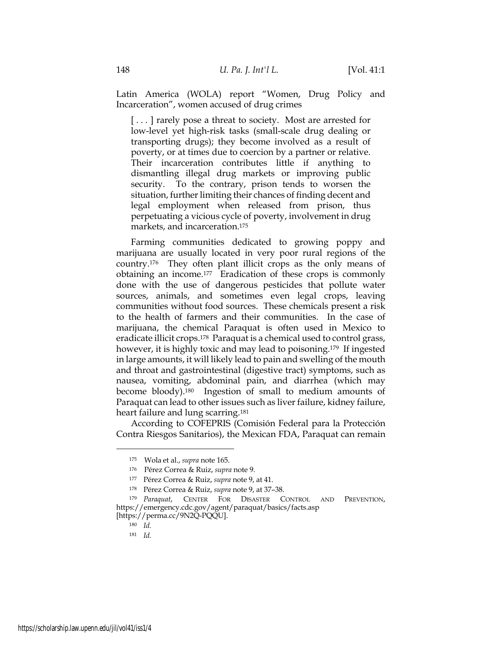Latin America (WOLA) report "Women, Drug Policy and Incarceration", women accused of drug crimes

[...] rarely pose a threat to society. Most are arrested for low-level yet high-risk tasks (small-scale drug dealing or transporting drugs); they become involved as a result of poverty, or at times due to coercion by a partner or relative. Their incarceration contributes little if anything to dismantling illegal drug markets or improving public security. To the contrary, prison tends to worsen the situation, further limiting their chances of finding decent and legal employment when released from prison, thus perpetuating a vicious cycle of poverty, involvement in drug markets, and incarceration.175

Farming communities dedicated to growing poppy and marijuana are usually located in very poor rural regions of the country.176 They often plant illicit crops as the only means of obtaining an income.177 Eradication of these crops is commonly done with the use of dangerous pesticides that pollute water sources, animals, and sometimes even legal crops, leaving communities without food sources. These chemicals present a risk to the health of farmers and their communities. In the case of marijuana, the chemical Paraquat is often used in Mexico to eradicate illicit crops.178 Paraquat is a chemical used to control grass, however, it is highly toxic and may lead to poisoning.179 If ingested in large amounts, it will likely lead to pain and swelling of the mouth and throat and gastrointestinal (digestive tract) symptoms, such as nausea, vomiting, abdominal pain, and diarrhea (which may become bloody).180 Ingestion of small to medium amounts of Paraquat can lead to other issues such as liver failure, kidney failure, heart failure and lung scarring.181

According to COFEPRIS (Comisión Federal para la Protección Contra Riesgos Sanitarios), the Mexican FDA, Paraquat can remain

<sup>175</sup> Wola et al., *supra* note 165.

<sup>176</sup> Pérez Correa & Ruiz, *supra* note 9.

<sup>177</sup> Pérez Correa & Ruiz, *supra* note 9, at 41.

<sup>178</sup> Pérez Correa & Ruiz, *supra* note 9, at 37–38.

<sup>179</sup> *Paraquat*, CENTER FOR DISASTER CONTROL AND PREVENTION, https://emergency.cdc.gov/agent/paraquat/basics/facts.asp

<sup>[</sup>https://perma.cc/9N2Q-PQQU].

<sup>180</sup> *Id.*

<sup>181</sup> *Id.*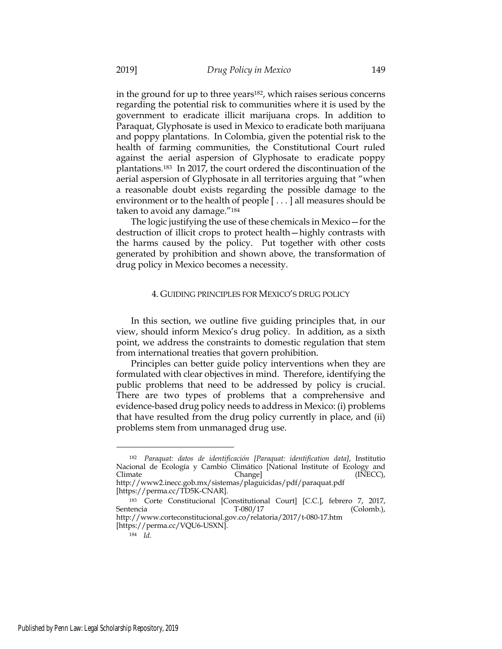in the ground for up to three years<sup>182</sup>, which raises serious concerns regarding the potential risk to communities where it is used by the government to eradicate illicit marijuana crops. In addition to Paraquat, Glyphosate is used in Mexico to eradicate both marijuana and poppy plantations. In Colombia, given the potential risk to the health of farming communities, the Constitutional Court ruled against the aerial aspersion of Glyphosate to eradicate poppy plantations.183 In 2017, the court ordered the discontinuation of the aerial aspersion of Glyphosate in all territories arguing that "when a reasonable doubt exists regarding the possible damage to the environment or to the health of people [ . . . ] all measures should be taken to avoid any damage."184

The logic justifying the use of these chemicals in Mexico—for the destruction of illicit crops to protect health—highly contrasts with the harms caused by the policy. Put together with other costs generated by prohibition and shown above, the transformation of drug policy in Mexico becomes a necessity.

#### 4. GUIDING PRINCIPLES FOR MEXICO'S DRUG POLICY

In this section, we outline five guiding principles that, in our view, should inform Mexico's drug policy. In addition, as a sixth point, we address the constraints to domestic regulation that stem from international treaties that govern prohibition.

Principles can better guide policy interventions when they are formulated with clear objectives in mind. Therefore, identifying the public problems that need to be addressed by policy is crucial. There are two types of problems that a comprehensive and evidence-based drug policy needs to address in Mexico: (i) problems that have resulted from the drug policy currently in place, and (ii) problems stem from unmanaged drug use.

<sup>182</sup> *Paraquat: datos de identificación [Paraquat: identification data]*, Institutio Nacional de Ecología y Cambio Climático [National Institute of Ecology and Climate Change] (INECC), http://www2.inecc.gob.mx/sistemas/plaguicidas/pdf/paraquat.pdf

<sup>[</sup>https://perma.cc/TD5K-CNAR].

<sup>&</sup>lt;sup>183</sup> Corte Constitucional [Constitutional Court] [C.C.], febrero 7, 2017,<br>
T-080/17 (Colomb.),  $(Colomb.)$ http://www.corteconstitucional.gov.co/relatoria/2017/t-080-17.htm

<sup>[</sup>https://perma.cc/VQU6-USXN].

<sup>184</sup> *Id.*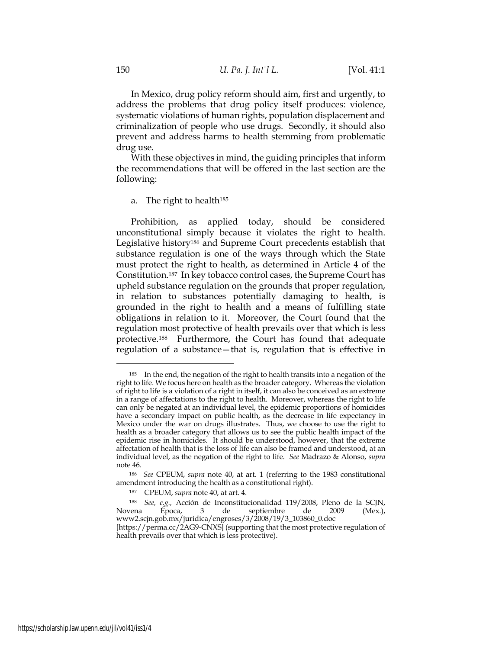In Mexico, drug policy reform should aim, first and urgently, to address the problems that drug policy itself produces: violence, systematic violations of human rights, population displacement and criminalization of people who use drugs. Secondly, it should also prevent and address harms to health stemming from problematic

With these objectives in mind, the guiding principles that inform the recommendations that will be offered in the last section are the following:

### a. The right to health185

Prohibition, as applied today, should be considered unconstitutional simply because it violates the right to health. Legislative history186 and Supreme Court precedents establish that substance regulation is one of the ways through which the State must protect the right to health, as determined in Article 4 of the Constitution.187 In key tobacco control cases, the Supreme Court has upheld substance regulation on the grounds that proper regulation, in relation to substances potentially damaging to health, is grounded in the right to health and a means of fulfilling state obligations in relation to it. Moreover, the Court found that the regulation most protective of health prevails over that which is less protective.188 Furthermore, the Court has found that adequate regulation of a substance—that is, regulation that is effective in

drug use.

<sup>&</sup>lt;sup>185</sup> In the end, the negation of the right to health transits into a negation of the right to life. We focus here on health as the broader category. Whereas the violation of right to life is a violation of a right in itself, it can also be conceived as an extreme in a range of affectations to the right to health. Moreover, whereas the right to life can only be negated at an individual level, the epidemic proportions of homicides have a secondary impact on public health, as the decrease in life expectancy in Mexico under the war on drugs illustrates. Thus, we choose to use the right to health as a broader category that allows us to see the public health impact of the epidemic rise in homicides. It should be understood, however, that the extreme affectation of health that is the loss of life can also be framed and understood, at an individual level, as the negation of the right to life. *See* Madrazo & Alonso, *supra* note 46.

<sup>186</sup> *See* CPEUM, *supra* note 40, at art. 1 (referring to the 1983 constitutional amendment introducing the health as a constitutional right).

<sup>187</sup> CPEUM, *supra* note 40, at art. 4.

<sup>188</sup> *See, e.g.,* Acción de Inconstitucionalidad 119/2008, Pleno de la SCJN, Novena Época, 3 de septiembre de 2009 (Mex.), www2.scjn.gob.mx/juridica/engroses/3/2008/19/3\_103860\_0.doc [https://perma.cc/2AG9-CNXS] (supporting that the most protective regulation of

health prevails over that which is less protective).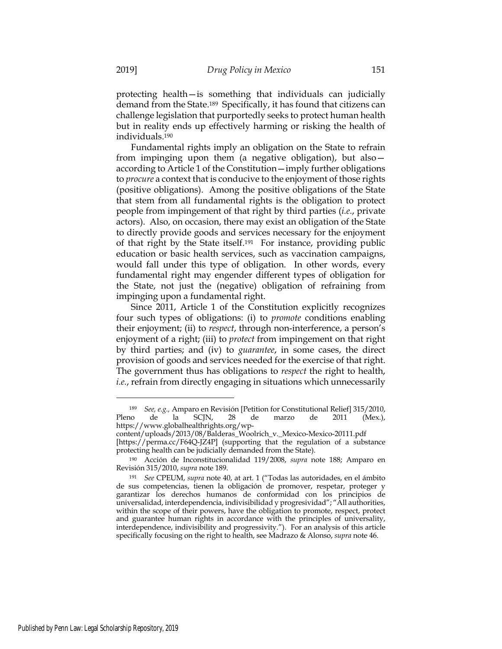protecting health—is something that individuals can judicially demand from the State.189 Specifically, it has found that citizens can challenge legislation that purportedly seeks to protect human health but in reality ends up effectively harming or risking the health of individuals.190

Fundamental rights imply an obligation on the State to refrain from impinging upon them (a negative obligation), but also according to Article 1 of the Constitution—imply further obligations to *procure* a context that is conducive to the enjoyment of those rights (positive obligations). Among the positive obligations of the State that stem from all fundamental rights is the obligation to protect people from impingement of that right by third parties (*i.e.*, private actors). Also, on occasion, there may exist an obligation of the State to directly provide goods and services necessary for the enjoyment of that right by the State itself.191 For instance, providing public education or basic health services, such as vaccination campaigns, would fall under this type of obligation. In other words, every fundamental right may engender different types of obligation for the State, not just the (negative) obligation of refraining from impinging upon a fundamental right.

Since 2011, Article 1 of the Constitution explicitly recognizes four such types of obligations: (i) to *promote* conditions enabling their enjoyment; (ii) to *respect*, through non-interference, a person's enjoyment of a right; (iii) to *protect* from impingement on that right by third parties; and (iv) to *guarantee*, in some cases, the direct provision of goods and services needed for the exercise of that right. The government thus has obligations to *respect* the right to health, *i.e.*, refrain from directly engaging in situations which unnecessarily

<sup>189</sup> *See, e.g.,* Amparo en Revisión [Petition for Constitutional Relief] 315/2010, Pleno de la SCJN, 28 de marzo de 2011 (Mex.), https://www.globalhealthrights.org/wp-

content/uploads/2013/08/Balderas\_Woolrich\_v.\_Mexico-Mexico-20111.pdf

<sup>[</sup>https://perma.cc/F64Q-JZ4P] (supporting that the regulation of a substance protecting health can be judicially demanded from the State).

<sup>190</sup> Acción de Inconstitucionalidad 119/2008, *supra* note 188; Amparo en Revisión 315/2010, *supra* note 189.

<sup>191</sup> *See* CPEUM, *supra* note 40, at art. 1 ("Todas las autoridades, en el ámbito de sus competencias, tienen la obligación de promover, respetar, proteger y garantizar los derechos humanos de conformidad con los principios de universalidad, interdependencia, indivisibilidad y progresividad"; "All authorities, within the scope of their powers, have the obligation to promote, respect, protect and guarantee human rights in accordance with the principles of universality, interdependence, indivisibility and progressivity."). For an analysis of this article specifically focusing on the right to health, see Madrazo & Alonso, *supra* note 46.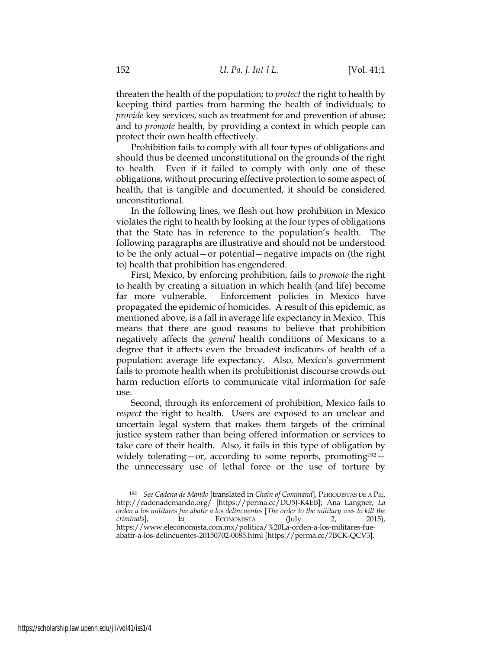threaten the health of the population; to *protect* the right to health by keeping third parties from harming the health of individuals; to *provide* key services, such as treatment for and prevention of abuse; and to *promote* health, by providing a context in which people can protect their own health effectively.

Prohibition fails to comply with all four types of obligations and should thus be deemed unconstitutional on the grounds of the right to health. Even if it failed to comply with only one of these obligations, without procuring effective protection to some aspect of health, that is tangible and documented, it should be considered unconstitutional.

In the following lines, we flesh out how prohibition in Mexico violates the right to health by looking at the four types of obligations that the State has in reference to the population's health. The following paragraphs are illustrative and should not be understood to be the only actual—or potential—negative impacts on (the right to) health that prohibition has engendered.

First, Mexico, by enforcing prohibition, fails to *promote* the right to health by creating a situation in which health (and life) become far more vulnerable. Enforcement policies in Mexico have propagated the epidemic of homicides. A result of this epidemic, as mentioned above, is a fall in average life expectancy in Mexico. This means that there are good reasons to believe that prohibition negatively affects the *general* health conditions of Mexicans to a degree that it affects even the broadest indicators of health of a population: average life expectancy. Also, Mexico's government fails to promote health when its prohibitionist discourse crowds out harm reduction efforts to communicate vital information for safe  $11S<sub>P</sub>$ 

Second, through its enforcement of prohibition, Mexico fails to *respect* the right to health. Users are exposed to an unclear and uncertain legal system that makes them targets of the criminal justice system rather than being offered information or services to take care of their health. Also, it fails in this type of obligation by widely tolerating—or, according to some reports, promoting<sup>192</sup> the unnecessary use of lethal force or the use of torture by

<sup>192</sup> *See Cadena de Mando* [translated in *Chain of Command*], PERIODISTAS DE A PIE, http://cadenademando.org/ [https://perma.cc/DU5J-K4EB]; Ana Langner, *La orden a los militares fue abatir a los delincuentes* [*The order to the military was to kill the criminals*], EL ECONOMISTA (July 2, 2015), https://www.eleconomista.com.mx/politica/%20La-orden-a-los-militares-fueabatir-a-los-delincuentes-20150702-0085.html [https://perma.cc/7BCK-QCV3].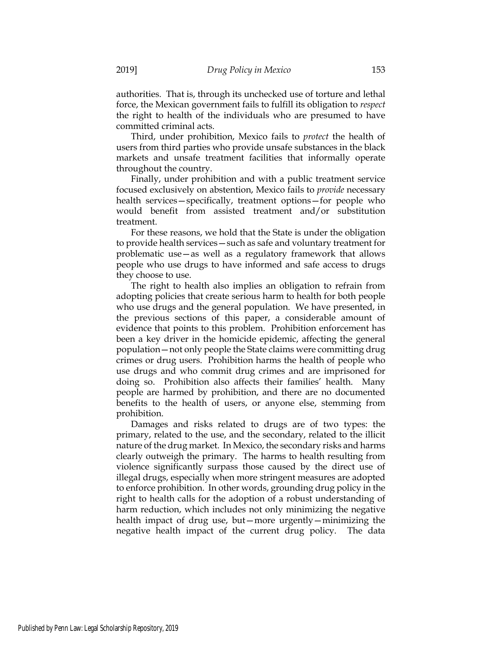authorities. That is, through its unchecked use of torture and lethal force, the Mexican government fails to fulfill its obligation to *respect* the right to health of the individuals who are presumed to have committed criminal acts.

Third, under prohibition, Mexico fails to *protect* the health of users from third parties who provide unsafe substances in the black markets and unsafe treatment facilities that informally operate throughout the country.

Finally, under prohibition and with a public treatment service focused exclusively on abstention, Mexico fails to *provide* necessary health services—specifically, treatment options—for people who would benefit from assisted treatment and/or substitution treatment.

For these reasons, we hold that the State is under the obligation to provide health services—such as safe and voluntary treatment for problematic use—as well as a regulatory framework that allows people who use drugs to have informed and safe access to drugs they choose to use.

The right to health also implies an obligation to refrain from adopting policies that create serious harm to health for both people who use drugs and the general population. We have presented, in the previous sections of this paper, a considerable amount of evidence that points to this problem. Prohibition enforcement has been a key driver in the homicide epidemic, affecting the general population—not only people the State claims were committing drug crimes or drug users. Prohibition harms the health of people who use drugs and who commit drug crimes and are imprisoned for doing so. Prohibition also affects their families' health. Many people are harmed by prohibition, and there are no documented benefits to the health of users, or anyone else, stemming from prohibition.

Damages and risks related to drugs are of two types: the primary, related to the use, and the secondary, related to the illicit nature of the drug market. In Mexico, the secondary risks and harms clearly outweigh the primary. The harms to health resulting from violence significantly surpass those caused by the direct use of illegal drugs, especially when more stringent measures are adopted to enforce prohibition. In other words, grounding drug policy in the right to health calls for the adoption of a robust understanding of harm reduction, which includes not only minimizing the negative health impact of drug use, but—more urgently—minimizing the negative health impact of the current drug policy. The data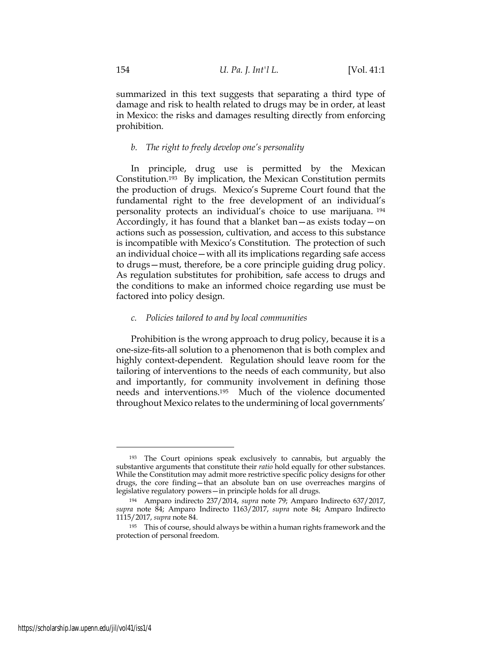summarized in this text suggests that separating a third type of damage and risk to health related to drugs may be in order, at least in Mexico: the risks and damages resulting directly from enforcing prohibition.

### *b. The right to freely develop one's personality*

In principle, drug use is permitted by the Mexican Constitution.193 By implication, the Mexican Constitution permits the production of drugs. Mexico's Supreme Court found that the fundamental right to the free development of an individual's personality protects an individual's choice to use marijuana. 194 Accordingly, it has found that a blanket ban—as exists today—on actions such as possession, cultivation, and access to this substance is incompatible with Mexico's Constitution. The protection of such an individual choice—with all its implications regarding safe access to drugs—must, therefore, be a core principle guiding drug policy. As regulation substitutes for prohibition, safe access to drugs and the conditions to make an informed choice regarding use must be factored into policy design.

#### *c. Policies tailored to and by local communities*

Prohibition is the wrong approach to drug policy, because it is a one-size-fits-all solution to a phenomenon that is both complex and highly context-dependent. Regulation should leave room for the tailoring of interventions to the needs of each community, but also and importantly, for community involvement in defining those needs and interventions.195 Much of the violence documented throughout Mexico relates to the undermining of local governments'

<sup>193</sup> The Court opinions speak exclusively to cannabis, but arguably the substantive arguments that constitute their *ratio* hold equally for other substances. While the Constitution may admit more restrictive specific policy designs for other drugs, the core finding—that an absolute ban on use overreaches margins of legislative regulatory powers—in principle holds for all drugs.

<sup>194</sup> Amparo indirecto 237/2014, *supra* note 79; Amparo Indirecto 637/2017, *supra* note 84; Amparo Indirecto 1163/2017, *supra* note 84; Amparo Indirecto 1115/2017, *supra* note 84.

<sup>&</sup>lt;sup>195</sup> This of course, should always be within a human rights framework and the protection of personal freedom.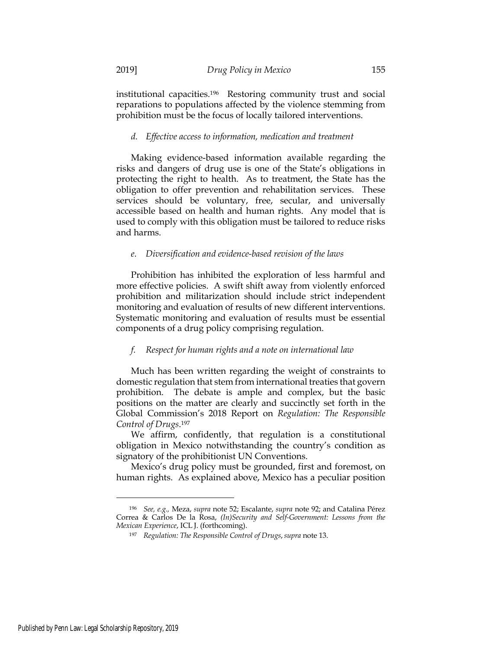institutional capacities.196 Restoring community trust and social reparations to populations affected by the violence stemming from prohibition must be the focus of locally tailored interventions.

## *d. Effective access to information, medication and treatment*

Making evidence-based information available regarding the risks and dangers of drug use is one of the State's obligations in protecting the right to health. As to treatment, the State has the obligation to offer prevention and rehabilitation services. These services should be voluntary, free, secular, and universally accessible based on health and human rights. Any model that is used to comply with this obligation must be tailored to reduce risks and harms.

### *e. Diversification and evidence-based revision of the laws*

Prohibition has inhibited the exploration of less harmful and more effective policies. A swift shift away from violently enforced prohibition and militarization should include strict independent monitoring and evaluation of results of new different interventions. Systematic monitoring and evaluation of results must be essential components of a drug policy comprising regulation.

## *f. Respect for human rights and a note on international law*

Much has been written regarding the weight of constraints to domestic regulation that stem from international treaties that govern prohibition. The debate is ample and complex, but the basic positions on the matter are clearly and succinctly set forth in the Global Commission's 2018 Report on *Regulation: The Responsible Control of Drugs*.197

We affirm, confidently, that regulation is a constitutional obligation in Mexico notwithstanding the country's condition as signatory of the prohibitionist UN Conventions.

Mexico's drug policy must be grounded, first and foremost, on human rights. As explained above, Mexico has a peculiar position

<sup>196</sup> *See, e.g.,* Meza, *supra* note 52; Escalante, *supra* note 92; and Catalina Pérez Correa & Carlos De la Rosa, *(In)Security and Self-Government: Lessons from the Mexican Experience*, ICL J. (forthcoming).

<sup>197</sup> *Regulation: The Responsible Control of Drugs*,*supra* note 13.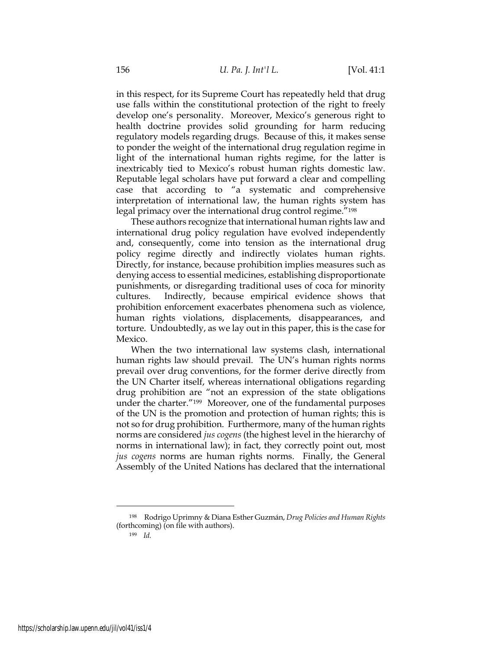in this respect, for its Supreme Court has repeatedly held that drug use falls within the constitutional protection of the right to freely develop one's personality. Moreover, Mexico's generous right to health doctrine provides solid grounding for harm reducing regulatory models regarding drugs. Because of this, it makes sense to ponder the weight of the international drug regulation regime in light of the international human rights regime, for the latter is inextricably tied to Mexico's robust human rights domestic law. Reputable legal scholars have put forward a clear and compelling case that according to "a systematic and comprehensive interpretation of international law, the human rights system has legal primacy over the international drug control regime."198

These authors recognize that international human rights law and international drug policy regulation have evolved independently and, consequently, come into tension as the international drug policy regime directly and indirectly violates human rights. Directly, for instance, because prohibition implies measures such as denying access to essential medicines, establishing disproportionate punishments, or disregarding traditional uses of coca for minority cultures. Indirectly, because empirical evidence shows that prohibition enforcement exacerbates phenomena such as violence, human rights violations, displacements, disappearances, and torture. Undoubtedly, as we lay out in this paper, this is the case for Mexico.

When the two international law systems clash, international human rights law should prevail. The UN's human rights norms prevail over drug conventions, for the former derive directly from the UN Charter itself, whereas international obligations regarding drug prohibition are "not an expression of the state obligations under the charter."199 Moreover, one of the fundamental purposes of the UN is the promotion and protection of human rights; this is not so for drug prohibition. Furthermore, many of the human rights norms are considered *jus cogens* (the highest level in the hierarchy of norms in international law); in fact, they correctly point out, most *jus cogens* norms are human rights norms. Finally, the General Assembly of the United Nations has declared that the international

<sup>199</sup> *Id.*

<sup>198</sup> Rodrigo Uprimny & Diana Esther Guzmán, *Drug Policies and Human Rights* (forthcoming) (on file with authors).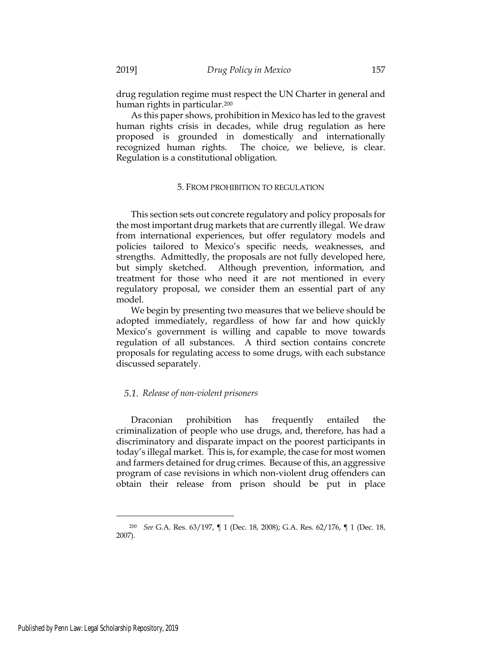drug regulation regime must respect the UN Charter in general and human rights in particular.200

As this paper shows, prohibition in Mexico has led to the gravest human rights crisis in decades, while drug regulation as here proposed is grounded in domestically and internationally recognized human rights. The choice, we believe, is clear. Regulation is a constitutional obligation.

## 5. FROM PROHIBITION TO REGULATION

This section sets out concrete regulatory and policy proposals for the most important drug markets that are currently illegal. We draw from international experiences, but offer regulatory models and policies tailored to Mexico's specific needs, weaknesses, and strengths. Admittedly, the proposals are not fully developed here, but simply sketched. Although prevention, information, and treatment for those who need it are not mentioned in every regulatory proposal, we consider them an essential part of any model.

We begin by presenting two measures that we believe should be adopted immediately, regardless of how far and how quickly Mexico's government is willing and capable to move towards regulation of all substances. A third section contains concrete proposals for regulating access to some drugs, with each substance discussed separately.

## *Release of non-violent prisoners*

Draconian prohibition has frequently entailed the criminalization of people who use drugs, and, therefore, has had a discriminatory and disparate impact on the poorest participants in today's illegal market. This is, for example, the case for most women and farmers detained for drug crimes. Because of this, an aggressive program of case revisions in which non-violent drug offenders can obtain their release from prison should be put in place

<sup>200</sup> *See* G.A. Res. 63/197, ¶ 1 (Dec. 18, 2008); G.A. Res. 62/176, ¶ 1 (Dec. 18, 2007).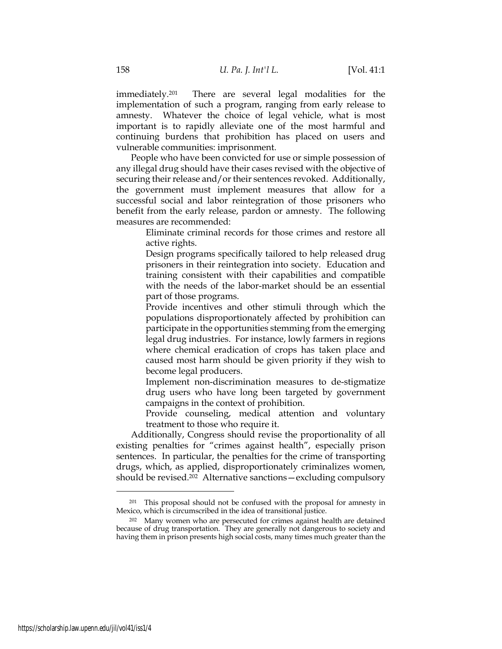immediately.201 There are several legal modalities for the implementation of such a program, ranging from early release to amnesty. Whatever the choice of legal vehicle, what is most important is to rapidly alleviate one of the most harmful and continuing burdens that prohibition has placed on users and vulnerable communities: imprisonment.

People who have been convicted for use or simple possession of any illegal drug should have their cases revised with the objective of securing their release and/or their sentences revoked. Additionally, the government must implement measures that allow for a successful social and labor reintegration of those prisoners who benefit from the early release, pardon or amnesty. The following measures are recommended:

 Eliminate criminal records for those crimes and restore all active rights.

 Design programs specifically tailored to help released drug prisoners in their reintegration into society. Education and training consistent with their capabilities and compatible with the needs of the labor-market should be an essential part of those programs.

 Provide incentives and other stimuli through which the populations disproportionately affected by prohibition can participate in the opportunities stemming from the emerging legal drug industries. For instance, lowly farmers in regions where chemical eradication of crops has taken place and caused most harm should be given priority if they wish to become legal producers.

 Implement non-discrimination measures to de-stigmatize drug users who have long been targeted by government campaigns in the context of prohibition.

 Provide counseling, medical attention and voluntary treatment to those who require it.

Additionally, Congress should revise the proportionality of all existing penalties for "crimes against health", especially prison sentences. In particular, the penalties for the crime of transporting drugs, which, as applied, disproportionately criminalizes women, should be revised.<sup>202</sup> Alternative sanctions — excluding compulsory

<sup>&</sup>lt;sup>201</sup> This proposal should not be confused with the proposal for amnesty in Mexico, which is circumscribed in the idea of transitional justice.

<sup>202</sup> Many women who are persecuted for crimes against health are detained because of drug transportation. They are generally not dangerous to society and having them in prison presents high social costs, many times much greater than the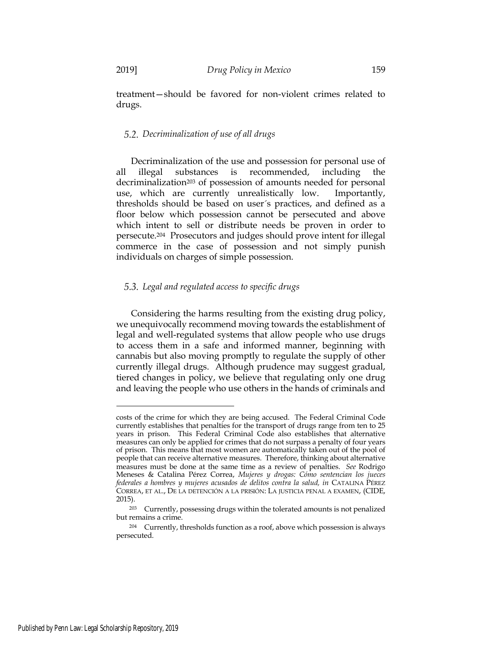treatment—should be favored for non-violent crimes related to drugs.

## *Decriminalization of use of all drugs*

Decriminalization of the use and possession for personal use of all illegal substances is recommended, including the decriminalization<sup>203</sup> of possession of amounts needed for personal use, which are currently unrealistically low. Importantly, thresholds should be based on user´s practices, and defined as a floor below which possession cannot be persecuted and above which intent to sell or distribute needs be proven in order to persecute.204 Prosecutors and judges should prove intent for illegal commerce in the case of possession and not simply punish individuals on charges of simple possession.

## *Legal and regulated access to specific drugs*

Considering the harms resulting from the existing drug policy, we unequivocally recommend moving towards the establishment of legal and well-regulated systems that allow people who use drugs to access them in a safe and informed manner, beginning with cannabis but also moving promptly to regulate the supply of other currently illegal drugs. Although prudence may suggest gradual, tiered changes in policy, we believe that regulating only one drug and leaving the people who use others in the hands of criminals and

costs of the crime for which they are being accused. The Federal Criminal Code currently establishes that penalties for the transport of drugs range from ten to 25 years in prison. This Federal Criminal Code also establishes that alternative measures can only be applied for crimes that do not surpass a penalty of four years of prison. This means that most women are automatically taken out of the pool of people that can receive alternative measures. Therefore, thinking about alternative measures must be done at the same time as a review of penalties. *See* Rodrigo Meneses & Catalina Pérez Correa, *Mujeres y drogas: Cómo sentencian los jueces federales a hombres y mujeres acusados de delitos contra la salud, in* CATALINA PÉREZ CORREA, ET AL., DE LA DETENCIÓN A LA PRISIÓN: LA JUSTICIA PENAL A EXAMEN, (CIDE, 2015).

<sup>203</sup> Currently, possessing drugs within the tolerated amounts is not penalized but remains a crime.

<sup>204</sup> Currently, thresholds function as a roof, above which possession is always persecuted.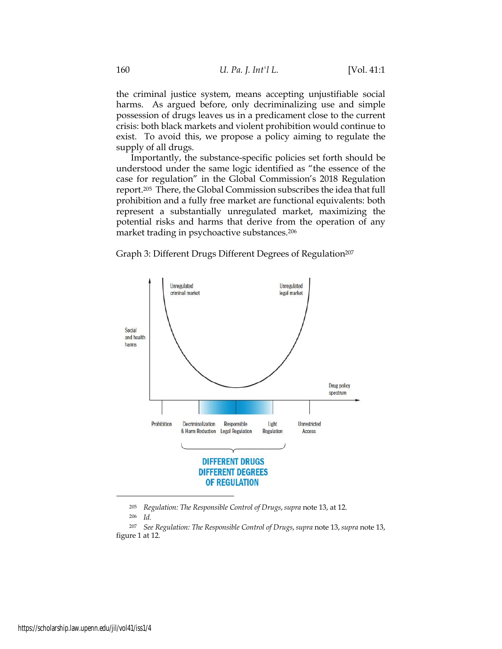the criminal justice system, means accepting unjustifiable social harms. As argued before, only decriminalizing use and simple possession of drugs leaves us in a predicament close to the current crisis: both black markets and violent prohibition would continue to exist. To avoid this, we propose a policy aiming to regulate the supply of all drugs.

Importantly, the substance-specific policies set forth should be understood under the same logic identified as "the essence of the case for regulation" in the Global Commission's 2018 Regulation report.205 There, the Global Commission subscribes the idea that full prohibition and a fully free market are functional equivalents: both represent a substantially unregulated market, maximizing the potential risks and harms that derive from the operation of any market trading in psychoactive substances.206

Graph 3: Different Drugs Different Degrees of Regulation<sup>207</sup>



<sup>205</sup> *Regulation: The Responsible Control of Drugs*,*supra* note 13, at 12.

<sup>206</sup> *Id.*

<sup>207</sup> *See Regulation: The Responsible Control of Drugs*,*supra* note 13,*supra* note 13, figure 1 at 12.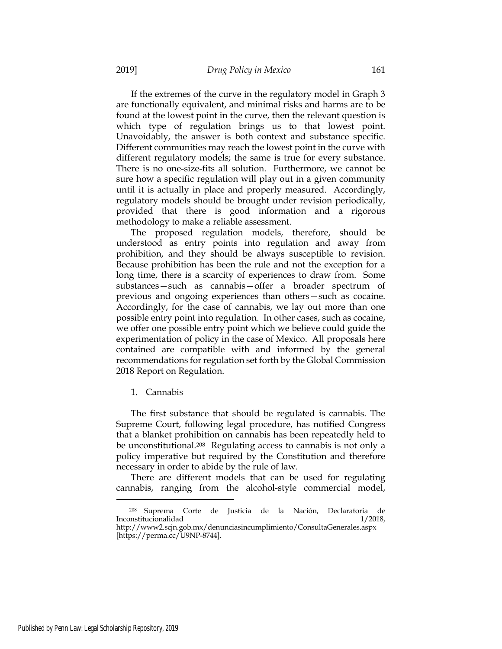If the extremes of the curve in the regulatory model in Graph 3 are functionally equivalent, and minimal risks and harms are to be found at the lowest point in the curve, then the relevant question is which type of regulation brings us to that lowest point. Unavoidably, the answer is both context and substance specific. Different communities may reach the lowest point in the curve with different regulatory models; the same is true for every substance. There is no one-size-fits all solution. Furthermore, we cannot be sure how a specific regulation will play out in a given community until it is actually in place and properly measured. Accordingly, regulatory models should be brought under revision periodically, provided that there is good information and a rigorous methodology to make a reliable assessment.

The proposed regulation models, therefore, should be understood as entry points into regulation and away from prohibition, and they should be always susceptible to revision. Because prohibition has been the rule and not the exception for a long time, there is a scarcity of experiences to draw from. Some substances—such as cannabis—offer a broader spectrum of previous and ongoing experiences than others—such as cocaine. Accordingly, for the case of cannabis, we lay out more than one possible entry point into regulation. In other cases, such as cocaine, we offer one possible entry point which we believe could guide the experimentation of policy in the case of Mexico. All proposals here contained are compatible with and informed by the general recommendations for regulation set forth by the Global Commission 2018 Report on Regulation.

1. Cannabis

The first substance that should be regulated is cannabis. The Supreme Court, following legal procedure, has notified Congress that a blanket prohibition on cannabis has been repeatedly held to be unconstitutional.208 Regulating access to cannabis is not only a policy imperative but required by the Constitution and therefore necessary in order to abide by the rule of law.

There are different models that can be used for regulating cannabis, ranging from the alcohol-style commercial model,

<sup>208</sup> Suprema Corte de Justicia de la Nación, Declaratoria de Inconstitucionalidad 1/2018,

http://www2.scjn.gob.mx/denunciasincumplimiento/ConsultaGenerales.aspx [https://perma.cc/U9NP-8744].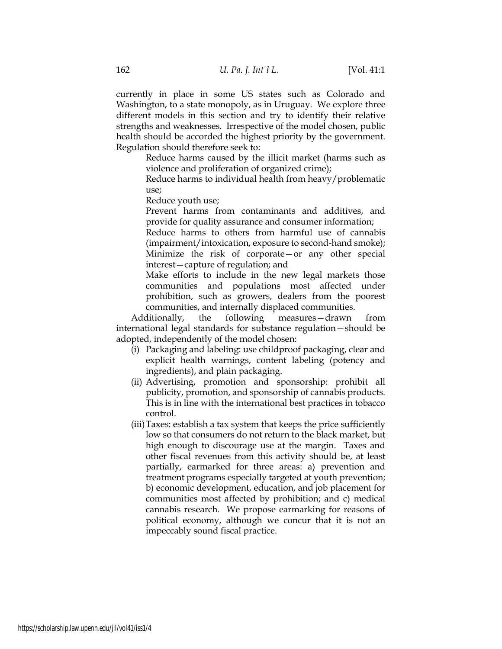currently in place in some US states such as Colorado and Washington, to a state monopoly, as in Uruguay. We explore three different models in this section and try to identify their relative strengths and weaknesses. Irrespective of the model chosen, public health should be accorded the highest priority by the government. Regulation should therefore seek to:

> Reduce harms caused by the illicit market (harms such as violence and proliferation of organized crime);

> Reduce harms to individual health from heavy/problematic use;

Reduce youth use;

 Prevent harms from contaminants and additives, and provide for quality assurance and consumer information;

 Reduce harms to others from harmful use of cannabis (impairment/intoxication, exposure to second-hand smoke); Minimize the risk of corporate—or any other special interest—capture of regulation; and

 Make efforts to include in the new legal markets those communities and populations most affected under prohibition, such as growers, dealers from the poorest communities, and internally displaced communities.

Additionally, the following measures—drawn from international legal standards for substance regulation—should be adopted, independently of the model chosen:

- (i) Packaging and labeling: use childproof packaging, clear and explicit health warnings, content labeling (potency and ingredients), and plain packaging.
- (ii) Advertising, promotion and sponsorship: prohibit all publicity, promotion, and sponsorship of cannabis products. This is in line with the international best practices in tobacco control.
- (iii)Taxes: establish a tax system that keeps the price sufficiently low so that consumers do not return to the black market, but high enough to discourage use at the margin. Taxes and other fiscal revenues from this activity should be, at least partially, earmarked for three areas: a) prevention and treatment programs especially targeted at youth prevention; b) economic development, education, and job placement for communities most affected by prohibition; and c) medical cannabis research. We propose earmarking for reasons of political economy, although we concur that it is not an impeccably sound fiscal practice.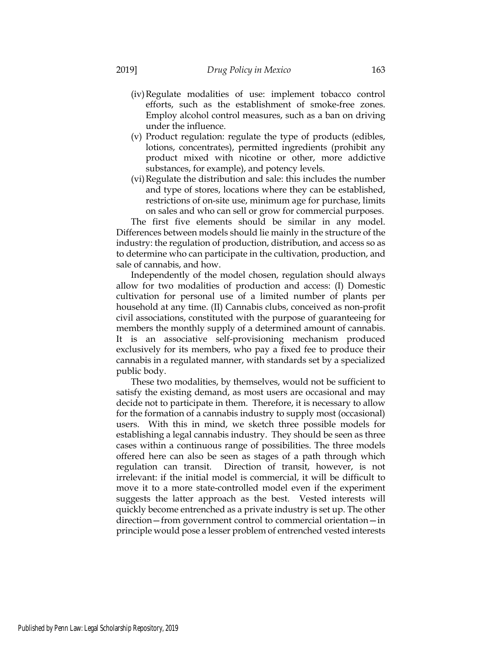- (iv)Regulate modalities of use: implement tobacco control efforts, such as the establishment of smoke-free zones. Employ alcohol control measures, such as a ban on driving under the influence.
- (v) Product regulation: regulate the type of products (edibles, lotions, concentrates), permitted ingredients (prohibit any product mixed with nicotine or other, more addictive substances, for example), and potency levels.
- (vi)Regulate the distribution and sale: this includes the number and type of stores, locations where they can be established, restrictions of on-site use, minimum age for purchase, limits on sales and who can sell or grow for commercial purposes.

The first five elements should be similar in any model. Differences between models should lie mainly in the structure of the industry: the regulation of production, distribution, and access so as to determine who can participate in the cultivation, production, and sale of cannabis, and how.

Independently of the model chosen, regulation should always allow for two modalities of production and access: (I) Domestic cultivation for personal use of a limited number of plants per household at any time. (II) Cannabis clubs, conceived as non-profit civil associations, constituted with the purpose of guaranteeing for members the monthly supply of a determined amount of cannabis. It is an associative self-provisioning mechanism produced exclusively for its members, who pay a fixed fee to produce their cannabis in a regulated manner, with standards set by a specialized public body.

These two modalities, by themselves, would not be sufficient to satisfy the existing demand, as most users are occasional and may decide not to participate in them. Therefore, it is necessary to allow for the formation of a cannabis industry to supply most (occasional) users. With this in mind, we sketch three possible models for establishing a legal cannabis industry. They should be seen as three cases within a continuous range of possibilities. The three models offered here can also be seen as stages of a path through which regulation can transit. Direction of transit, however, is not irrelevant: if the initial model is commercial, it will be difficult to move it to a more state-controlled model even if the experiment suggests the latter approach as the best. Vested interests will quickly become entrenched as a private industry is set up. The other direction—from government control to commercial orientation—in principle would pose a lesser problem of entrenched vested interests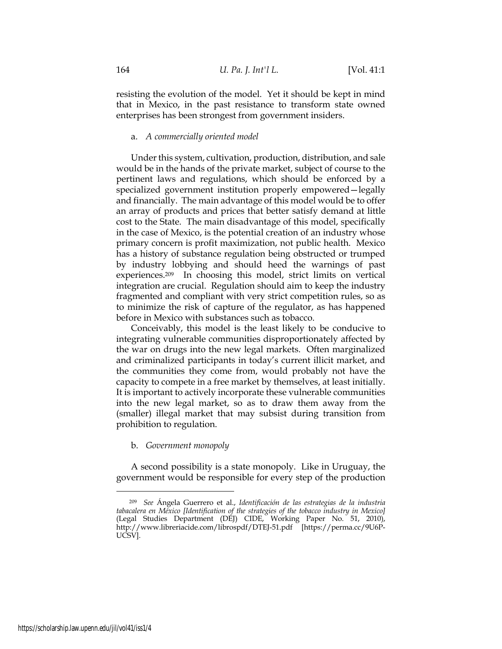resisting the evolution of the model. Yet it should be kept in mind that in Mexico, in the past resistance to transform state owned enterprises has been strongest from government insiders.

### a. *A commercially oriented model*

Under this system, cultivation, production, distribution, and sale would be in the hands of the private market, subject of course to the pertinent laws and regulations, which should be enforced by a specialized government institution properly empowered—legally and financially. The main advantage of this model would be to offer an array of products and prices that better satisfy demand at little cost to the State. The main disadvantage of this model, specifically in the case of Mexico, is the potential creation of an industry whose primary concern is profit maximization, not public health. Mexico has a history of substance regulation being obstructed or trumped by industry lobbying and should heed the warnings of past experiences.209 In choosing this model, strict limits on vertical integration are crucial. Regulation should aim to keep the industry fragmented and compliant with very strict competition rules, so as to minimize the risk of capture of the regulator, as has happened before in Mexico with substances such as tobacco.

Conceivably, this model is the least likely to be conducive to integrating vulnerable communities disproportionately affected by the war on drugs into the new legal markets. Often marginalized and criminalized participants in today's current illicit market, and the communities they come from, would probably not have the capacity to compete in a free market by themselves, at least initially. It is important to actively incorporate these vulnerable communities into the new legal market, so as to draw them away from the (smaller) illegal market that may subsist during transition from prohibition to regulation.

## b. *Government monopoly*

A second possibility is a state monopoly. Like in Uruguay, the government would be responsible for every step of the production

<sup>209</sup> *See* Ángela Guerrero et al., *Identificación de las estrategias de la industria tabacalera en México [Identification of the strategies of the tobacco industry in Mexico]* (Legal Studies Department (DEJ) CIDE, Working Paper No. 51, 2010), http://www.libreriacide.com/librospdf/DTEJ-51.pdf [https://perma.cc/9U6P-UCSV].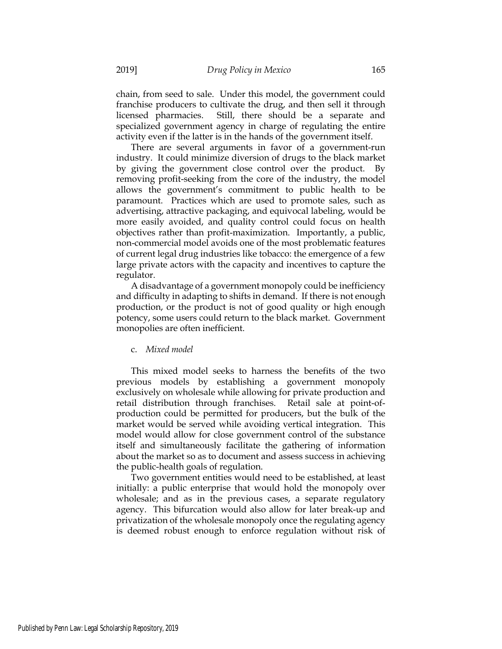chain, from seed to sale. Under this model, the government could franchise producers to cultivate the drug, and then sell it through licensed pharmacies. Still, there should be a separate and specialized government agency in charge of regulating the entire activity even if the latter is in the hands of the government itself.

There are several arguments in favor of a government-run industry. It could minimize diversion of drugs to the black market by giving the government close control over the product. By removing profit-seeking from the core of the industry, the model allows the government's commitment to public health to be paramount. Practices which are used to promote sales, such as advertising, attractive packaging, and equivocal labeling, would be more easily avoided, and quality control could focus on health objectives rather than profit-maximization. Importantly, a public, non-commercial model avoids one of the most problematic features of current legal drug industries like tobacco: the emergence of a few large private actors with the capacity and incentives to capture the regulator.

A disadvantage of a government monopoly could be inefficiency and difficulty in adapting to shifts in demand. If there is not enough production, or the product is not of good quality or high enough potency, some users could return to the black market. Government monopolies are often inefficient.

### c. *Mixed model*

This mixed model seeks to harness the benefits of the two previous models by establishing a government monopoly exclusively on wholesale while allowing for private production and retail distribution through franchises. Retail sale at point-ofproduction could be permitted for producers, but the bulk of the market would be served while avoiding vertical integration. This model would allow for close government control of the substance itself and simultaneously facilitate the gathering of information about the market so as to document and assess success in achieving the public-health goals of regulation.

Two government entities would need to be established, at least initially: a public enterprise that would hold the monopoly over wholesale; and as in the previous cases, a separate regulatory agency. This bifurcation would also allow for later break-up and privatization of the wholesale monopoly once the regulating agency is deemed robust enough to enforce regulation without risk of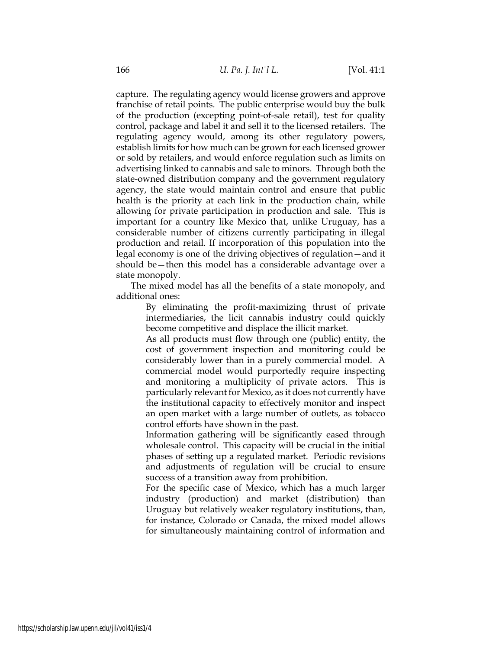capture. The regulating agency would license growers and approve franchise of retail points. The public enterprise would buy the bulk of the production (excepting point-of-sale retail), test for quality control, package and label it and sell it to the licensed retailers. The regulating agency would, among its other regulatory powers, establish limits for how much can be grown for each licensed grower or sold by retailers, and would enforce regulation such as limits on advertising linked to cannabis and sale to minors. Through both the state-owned distribution company and the government regulatory agency, the state would maintain control and ensure that public health is the priority at each link in the production chain, while allowing for private participation in production and sale. This is important for a country like Mexico that, unlike Uruguay, has a considerable number of citizens currently participating in illegal production and retail. If incorporation of this population into the legal economy is one of the driving objectives of regulation—and it should be—then this model has a considerable advantage over a state monopoly.

The mixed model has all the benefits of a state monopoly, and additional ones:

> By eliminating the profit-maximizing thrust of private intermediaries, the licit cannabis industry could quickly become competitive and displace the illicit market.

> As all products must flow through one (public) entity, the cost of government inspection and monitoring could be considerably lower than in a purely commercial model. A commercial model would purportedly require inspecting and monitoring a multiplicity of private actors. This is particularly relevant for Mexico, as it does not currently have the institutional capacity to effectively monitor and inspect an open market with a large number of outlets, as tobacco control efforts have shown in the past.

> Information gathering will be significantly eased through wholesale control. This capacity will be crucial in the initial phases of setting up a regulated market. Periodic revisions and adjustments of regulation will be crucial to ensure success of a transition away from prohibition.

> For the specific case of Mexico, which has a much larger industry (production) and market (distribution) than Uruguay but relatively weaker regulatory institutions, than, for instance, Colorado or Canada, the mixed model allows for simultaneously maintaining control of information and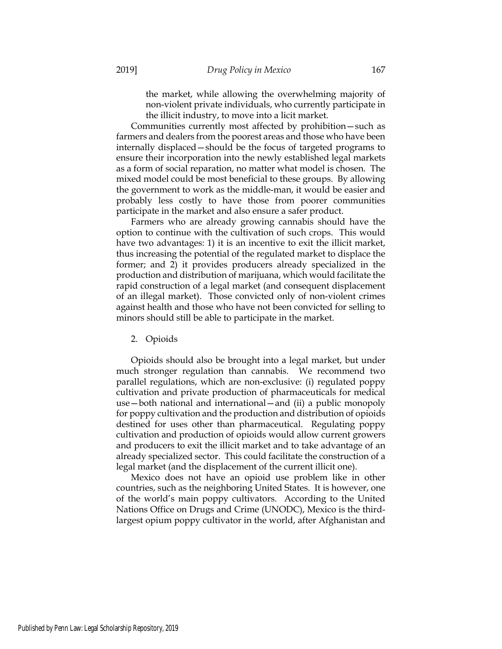the market, while allowing the overwhelming majority of non-violent private individuals, who currently participate in the illicit industry, to move into a licit market.

Communities currently most affected by prohibition—such as farmers and dealers from the poorest areas and those who have been internally displaced—should be the focus of targeted programs to ensure their incorporation into the newly established legal markets as a form of social reparation, no matter what model is chosen. The mixed model could be most beneficial to these groups. By allowing the government to work as the middle-man, it would be easier and probably less costly to have those from poorer communities participate in the market and also ensure a safer product.

Farmers who are already growing cannabis should have the option to continue with the cultivation of such crops. This would have two advantages: 1) it is an incentive to exit the illicit market, thus increasing the potential of the regulated market to displace the former; and 2) it provides producers already specialized in the production and distribution of marijuana, which would facilitate the rapid construction of a legal market (and consequent displacement of an illegal market). Those convicted only of non-violent crimes against health and those who have not been convicted for selling to minors should still be able to participate in the market.

2. Opioids

Opioids should also be brought into a legal market, but under much stronger regulation than cannabis. We recommend two parallel regulations, which are non-exclusive: (i) regulated poppy cultivation and private production of pharmaceuticals for medical use—both national and international—and (ii) a public monopoly for poppy cultivation and the production and distribution of opioids destined for uses other than pharmaceutical. Regulating poppy cultivation and production of opioids would allow current growers and producers to exit the illicit market and to take advantage of an already specialized sector. This could facilitate the construction of a legal market (and the displacement of the current illicit one).

Mexico does not have an opioid use problem like in other countries, such as the neighboring United States. It is however, one of the world's main poppy cultivators. According to the United Nations Office on Drugs and Crime (UNODC), Mexico is the thirdlargest opium poppy cultivator in the world, after Afghanistan and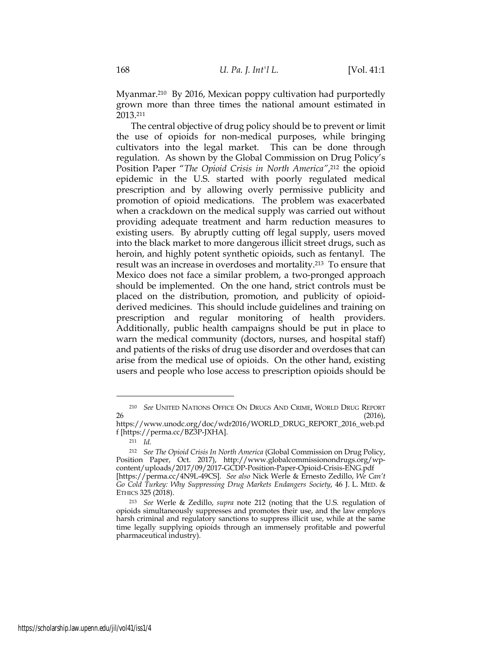Myanmar.210 By 2016, Mexican poppy cultivation had purportedly grown more than three times the national amount estimated in 2013.211

The central objective of drug policy should be to prevent or limit the use of opioids for non-medical purposes, while bringing cultivators into the legal market. This can be done through regulation. As shown by the Global Commission on Drug Policy's Position Paper "*The Opioid Crisis in North America*",<sup>212</sup> the opioid epidemic in the U.S. started with poorly regulated medical prescription and by allowing overly permissive publicity and promotion of opioid medications. The problem was exacerbated when a crackdown on the medical supply was carried out without providing adequate treatment and harm reduction measures to existing users. By abruptly cutting off legal supply, users moved into the black market to more dangerous illicit street drugs, such as heroin, and highly potent synthetic opioids, such as fentanyl. The result was an increase in overdoses and mortality.213 To ensure that Mexico does not face a similar problem, a two-pronged approach should be implemented. On the one hand, strict controls must be placed on the distribution, promotion, and publicity of opioidderived medicines. This should include guidelines and training on prescription and regular monitoring of health providers. Additionally, public health campaigns should be put in place to warn the medical community (doctors, nurses, and hospital staff) and patients of the risks of drug use disorder and overdoses that can arise from the medical use of opioids. On the other hand, existing users and people who lose access to prescription opioids should be

<sup>210</sup> *See* UNITED NATIONS OFFICE ON DRUGS AND CRIME, WORLD DRUG REPORT  $26$  (2016),

https://www.unodc.org/doc/wdr2016/WORLD\_DRUG\_REPORT\_2016\_web.pd f [https://perma.cc/BZ3P-JXHA].

<sup>211</sup> *Id.*

<sup>212</sup> *See The Opioid Crisis In North America* (Global Commission on Drug Policy, Position Paper, Oct. 2017), http://www.globalcommissionondrugs.org/wpcontent/uploads/2017/09/2017-GCDP-Position-Paper-Opioid-Crisis-ENG.pdf [https://perma.cc/4N9L-49CS]. *See also* Nick Werle & Ernesto Zedillo, *We Can't Go Cold Turkey: Why Suppressing Drug Markets Endangers Society*, 46 J. L. MED. & ETHICS 325 (2018).

<sup>213</sup> *See* Werle & Zedillo, *supra* note 212 (noting that the U.S. regulation of opioids simultaneously suppresses and promotes their use, and the law employs harsh criminal and regulatory sanctions to suppress illicit use, while at the same time legally supplying opioids through an immensely profitable and powerful pharmaceutical industry).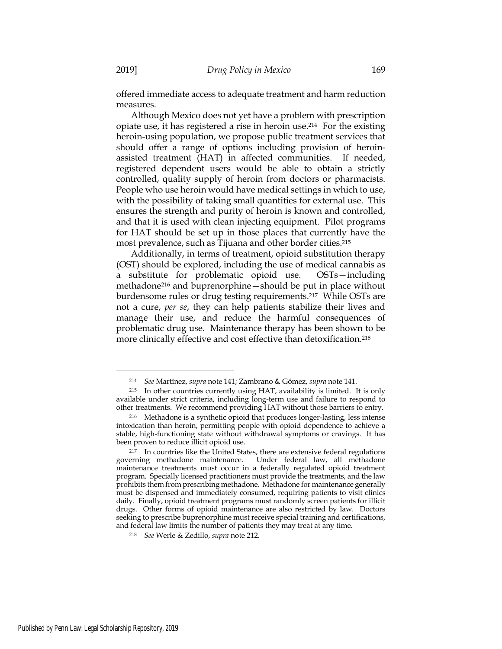offered immediate access to adequate treatment and harm reduction measures.

Although Mexico does not yet have a problem with prescription opiate use, it has registered a rise in heroin use.214 For the existing heroin-using population, we propose public treatment services that should offer a range of options including provision of heroinassisted treatment (HAT) in affected communities. If needed, registered dependent users would be able to obtain a strictly controlled, quality supply of heroin from doctors or pharmacists. People who use heroin would have medical settings in which to use, with the possibility of taking small quantities for external use. This ensures the strength and purity of heroin is known and controlled, and that it is used with clean injecting equipment. Pilot programs for HAT should be set up in those places that currently have the most prevalence, such as Tijuana and other border cities.215

Additionally, in terms of treatment, opioid substitution therapy (OST) should be explored, including the use of medical cannabis as a substitute for problematic opioid use. OSTs—including methadone216 and buprenorphine—should be put in place without burdensome rules or drug testing requirements.217 While OSTs are not a cure, *per se*, they can help patients stabilize their lives and manage their use, and reduce the harmful consequences of problematic drug use. Maintenance therapy has been shown to be more clinically effective and cost effective than detoxification.<sup>218</sup>

<sup>214</sup> *See* Martínez, *supra* note 141; Zambrano & Gómez, *supra* note 141.

<sup>215</sup> In other countries currently using HAT, availability is limited. It is only available under strict criteria, including long-term use and failure to respond to other treatments. We recommend providing HAT without those barriers to entry.

<sup>216</sup> Methadone is a synthetic opioid that produces longer-lasting, less intense intoxication than heroin, permitting people with opioid dependence to achieve a stable, high-functioning state without withdrawal symptoms or cravings. It has been proven to reduce illicit opioid use.

<sup>&</sup>lt;sup>217</sup> In countries like the United States, there are extensive federal regulations governing methadone maintenance. Under federal law, all methadone Under federal law, all methadone maintenance treatments must occur in a federally regulated opioid treatment program. Specially licensed practitioners must provide the treatments, and the law prohibits them from prescribing methadone. Methadone for maintenance generally must be dispensed and immediately consumed, requiring patients to visit clinics daily. Finally, opioid treatment programs must randomly screen patients for illicit drugs. Other forms of opioid maintenance are also restricted by law. Doctors seeking to prescribe buprenorphine must receive special training and certifications, and federal law limits the number of patients they may treat at any time.

<sup>218</sup> *See* Werle & Zedillo, *supra* note 212.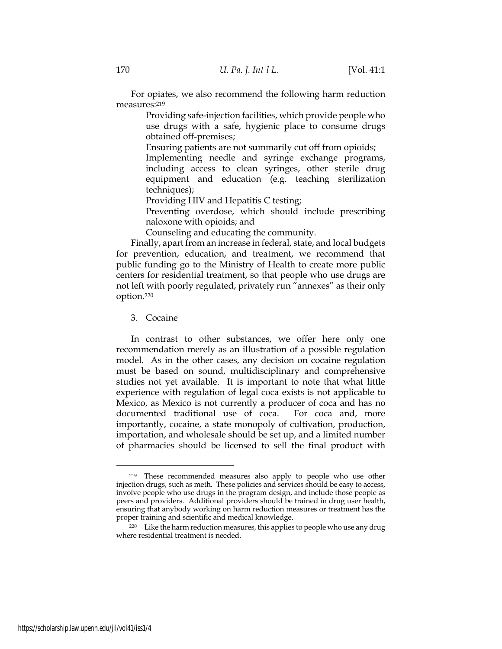For opiates, we also recommend the following harm reduction measures:219

> Providing safe-injection facilities, which provide people who use drugs with a safe, hygienic place to consume drugs obtained off-premises;

Ensuring patients are not summarily cut off from opioids;

 Implementing needle and syringe exchange programs, including access to clean syringes, other sterile drug equipment and education (e.g. teaching sterilization techniques);

Providing HIV and Hepatitis C testing;

 Preventing overdose, which should include prescribing naloxone with opioids; and

Counseling and educating the community.

Finally, apart from an increase in federal, state, and local budgets for prevention, education, and treatment, we recommend that public funding go to the Ministry of Health to create more public centers for residential treatment, so that people who use drugs are not left with poorly regulated, privately run "annexes" as their only option.220

### 3. Cocaine

In contrast to other substances, we offer here only one recommendation merely as an illustration of a possible regulation model. As in the other cases, any decision on cocaine regulation must be based on sound, multidisciplinary and comprehensive studies not yet available. It is important to note that what little experience with regulation of legal coca exists is not applicable to Mexico, as Mexico is not currently a producer of coca and has no documented traditional use of coca. For coca and, more importantly, cocaine, a state monopoly of cultivation, production, importation, and wholesale should be set up, and a limited number of pharmacies should be licensed to sell the final product with

<sup>219</sup> These recommended measures also apply to people who use other injection drugs, such as meth. These policies and services should be easy to access, involve people who use drugs in the program design, and include those people as peers and providers. Additional providers should be trained in drug user health, ensuring that anybody working on harm reduction measures or treatment has the proper training and scientific and medical knowledge.

<sup>&</sup>lt;sup>220</sup> Like the harm reduction measures, this applies to people who use any drug where residential treatment is needed.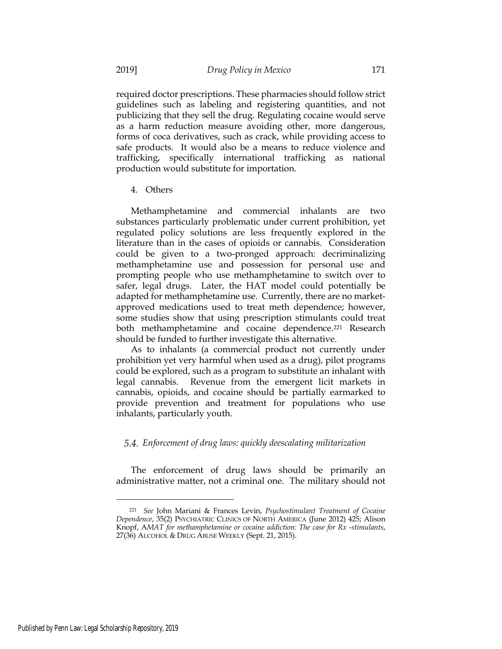required doctor prescriptions. These pharmacies should follow strict guidelines such as labeling and registering quantities, and not publicizing that they sell the drug. Regulating cocaine would serve as a harm reduction measure avoiding other, more dangerous, forms of coca derivatives, such as crack, while providing access to safe products. It would also be a means to reduce violence and trafficking, specifically international trafficking as national production would substitute for importation.

4. Others

Methamphetamine and commercial inhalants are two substances particularly problematic under current prohibition, yet regulated policy solutions are less frequently explored in the literature than in the cases of opioids or cannabis. Consideration could be given to a two-pronged approach: decriminalizing methamphetamine use and possession for personal use and prompting people who use methamphetamine to switch over to safer, legal drugs. Later, the HAT model could potentially be adapted for methamphetamine use. Currently, there are no marketapproved medications used to treat meth dependence; however, some studies show that using prescription stimulants could treat both methamphetamine and cocaine dependence.221 Research should be funded to further investigate this alternative.

As to inhalants (a commercial product not currently under prohibition yet very harmful when used as a drug), pilot programs could be explored, such as a program to substitute an inhalant with legal cannabis. Revenue from the emergent licit markets in cannabis, opioids, and cocaine should be partially earmarked to provide prevention and treatment for populations who use inhalants, particularly youth.

## *Enforcement of drug laws: quickly deescalating militarization*

The enforcement of drug laws should be primarily an administrative matter, not a criminal one. The military should not

<sup>221</sup> *See* John Mariani & Frances Levin, *Psychostimulant Treatment of Cocaine Dependence*, 35(2) PSYCHIATRIC CLINICS OF NORTH AMERICA (June 2012) 425; Alison Knopf, A*MAT for methamphetamine or cocaine addiction: The case for Rx -stimulants*, 27(36) ALCOHOL & DRUG ABUSE WEEKLY (Sept. 21, 2015).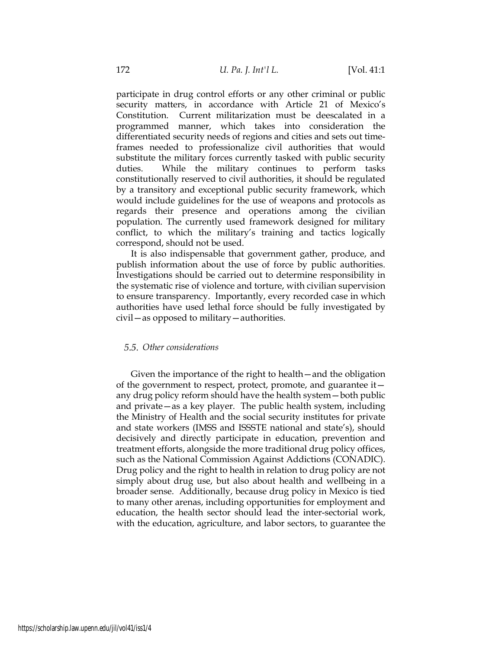participate in drug control efforts or any other criminal or public security matters, in accordance with Article 21 of Mexico's Constitution. Current militarization must be deescalated in a programmed manner, which takes into consideration the differentiated security needs of regions and cities and sets out timeframes needed to professionalize civil authorities that would substitute the military forces currently tasked with public security duties. While the military continues to perform tasks constitutionally reserved to civil authorities, it should be regulated by a transitory and exceptional public security framework, which would include guidelines for the use of weapons and protocols as regards their presence and operations among the civilian population. The currently used framework designed for military conflict, to which the military's training and tactics logically correspond, should not be used.

It is also indispensable that government gather, produce, and publish information about the use of force by public authorities. Investigations should be carried out to determine responsibility in the systematic rise of violence and torture, with civilian supervision to ensure transparency. Importantly, every recorded case in which authorities have used lethal force should be fully investigated by civil—as opposed to military—authorities.

# *Other considerations*

Given the importance of the right to health—and the obligation of the government to respect, protect, promote, and guarantee it any drug policy reform should have the health system—both public and private—as a key player. The public health system, including the Ministry of Health and the social security institutes for private and state workers (IMSS and ISSSTE national and state's), should decisively and directly participate in education, prevention and treatment efforts, alongside the more traditional drug policy offices, such as the National Commission Against Addictions (CONADIC). Drug policy and the right to health in relation to drug policy are not simply about drug use, but also about health and wellbeing in a broader sense. Additionally, because drug policy in Mexico is tied to many other arenas, including opportunities for employment and education, the health sector should lead the inter-sectorial work, with the education, agriculture, and labor sectors, to guarantee the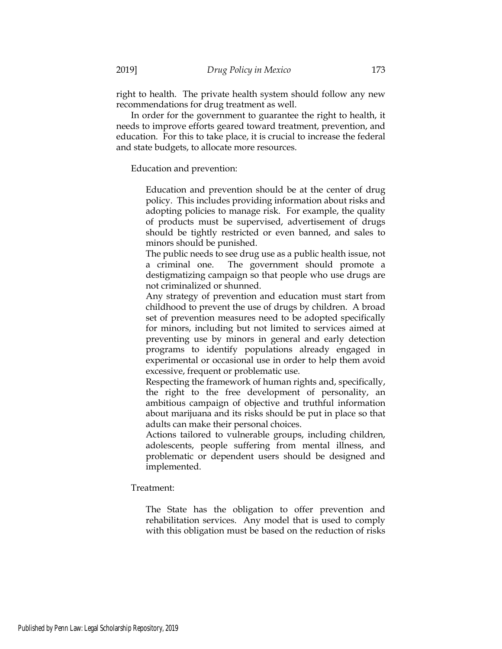right to health. The private health system should follow any new recommendations for drug treatment as well.

In order for the government to guarantee the right to health, it needs to improve efforts geared toward treatment, prevention, and education. For this to take place, it is crucial to increase the federal and state budgets, to allocate more resources.

Education and prevention:

 Education and prevention should be at the center of drug policy. This includes providing information about risks and adopting policies to manage risk. For example, the quality of products must be supervised, advertisement of drugs should be tightly restricted or even banned, and sales to minors should be punished.

 The public needs to see drug use as a public health issue, not a criminal one. The government should promote a destigmatizing campaign so that people who use drugs are not criminalized or shunned.

 Any strategy of prevention and education must start from childhood to prevent the use of drugs by children. A broad set of prevention measures need to be adopted specifically for minors, including but not limited to services aimed at preventing use by minors in general and early detection programs to identify populations already engaged in experimental or occasional use in order to help them avoid excessive, frequent or problematic use.

 Respecting the framework of human rights and, specifically, the right to the free development of personality, an ambitious campaign of objective and truthful information about marijuana and its risks should be put in place so that adults can make their personal choices.

 Actions tailored to vulnerable groups, including children, adolescents, people suffering from mental illness, and problematic or dependent users should be designed and implemented.

Treatment:

 The State has the obligation to offer prevention and rehabilitation services. Any model that is used to comply with this obligation must be based on the reduction of risks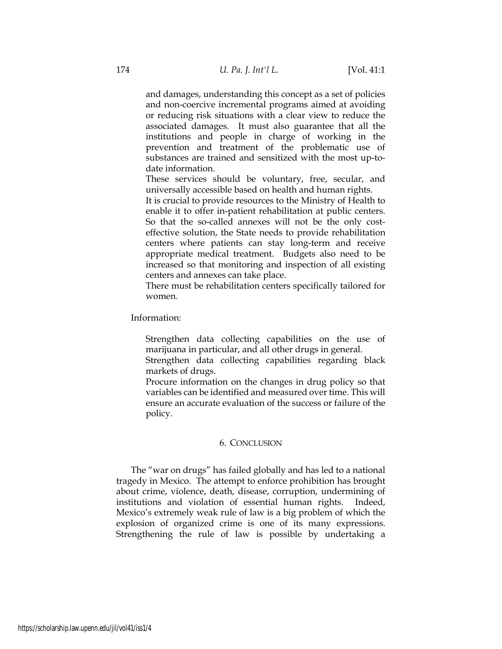and damages, understanding this concept as a set of policies and non-coercive incremental programs aimed at avoiding or reducing risk situations with a clear view to reduce the associated damages. It must also guarantee that all the institutions and people in charge of working in the prevention and treatment of the problematic use of substances are trained and sensitized with the most up-todate information.

 These services should be voluntary, free, secular, and universally accessible based on health and human rights.

 It is crucial to provide resources to the Ministry of Health to enable it to offer in-patient rehabilitation at public centers. So that the so-called annexes will not be the only costeffective solution, the State needs to provide rehabilitation centers where patients can stay long-term and receive appropriate medical treatment. Budgets also need to be increased so that monitoring and inspection of all existing centers and annexes can take place.

 There must be rehabilitation centers specifically tailored for women.

Information:

 Strengthen data collecting capabilities on the use of marijuana in particular, and all other drugs in general.

 Strengthen data collecting capabilities regarding black markets of drugs.

 Procure information on the changes in drug policy so that variables can be identified and measured over time. This will ensure an accurate evaluation of the success or failure of the policy.

## 6. CONCLUSION

The "war on drugs" has failed globally and has led to a national tragedy in Mexico. The attempt to enforce prohibition has brought about crime, violence, death, disease, corruption, undermining of institutions and violation of essential human rights. Indeed, Mexico's extremely weak rule of law is a big problem of which the explosion of organized crime is one of its many expressions. Strengthening the rule of law is possible by undertaking a